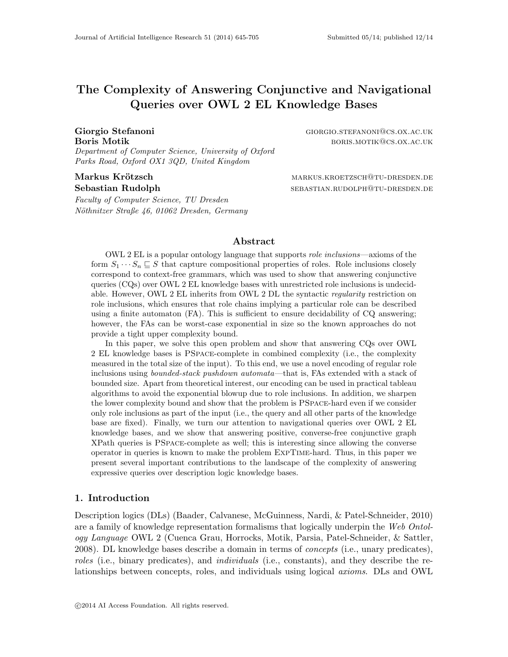# The Complexity of Answering Conjunctive and Navigational Queries over OWL 2 EL Knowledge Bases

Department of Computer Science, University of Oxford Parks Road, Oxford OX1 3QD, United Kingdom

Faculty of Computer Science, TU Dresden Nöthnitzer Straße 46, 01062 Dresden, Germany

Giorgio Stefanoni Giorgio Stefanoni Giorgio Stefanoni Giorgio Stefanoni Giorgio Stefanoni Giorgio Stefanoni Giorgio Stefanoni Giorgio Stefanoni Giorgio Stefanoni Giorgio Stefanoni Giorgio Stefanoni Giorgio Stefanoni Giorgi Boris Motik boris and the set of the set of the set of the set of the boris.motive exactly borist and the set of the set of the set of the set of the set of the set of the set of the set of the set of the set of the set of

Markus Kr¨otzsch markus.kroetzsch@tu-dresden.de Sebastian Rudolph sebastian.rudolph sebastian.rudolph

# Abstract

OWL 2 EL is a popular ontology language that supports role inclusions—axioms of the form  $S_1 \cdots S_n \sqsubseteq S$  that capture compositional properties of roles. Role inclusions closely correspond to context-free grammars, which was used to show that answering conjunctive queries (CQs) over OWL 2 EL knowledge bases with unrestricted role inclusions is undecidable. However, OWL 2 EL inherits from OWL 2 DL the syntactic *regularity* restriction on role inclusions, which ensures that role chains implying a particular role can be described using a finite automaton (FA). This is sufficient to ensure decidability of CQ answering; however, the FAs can be worst-case exponential in size so the known approaches do not provide a tight upper complexity bound.

In this paper, we solve this open problem and show that answering CQs over OWL 2 EL knowledge bases is PSpace-complete in combined complexity (i.e., the complexity measured in the total size of the input). To this end, we use a novel encoding of regular role inclusions using bounded-stack pushdown automata—that is, FAs extended with a stack of bounded size. Apart from theoretical interest, our encoding can be used in practical tableau algorithms to avoid the exponential blowup due to role inclusions. In addition, we sharpen the lower complexity bound and show that the problem is PSpace-hard even if we consider only role inclusions as part of the input (i.e., the query and all other parts of the knowledge base are fixed). Finally, we turn our attention to navigational queries over OWL 2 EL knowledge bases, and we show that answering positive, converse-free conjunctive graph XPath queries is PSpace-complete as well; this is interesting since allowing the converse operator in queries is known to make the problem ExpTime-hard. Thus, in this paper we present several important contributions to the landscape of the complexity of answering expressive queries over description logic knowledge bases.

#### 1. Introduction

Description logics (DLs) (Baader, Calvanese, McGuinness, Nardi, & Patel-Schneider, 2010) are a family of knowledge representation formalisms that logically underpin the Web Ontology Language OWL 2 (Cuenca Grau, Horrocks, Motik, Parsia, Patel-Schneider, & Sattler, 2008). DL knowledge bases describe a domain in terms of concepts (i.e., unary predicates), roles (i.e., binary predicates), and *individuals* (i.e., constants), and they describe the relationships between concepts, roles, and individuals using logical axioms. DLs and OWL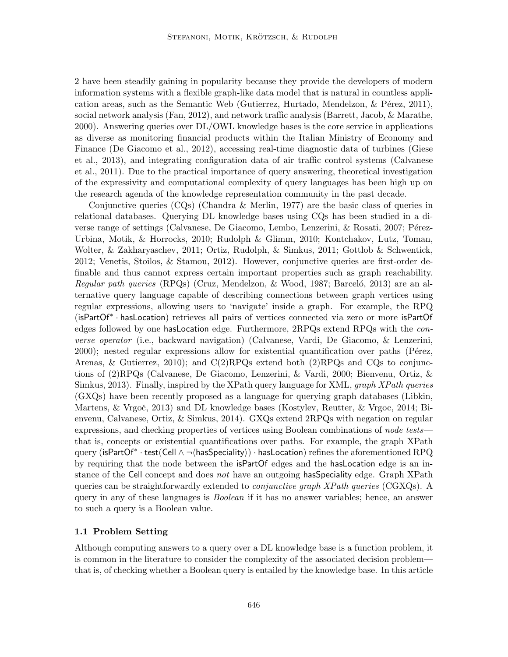2 have been steadily gaining in popularity because they provide the developers of modern information systems with a flexible graph-like data model that is natural in countless application areas, such as the Semantic Web (Gutierrez, Hurtado, Mendelzon,  $\&$  Pérez, 2011), social network analysis (Fan, 2012), and network traffic analysis (Barrett, Jacob, & Marathe, 2000). Answering queries over DL/OWL knowledge bases is the core service in applications as diverse as monitoring financial products within the Italian Ministry of Economy and Finance (De Giacomo et al., 2012), accessing real-time diagnostic data of turbines (Giese et al., 2013), and integrating configuration data of air traffic control systems (Calvanese et al., 2011). Due to the practical importance of query answering, theoretical investigation of the expressivity and computational complexity of query languages has been high up on the research agenda of the knowledge representation community in the past decade.

Conjunctive queries (CQs) (Chandra & Merlin, 1977) are the basic class of queries in relational databases. Querying DL knowledge bases using CQs has been studied in a diverse range of settings (Calvanese, De Giacomo, Lembo, Lenzerini, & Rosati, 2007; Pérez-Urbina, Motik, & Horrocks, 2010; Rudolph & Glimm, 2010; Kontchakov, Lutz, Toman, Wolter, & Zakharyaschev, 2011; Ortiz, Rudolph, & Simkus, 2011; Gottlob & Schwentick, 2012; Venetis, Stoilos, & Stamou, 2012). However, conjunctive queries are first-order definable and thus cannot express certain important properties such as graph reachability. Regular path queries (RPQs) (Cruz, Mendelzon, & Wood, 1987; Barcelo, 2013) are an alternative query language capable of describing connections between graph vertices using regular expressions, allowing users to 'navigate' inside a graph. For example, the RPQ (isPartOf<sup>∗</sup> · hasLocation) retrieves all pairs of vertices connected via zero or more isPartOf edges followed by one hasLocation edge. Furthermore, 2RPQs extend RPQs with the converse operator (i.e., backward navigation) (Calvanese, Vardi, De Giacomo, & Lenzerini, 2000); nested regular expressions allow for existential quantification over paths (Pérez, Arenas, & Gutierrez, 2010); and  $C(2)RPQs$  extend both (2)RPQs and CQs to conjunctions of (2)RPQs (Calvanese, De Giacomo, Lenzerini, & Vardi, 2000; Bienvenu, Ortiz, & Simkus, 2013). Finally, inspired by the XPath query language for XML, *graph XPath queries* (GXQs) have been recently proposed as a language for querying graph databases (Libkin, Martens, & Vrgoč, 2013) and DL knowledge bases (Kostylev, Reutter, & Vrgoc, 2014; Bienvenu, Calvanese, Ortiz, & Simkus, 2014). GXQs extend 2RPQs with negation on regular expressions, and checking properties of vertices using Boolean combinations of node tests that is, concepts or existential quantifications over paths. For example, the graph XPath  $\mathrm{query}\ (\textsf{isPartOf}^*\cdot \textsf{test}(\textsf{Cell} \wedge \neg \langle \textsf{hasSpeciality}\rangle) \cdot \textsf{hasLocation}) \text{ refines the aforementioned RPQ}$ by requiring that the node between the isPartOf edges and the hasLocation edge is an instance of the Cell concept and does not have an outgoing has Speciality edge. Graph XPath queries can be straightforwardly extended to *conjunctive graph XPath queries* (CGXQs). A query in any of these languages is Boolean if it has no answer variables; hence, an answer to such a query is a Boolean value.

#### 1.1 Problem Setting

Although computing answers to a query over a DL knowledge base is a function problem, it is common in the literature to consider the complexity of the associated decision problem that is, of checking whether a Boolean query is entailed by the knowledge base. In this article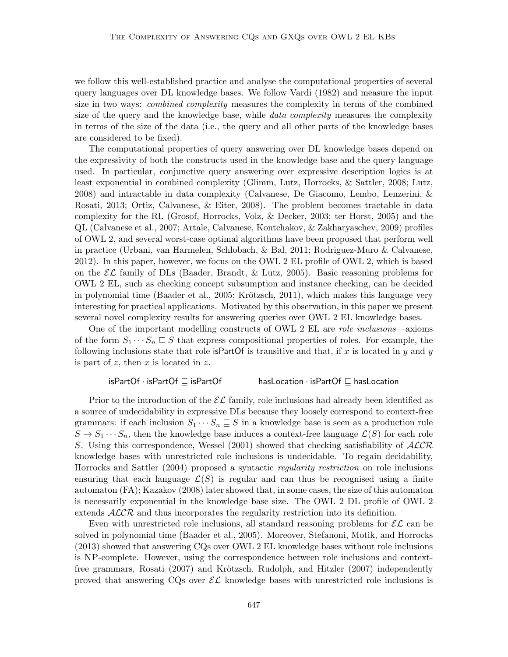we follow this well-established practice and analyse the computational properties of several query languages over DL knowledge bases. We follow Vardi (1982) and measure the input size in two ways: *combined complexity* measures the complexity in terms of the combined size of the query and the knowledge base, while *data complexity* measures the complexity in terms of the size of the data (i.e., the query and all other parts of the knowledge bases are considered to be fixed).

The computational properties of query answering over DL knowledge bases depend on the expressivity of both the constructs used in the knowledge base and the query language used. In particular, conjunctive query answering over expressive description logics is at least exponential in combined complexity (Glimm, Lutz, Horrocks, & Sattler, 2008; Lutz, 2008) and intractable in data complexity (Calvanese, De Giacomo, Lembo, Lenzerini, & Rosati, 2013; Ortiz, Calvanese, & Eiter, 2008). The problem becomes tractable in data complexity for the RL (Grosof, Horrocks, Volz, & Decker, 2003; ter Horst, 2005) and the QL (Calvanese et al., 2007; Artale, Calvanese, Kontchakov, & Zakharyaschev, 2009) profiles of OWL 2, and several worst-case optimal algorithms have been proposed that perform well in practice (Urbani, van Harmelen, Schlobach, & Bal, 2011; Rodriguez-Muro & Calvanese, 2012). In this paper, however, we focus on the OWL 2 EL profile of OWL 2, which is based on the  $\mathcal{EL}$  family of DLs (Baader, Brandt, & Lutz, 2005). Basic reasoning problems for OWL 2 EL, such as checking concept subsumption and instance checking, can be decided in polynomial time (Baader et al., 2005; Krötzsch, 2011), which makes this language very interesting for practical applications. Motivated by this observation, in this paper we present several novel complexity results for answering queries over OWL 2 EL knowledge bases.

One of the important modelling constructs of OWL 2 EL are role inclusions—axioms of the form  $S_1 \cdots S_n \sqsubseteq S$  that express compositional properties of roles. For example, the following inclusions state that role is PartOf is transitive and that, if  $x$  is located in  $y$  and  $y$ is part of z, then x is located in z.

#### isPartOf  $\cdot$  isPartOf  $\sqsubseteq$  isPartOf hasLocation  $\cdot$  isPartOf  $\sqsubseteq$  hasLocation

Prior to the introduction of the  $\mathcal{EL}$  family, role inclusions had already been identified as a source of undecidability in expressive DLs because they loosely correspond to context-free grammars: if each inclusion  $S_1 \cdots S_n \sqsubseteq S$  in a knowledge base is seen as a production rule  $S \to S_1 \cdots S_n$ , then the knowledge base induces a context-free language  $\mathcal{L}(S)$  for each role S. Using this correspondence, Wessel (2001) showed that checking satisfiability of  $\cal{ALCR}$ knowledge bases with unrestricted role inclusions is undecidable. To regain decidability, Horrocks and Sattler (2004) proposed a syntactic regularity restriction on role inclusions ensuring that each language  $\mathcal{L}(S)$  is regular and can thus be recognised using a finite automaton (FA); Kazakov (2008) later showed that, in some cases, the size of this automaton is necessarily exponential in the knowledge base size. The OWL 2 DL profile of OWL 2 extends  $ALCR$  and thus incorporates the regularity restriction into its definition.

Even with unrestricted role inclusions, all standard reasoning problems for  $\mathcal{EL}$  can be solved in polynomial time (Baader et al., 2005). Moreover, Stefanoni, Motik, and Horrocks (2013) showed that answering CQs over OWL 2 EL knowledge bases without role inclusions is NP-complete. However, using the correspondence between role inclusions and contextfree grammars, Rosati (2007) and Krötzsch, Rudolph, and Hitzler (2007) independently proved that answering CQs over  $\mathcal{EL}$  knowledge bases with unrestricted role inclusions is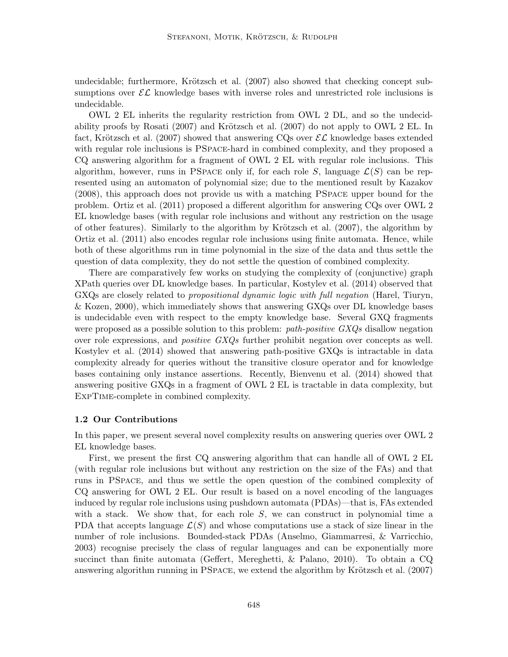undecidable; furthermore, Krötzsch et al.  $(2007)$  also showed that checking concept subsumptions over  $\mathcal{EL}$  knowledge bases with inverse roles and unrestricted role inclusions is undecidable.

OWL 2 EL inherits the regularity restriction from OWL 2 DL, and so the undecidability proofs by Rosati (2007) and Krötzsch et al. (2007) do not apply to OWL 2 EL. In fact, Krötzsch et al. (2007) showed that answering CQs over  $\mathcal{EL}$  knowledge bases extended with regular role inclusions is PSpace-hard in combined complexity, and they proposed a CQ answering algorithm for a fragment of OWL 2 EL with regular role inclusions. This algorithm, however, runs in PSPACE only if, for each role S, language  $\mathcal{L}(S)$  can be represented using an automaton of polynomial size; due to the mentioned result by Kazakov (2008), this approach does not provide us with a matching PSpace upper bound for the problem. Ortiz et al. (2011) proposed a different algorithm for answering CQs over OWL 2 EL knowledge bases (with regular role inclusions and without any restriction on the usage of other features). Similarly to the algorithm by Krötzsch et al.  $(2007)$ , the algorithm by Ortiz et al. (2011) also encodes regular role inclusions using finite automata. Hence, while both of these algorithms run in time polynomial in the size of the data and thus settle the question of data complexity, they do not settle the question of combined complexity.

There are comparatively few works on studying the complexity of (conjunctive) graph XPath queries over DL knowledge bases. In particular, Kostylev et al. (2014) observed that GXQs are closely related to propositional dynamic logic with full negation (Harel, Tiuryn, & Kozen, 2000), which immediately shows that answering GXQs over DL knowledge bases is undecidable even with respect to the empty knowledge base. Several GXQ fragments were proposed as a possible solution to this problem: *path-positive*  $GXQs$  disallow negation over role expressions, and *positive GXQs* further prohibit negation over concepts as well. Kostylev et al. (2014) showed that answering path-positive GXQs is intractable in data complexity already for queries without the transitive closure operator and for knowledge bases containing only instance assertions. Recently, Bienvenu et al. (2014) showed that answering positive GXQs in a fragment of OWL 2 EL is tractable in data complexity, but ExpTime-complete in combined complexity.

#### 1.2 Our Contributions

In this paper, we present several novel complexity results on answering queries over OWL 2 EL knowledge bases.

First, we present the first CQ answering algorithm that can handle all of OWL 2 EL (with regular role inclusions but without any restriction on the size of the FAs) and that runs in PSpace, and thus we settle the open question of the combined complexity of CQ answering for OWL 2 EL. Our result is based on a novel encoding of the languages induced by regular role inclusions using pushdown automata (PDAs)—that is, FAs extended with a stack. We show that, for each role  $S$ , we can construct in polynomial time a PDA that accepts language  $\mathcal{L}(S)$  and whose computations use a stack of size linear in the number of role inclusions. Bounded-stack PDAs (Anselmo, Giammarresi, & Varricchio, 2003) recognise precisely the class of regular languages and can be exponentially more succinct than finite automata (Geffert, Mereghetti, & Palano, 2010). To obtain a CQ answering algorithm running in PSPACE, we extend the algorithm by Krötzsch et al.  $(2007)$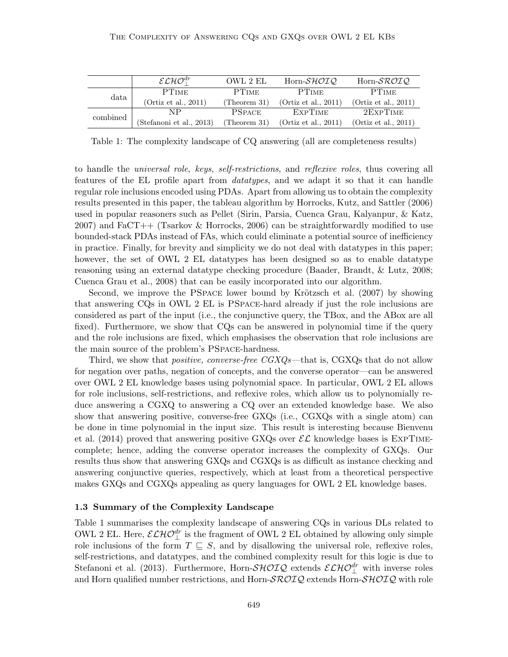|          | $\mathcal{ELHO}^{dr}_+$  | OWL 2 EL      | Horn-SHOIQ           | Horn- $\mathcal{SROIO}$ |
|----------|--------------------------|---------------|----------------------|-------------------------|
| data     | <b>PTIME</b>             | <b>PTIME</b>  | <b>PTIME</b>         | <b>PTIME</b>            |
|          | (Ortiz et al., 2011)     | (Theorem 31)  | (Ortiz et al., 2011) | (Ortiz et al., $2011$ ) |
| combined | NΡ                       | <b>PSPACE</b> | <b>EXPTIME</b>       | 2EXPTIME                |
|          | (Stefanoni et al., 2013) | (Theorem 31)  | (Ortiz et al., 2011) | (Ortiz et al., 2011)    |

Table 1: The complexity landscape of CQ answering (all are completeness results)

to handle the *universal role*, keys, self-restrictions, and reflexive roles, thus covering all features of the EL profile apart from datatypes, and we adapt it so that it can handle regular role inclusions encoded using PDAs. Apart from allowing us to obtain the complexity results presented in this paper, the tableau algorithm by Horrocks, Kutz, and Sattler (2006) used in popular reasoners such as Pellet (Sirin, Parsia, Cuenca Grau, Kalyanpur, & Katz, 2007) and FaCT++ (Tsarkov & Horrocks, 2006) can be straightforwardly modified to use bounded-stack PDAs instead of FAs, which could eliminate a potential source of inefficiency in practice. Finally, for brevity and simplicity we do not deal with datatypes in this paper; however, the set of OWL 2 EL datatypes has been designed so as to enable datatype reasoning using an external datatype checking procedure (Baader, Brandt, & Lutz, 2008; Cuenca Grau et al., 2008) that can be easily incorporated into our algorithm.

Second, we improve the PSPACE lower bound by Krötzsch et al.  $(2007)$  by showing that answering CQs in OWL 2 EL is PSpace-hard already if just the role inclusions are considered as part of the input (i.e., the conjunctive query, the TBox, and the ABox are all fixed). Furthermore, we show that CQs can be answered in polynomial time if the query and the role inclusions are fixed, which emphasises the observation that role inclusions are the main source of the problem's PSpace-hardness.

Third, we show that *positive, converse-free CGXQs*—that is, CGXQs that do not allow for negation over paths, negation of concepts, and the converse operator—can be answered over OWL 2 EL knowledge bases using polynomial space. In particular, OWL 2 EL allows for role inclusions, self-restrictions, and reflexive roles, which allow us to polynomially reduce answering a CGXQ to answering a CQ over an extended knowledge base. We also show that answering positive, converse-free GXQs (i.e., CGXQs with a single atom) can be done in time polynomial in the input size. This result is interesting because Bienvenu et al. (2014) proved that answering positive GXQs over  $\mathcal{EL}$  knowledge bases is EXPTIMEcomplete; hence, adding the converse operator increases the complexity of GXQs. Our results thus show that answering GXQs and CGXQs is as difficult as instance checking and answering conjunctive queries, respectively, which at least from a theoretical perspective makes GXQs and CGXQs appealing as query languages for OWL 2 EL knowledge bases.

#### 1.3 Summary of the Complexity Landscape

Table 1 summarises the complexity landscape of answering CQs in various DLs related to OWL 2 EL. Here,  $\mathcal{ELHO}_{\perp}^{dr}$  is the fragment of OWL 2 EL obtained by allowing only simple role inclusions of the form  $T \subseteq S$ , and by disallowing the universal role, reflexive roles, self-restrictions, and datatypes, and the combined complexity result for this logic is due to Stefanoni et al. (2013). Furthermore, Horn- $\mathcal{SHOLQ}$  extends  $\mathcal{ELHO}^{dr}_{\perp}$  with inverse roles and Horn qualified number restrictions, and Horn- $\mathcal{SROLQ}$  extends Horn- $\mathcal{SHOLQ}$  with role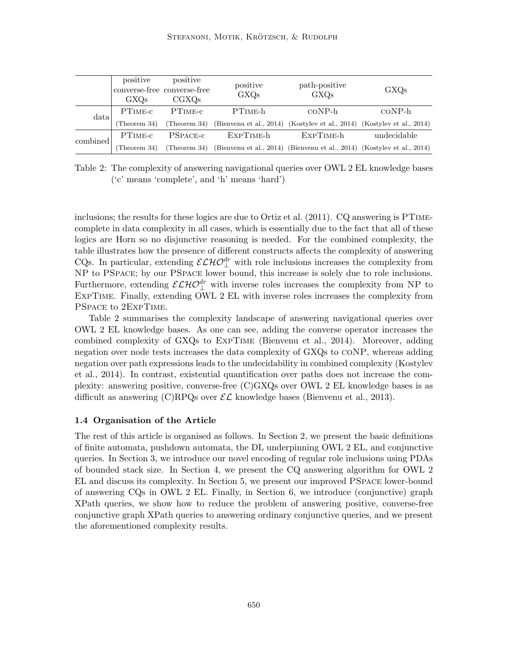|          | $\rm GXOs$           | positive positive<br>converse-free converse-free<br>$_{\rm CGXOs}$ | positive<br><b>GXQs</b>                                                                           | path-positive<br>GXQs | GXQs        |
|----------|----------------------|--------------------------------------------------------------------|---------------------------------------------------------------------------------------------------|-----------------------|-------------|
| data     | $PTIME-c$            | $\rm PTIME\text{-}c$                                               | $PTIME-h$                                                                                         | $coNP-h$              | $coNP-h$    |
|          |                      |                                                                    | (Theorem 34) (Theorem 34) (Bienvenu et al., 2014) (Kostylev et al., 2014) (Kostylev et al., 2014) |                       |             |
| combined | $\rm PTIME\text{-}c$ |                                                                    | PSPACE-c EXPTIME-h EXPTIME-h                                                                      |                       | undecidable |
|          |                      |                                                                    | (Theorem 34) (Theorem 34) (Bienvenu et al., 2014) (Bienvenu et al., 2014) (Kostylev et al., 2014) |                       |             |

Table 2: The complexity of answering navigational queries over OWL 2 EL knowledge bases ('c' means 'complete', and 'h' means 'hard')

inclusions; the results for these logics are due to Ortiz et al. (2011). CQ answering is PTimecomplete in data complexity in all cases, which is essentially due to the fact that all of these logics are Horn so no disjunctive reasoning is needed. For the combined complexity, the table illustrates how the presence of different constructs affects the complexity of answering CQs. In particular, extending  $\mathcal{ELHO}_{\perp}^{dr}$  with role inclusions increases the complexity from NP to PSpace; by our PSpace lower bound, this increase is solely due to role inclusions. Furthermore, extending  $\mathcal{ELHO}^{dr}_{\perp}$  with inverse roles increases the complexity from NP to ExpTime. Finally, extending OWL 2 EL with inverse roles increases the complexity from PSpace to 2ExpTime.

Table 2 summarises the complexity landscape of answering navigational queries over OWL 2 EL knowledge bases. As one can see, adding the converse operator increases the combined complexity of GXQs to ExpTime (Bienvenu et al., 2014). Moreover, adding negation over node tests increases the data complexity of GXQs to coNP, whereas adding negation over path expressions leads to the undecidability in combined complexity (Kostylev et al., 2014). In contrast, existential quantification over paths does not increase the complexity: answering positive, converse-free (C)GXQs over OWL 2 EL knowledge bases is as difficult as answering (C)RPQs over  $\mathcal{EL}$  knowledge bases (Bienvenu et al., 2013).

#### 1.4 Organisation of the Article

The rest of this article is organised as follows. In Section 2, we present the basic definitions of finite automata, pushdown automata, the DL underpinning OWL 2 EL, and conjunctive queries. In Section 3, we introduce our novel encoding of regular role inclusions using PDAs of bounded stack size. In Section 4, we present the CQ answering algorithm for OWL 2 EL and discuss its complexity. In Section 5, we present our improved PSpace lower-bound of answering CQs in OWL 2 EL. Finally, in Section 6, we introduce (conjunctive) graph XPath queries, we show how to reduce the problem of answering positive, converse-free conjunctive graph XPath queries to answering ordinary conjunctive queries, and we present the aforementioned complexity results.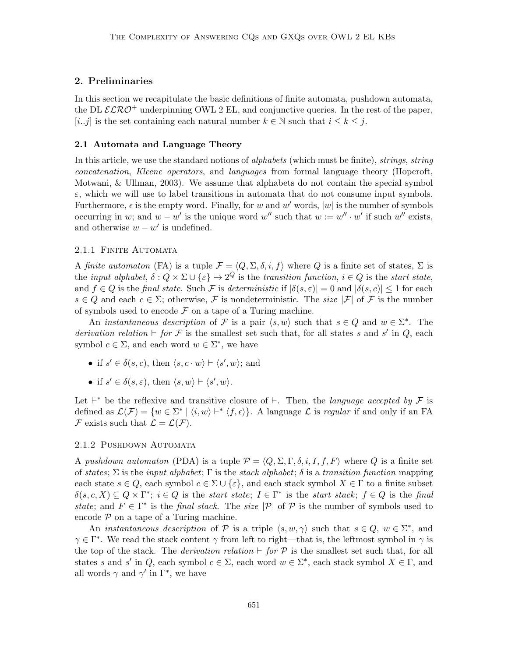# 2. Preliminaries

In this section we recapitulate the basic definitions of finite automata, pushdown automata, the DL  $\mathcal{ELRO}^+$  underpinning OWL 2 EL, and conjunctive queries. In the rest of the paper, [i..j] is the set containing each natural number  $k \in \mathbb{N}$  such that  $i \leq k \leq j$ .

#### 2.1 Automata and Language Theory

In this article, we use the standard notions of *alphabets* (which must be finite), *strings*, *string* concatenation, Kleene operators, and languages from formal language theory (Hopcroft, Motwani, & Ullman, 2003). We assume that alphabets do not contain the special symbol  $\varepsilon$ , which we will use to label transitions in automata that do not consume input symbols. Furthermore,  $\epsilon$  is the empty word. Finally, for w and w' words, |w| is the number of symbols occurring in w; and  $w - w'$  is the unique word w'' such that  $w := w'' \cdot w'$  if such w'' exists, and otherwise  $w - w'$  is undefined.

#### 2.1.1 FINITE AUTOMATA

A finite automaton (FA) is a tuple  $\mathcal{F} = \langle Q, \Sigma, \delta, i, f \rangle$  where Q is a finite set of states,  $\Sigma$  is the input alphabet,  $\delta: Q \times \Sigma \cup \{\varepsilon\} \mapsto 2^Q$  is the transition function,  $i \in Q$  is the start state, and  $f \in Q$  is the final state. Such F is deterministic if  $|\delta(s,\varepsilon)| = 0$  and  $|\delta(s,\varepsilon)| \leq 1$  for each  $s \in Q$  and each  $c \in \Sigma$ ; otherwise, F is nondeterministic. The size  $|\mathcal{F}|$  of F is the number of symbols used to encode  $\mathcal F$  on a tape of a Turing machine.

An *instantaneous description* of F is a pair  $\langle s, w \rangle$  such that  $s \in Q$  and  $w \in \Sigma^*$ . The derivation relation  $\vdash$  for F is the smallest set such that, for all states s and s' in Q, each symbol  $c \in \Sigma$ , and each word  $w \in \Sigma^*$ , we have

- if  $s' \in \delta(s, c)$ , then  $\langle s, c \cdot w \rangle \vdash \langle s', w \rangle$ ; and
- if  $s' \in \delta(s, \varepsilon)$ , then  $\langle s, w \rangle \vdash \langle s', w \rangle$ .

Let  $\vdash^*$  be the reflexive and transitive closure of  $\vdash$ . Then, the *language accepted by* F is defined as  $\mathcal{L}(\mathcal{F}) = \{w \in \Sigma^* \mid \langle i, w \rangle \vdash^* \langle f, \epsilon \rangle\}$ . A language  $\mathcal L$  is regular if and only if an FA F exists such that  $\mathcal{L} = \mathcal{L}(\mathcal{F})$ .

#### 2.1.2 Pushdown Automata

A pushdown automaton (PDA) is a tuple  $\mathcal{P} = \langle Q, \Sigma, \Gamma, \delta, i, I, f, F \rangle$  where Q is a finite set of states;  $\Sigma$  is the *input alphabet*;  $\Gamma$  is the stack alphabet;  $\delta$  is a transition function mapping each state  $s \in Q$ , each symbol  $c \in \Sigma \cup \{\varepsilon\}$ , and each stack symbol  $X \in \Gamma$  to a finite subset  $\delta(s,c,X) \subseteq Q \times \Gamma^*$ ;  $i \in Q$  is the start state;  $I \in \Gamma^*$  is the start stack;  $f \in Q$  is the final state; and  $F \in \Gamma^*$  is the final stack. The size  $|\mathcal{P}|$  of  $\mathcal P$  is the number of symbols used to encode  $P$  on a tape of a Turing machine.

An *instantaneous description* of P is a triple  $\langle s, w, \gamma \rangle$  such that  $s \in Q, w \in \Sigma^*$ , and  $\gamma \in \Gamma^*$ . We read the stack content  $\gamma$  from left to right—that is, the leftmost symbol in  $\gamma$  is the top of the stack. The *derivation relation*  $\vdash$  for  $\mathcal{P}$  is the smallest set such that, for all states s and s' in Q, each symbol  $c \in \Sigma$ , each word  $w \in \Sigma^*$ , each stack symbol  $X \in \Gamma$ , and all words  $\gamma$  and  $\gamma'$  in  $\Gamma^*$ , we have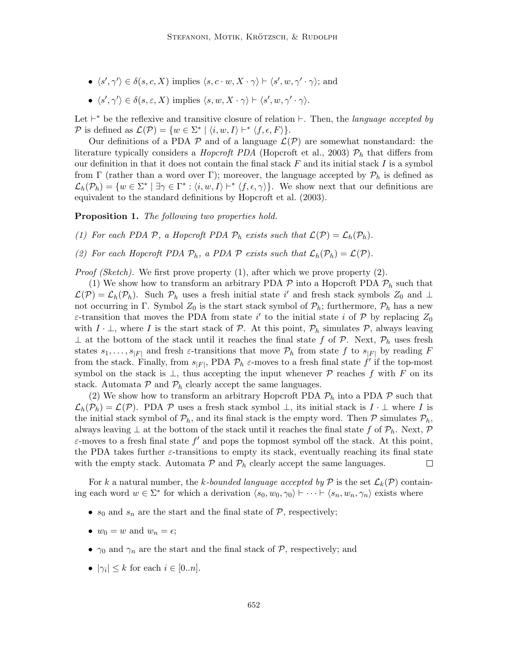- $\langle s', \gamma' \rangle \in \delta(s, c, X)$  implies  $\langle s, c \cdot w, X \cdot \gamma \rangle \vdash \langle s', w, \gamma' \cdot \gamma \rangle$ ; and
- $\langle s', \gamma' \rangle \in \delta(s, \varepsilon, X)$  implies  $\langle s, w, X \cdot \gamma \rangle \vdash \langle s', w, \gamma' \cdot \gamma \rangle$ .

Let  $\vdash^*$  be the reflexive and transitive closure of relation  $\vdash$ . Then, the language accepted by P is defined as  $\mathcal{L}(\mathcal{P}) = \{w \in \Sigma^* \mid \langle i, w, I \rangle \vdash^* \langle f, \epsilon, F \rangle\}.$ 

Our definitions of a PDA  $\mathcal P$  and of a language  $\mathcal L(\mathcal P)$  are somewhat nonstandard: the literature typically considers a *Hopcroft PDA* (Hopcroft et al., 2003)  $\mathcal{P}_h$  that differs from our definition in that it does not contain the final stack  $F$  and its initial stack  $I$  is a symbol from Γ (rather than a word over Γ); moreover, the language accepted by  $\mathcal{P}_h$  is defined as  $\mathcal{L}_h(\mathcal{P}_h) = \{w \in \Sigma^* \mid \exists \gamma \in \Gamma^* : \langle i, w, I \rangle \vdash^* \langle f, \epsilon, \gamma \rangle\}.$  We show next that our definitions are equivalent to the standard definitions by Hopcroft et al. (2003).

**Proposition 1.** The following two properties hold.

- (1) For each PDA P, a Hopcroft PDA  $P_h$  exists such that  $\mathcal{L}(\mathcal{P}) = \mathcal{L}_h(\mathcal{P}_h)$ .
- (2) For each Hopcroft PDA  $\mathcal{P}_h$ , a PDA  $\mathcal P$  exists such that  $\mathcal{L}_h(\mathcal{P}_h) = \mathcal{L}(\mathcal{P})$ .

*Proof (Sketch)*. We first prove property  $(1)$ , after which we prove property  $(2)$ .

(1) We show how to transform an arbitrary PDA  $\mathcal P$  into a Hopcroft PDA  $\mathcal P_h$  such that  $\mathcal{L}(\mathcal{P}) = \mathcal{L}_h(\mathcal{P}_h)$ . Such  $\mathcal{P}_h$  uses a fresh initial state i' and fresh stack symbols  $Z_0$  and  $\perp$ not occurring in Γ. Symbol  $Z_0$  is the start stack symbol of  $\mathcal{P}_h$ ; furthermore,  $\mathcal{P}_h$  has a new  $\varepsilon$ -transition that moves the PDA from state i' to the initial state i of P by replacing  $Z_0$ with  $I \cdot \perp$ , where I is the start stack of P. At this point,  $\mathcal{P}_h$  simulates P, always leaving  $\perp$  at the bottom of the stack until it reaches the final state f of P. Next,  $\mathcal{P}_h$  uses fresh states  $s_1, \ldots, s_{|F|}$  and fresh  $\varepsilon$ -transitions that move  $\mathcal{P}_h$  from state f to  $s_{|F|}$  by reading F from the stack. Finally, from  $s_{|F|}$ , PDA  $\mathcal{P}_h$   $\varepsilon$ -moves to a fresh final state  $f'$  if the top-most symbol on the stack is  $\perp$ , thus accepting the input whenever  $\mathcal P$  reaches f with F on its stack. Automata  $P$  and  $P_h$  clearly accept the same languages.

(2) We show how to transform an arbitrary Hopcroft PDA  $P_h$  into a PDA  $P$  such that  $\mathcal{L}_h(\mathcal{P}_h) = \mathcal{L}(\mathcal{P})$ . PDA P uses a fresh stack symbol  $\perp$ , its initial stack is  $I \cdot \perp$  where I is the initial stack symbol of  $\mathcal{P}_h$ , and its final stack is the empty word. Then  $\mathcal P$  simulates  $\mathcal{P}_h$ , always leaving  $\perp$  at the bottom of the stack until it reaches the final state f of  $\mathcal{P}_h$ . Next,  $\mathcal{P}$  $\varepsilon$ -moves to a fresh final state  $f'$  and pops the topmost symbol off the stack. At this point, the PDA takes further  $\varepsilon$ -transitions to empty its stack, eventually reaching its final state with the empty stack. Automata  $P$  and  $P_h$  clearly accept the same languages.  $\Box$ 

For k a natural number, the k-bounded language accepted by P is the set  $\mathcal{L}_k(\mathcal{P})$  containing each word  $w \in \Sigma^*$  for which a derivation  $\langle s_0, w_0, \gamma_0 \rangle \vdash \cdots \vdash \langle s_n, w_n, \gamma_n \rangle$  exists where

- $s_0$  and  $s_n$  are the start and the final state of  $P$ , respectively;
- $w_0 = w$  and  $w_n = \epsilon$ ;
- $\gamma_0$  and  $\gamma_n$  are the start and the final stack of P, respectively; and
- $|\gamma_i| \leq k$  for each  $i \in [0..n]$ .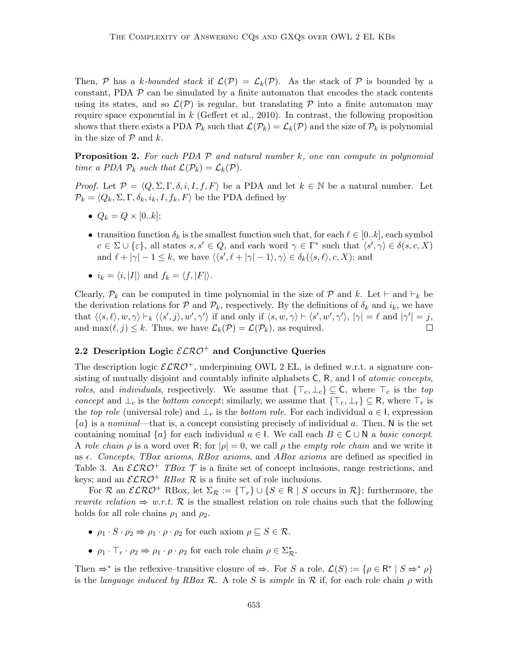Then, P has a k-bounded stack if  $\mathcal{L}(\mathcal{P}) = \mathcal{L}_k(\mathcal{P})$ . As the stack of P is bounded by a constant, PDA  $\mathcal P$  can be simulated by a finite automaton that encodes the stack contents using its states, and so  $\mathcal{L}(\mathcal{P})$  is regular, but translating  $\mathcal P$  into a finite automaton may require space exponential in k (Geffert et al., 2010). In contrast, the following proposition shows that there exists a PDA  $\mathcal{P}_k$  such that  $\mathcal{L}(\mathcal{P}_k) = \mathcal{L}_k(\mathcal{P})$  and the size of  $\mathcal{P}_k$  is polynomial in the size of  $P$  and k.

**Proposition 2.** For each PDA  $\mathcal{P}$  and natural number k, one can compute in polynomial time a PDA  $\mathcal{P}_k$  such that  $\mathcal{L}(\mathcal{P}_k) = \mathcal{L}_k(\mathcal{P})$ .

*Proof.* Let  $\mathcal{P} = \langle Q, \Sigma, \Gamma, \delta, i, I, f, F \rangle$  be a PDA and let  $k \in \mathbb{N}$  be a natural number. Let  $\mathcal{P}_k = \langle Q_k, \Sigma, \Gamma, \delta_k, i_k, I, f_k, F \rangle$  be the PDA defined by

- $Q_k = Q \times [0..k];$
- transition function  $\delta_k$  is the smallest function such that, for each  $\ell \in [0..k]$ , each symbol  $c \in \Sigma \cup \{\varepsilon\},\$ all states  $s, s' \in Q$ , and each word  $\gamma \in \Gamma^*$  such that  $\langle s', \gamma \rangle \in \delta(s, c, X)$ and  $\ell + |\gamma| - 1 \leq k$ , we have  $\langle \langle s', \ell + |\gamma| - 1 \rangle, \gamma \rangle \in \delta_k(\langle s, \ell \rangle, c, X)$ ; and
- $i_k = \langle i, |I|\rangle$  and  $f_k = \langle f, |F|\rangle$ .

Clearly,  $\mathcal{P}_k$  can be computed in time polynomial in the size of  $\mathcal P$  and  $k$ . Let  $\vdash$  and  $\vdash_k$  be the derivation relations for  $P$  and  $P_k$ , respectively. By the definitions of  $\delta_k$  and  $i_k$ , we have that  $\langle\langle s,\ell\rangle, w, \gamma\rangle \vdash_k \langle\langle s',j\rangle, w',\gamma'\rangle$  if and only if  $\langle s, w, \gamma\rangle \vdash \langle s', w', \gamma'\rangle$ ,  $|\gamma| = \ell$  and  $|\gamma'| = j$ , and max $(\ell, j) \leq k$ . Thus, we have  $\mathcal{L}_k(\mathcal{P}) = \mathcal{L}(\mathcal{P}_k)$ , as required.  $\Box$ 

# 2.2 Description Logic  $\mathcal{ELRO}^+$  and Conjunctive Queries

The description logic  $\mathcal{ELRO}^+$ , underpinning OWL 2 EL, is defined w.r.t. a signature consisting of mutually disjoint and countably infinite alphabets  $C$ ,  $R$ , and  $I$  of *atomic concepts*, roles, and individuals, respectively. We assume that  $\{\top_c, \bot_c\} \subseteq \mathsf{C}$ , where  $\top_c$  is the top concept and  $\perp_c$  is the bottom concept; similarly, we assume that  $\{\top_r, \perp_r\} \subseteq \mathsf{R}$ , where  $\top_r$  is the top role (universal role) and  $\perp_r$  is the bottom role. For each individual  $a \in I$ , expression  ${a}$  is a nominal—that is, a concept consisting precisely of individual a. Then, N is the set containing nominal  $\{a\}$  for each individual  $a \in I$ . We call each  $B \in C \cup N$  a basic concept. A role chain  $\rho$  is a word over R; for  $|\rho|=0$ , we call  $\rho$  the *empty role chain* and we write it as  $\epsilon$ . Concepts, TBox axioms, RBox axioms, and ABox axioms are defined as specified in Table 3. An  $\mathcal{ELRO}^+$  TBox  $\mathcal T$  is a finite set of concept inclusions, range restrictions, and keys; and an  $\mathcal{ELRO}^+$  RBox R is a finite set of role inclusions.

For R an  $\mathcal{ELRO}^+$  RBox, let  $\Sigma_{\mathcal{R}} := {\{\top_{r}\}\cup{\{S\in\mathsf{R} \mid S\text{ occurs in }\mathcal{R}\}};$  furthermore, the rewrite relation  $\Rightarrow$  w.r.t. R is the smallest relation on role chains such that the following holds for all role chains  $\rho_1$  and  $\rho_2$ .

- $\rho_1 \cdot S \cdot \rho_2 \Rightarrow \rho_1 \cdot \rho \cdot \rho_2$  for each axiom  $\rho \sqsubseteq S \in \mathcal{R}$ .
- $\rho_1 \cdot \top_r \cdot \rho_2 \Rightarrow \rho_1 \cdot \rho \cdot \rho_2$  for each role chain  $\rho \in \Sigma_{\mathcal{R}}^*$ .

Then  $\Rightarrow^*$  is the reflexive–transitive closure of  $\Rightarrow$ . For S a role,  $\mathcal{L}(S) := \{ \rho \in \mathbb{R}^* \mid S \Rightarrow^* \rho \}$ is the language induced by RBox R. A role S is simple in R if, for each role chain  $\rho$  with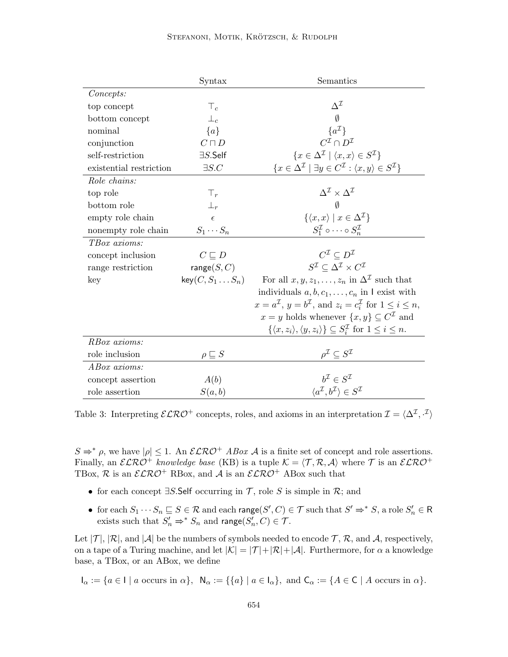|                         | Syntax                   | Semantics                                                                                                       |
|-------------------------|--------------------------|-----------------------------------------------------------------------------------------------------------------|
| Concepts:               |                          |                                                                                                                 |
| top concept             | $\top_c$                 | $\Delta^{\mathcal{I}}$                                                                                          |
| bottom concept          | $\perp_c$                | $\emptyset$                                                                                                     |
| nominal                 | ${a}$                    | $\{a^{\mathcal{I}}\}$                                                                                           |
| conjunction             | $C\sqcap D$              | $C^{\mathcal{I}} \cap D^{\mathcal{I}}$                                                                          |
| self-restriction        | $\exists S$ .Self        | $\{x \in \Delta^{\mathcal{I}} \mid \langle x, x \rangle \in S^{\mathcal{I}}\}\$                                 |
| existential restriction | $\exists S.C$            | $\{x \in \Delta^{\mathcal{I}} \mid \exists y \in C^{\mathcal{I}} : \langle x, y \rangle \in S^{\mathcal{I}}\}\$ |
| Role chains:            |                          |                                                                                                                 |
| top role                | $\top_r$                 | $\Delta^{\mathcal{I}} \times \Delta^{\mathcal{I}}$                                                              |
| bottom role             | $\perp_r$                | $\emptyset$                                                                                                     |
| empty role chain        | $\epsilon$               | $\{\langle x,x\rangle \mid x\in \Delta^{\mathcal{I}}\}\$                                                        |
| nonempty role chain     | $S_1 \cdots S_n$         | $S_1^{\mathcal{I}} \circ \cdots \circ S_n^{\mathcal{I}}$                                                        |
| TBox axioms:            |                          |                                                                                                                 |
| concept inclusion       | $C \sqsubseteq D$        | $C^{\mathcal{I}} \subset D^{\mathcal{I}}$                                                                       |
| range restriction       | range $(S, C)$           | $S^{\mathcal{I}} \subset \Delta^{\mathcal{I}} \times C^{\mathcal{I}}$                                           |
| key                     | $key(C, S_1 \ldots S_n)$ | For all $x, y, z_1, \ldots, z_n$ in $\Delta^{\mathcal{I}}$ such that                                            |
|                         |                          | individuals $a, b, c_1, \ldots, c_n$ in I exist with                                                            |
|                         |                          | $x = a^{\mathcal{I}}$ , $y = b^{\mathcal{I}}$ , and $z_i = c_i^{\mathcal{I}}$ for $1 \leq i \leq n$ ,           |
|                         |                          | $x = y$ holds whenever $\{x, y\} \subseteq C^{\mathcal{I}}$ and                                                 |
|                         |                          | $\{\langle x,z_i\rangle,\langle y,z_i\rangle\}\subseteq S_i^{\mathcal{I}}$ for $1\leq i\leq n$ .                |
| RBox axioms:            |                          |                                                                                                                 |
| role inclusion          | $\rho \sqsubseteq S$     | $\rho^{\mathcal{I}} \subseteq S^{\mathcal{I}}$                                                                  |
| ABox axioms:            |                          |                                                                                                                 |
| concept assertion       | A(b)                     | $b^{\mathcal{I}} \in S^{\mathcal{I}}$                                                                           |
| role assertion          | S(a,b)                   | $\langle a^{\mathcal{I}}, b^{\mathcal{I}} \rangle \in S^{\mathcal{I}}$                                          |

Table 3: Interpreting  $\mathcal{ELRO}^+$  concepts, roles, and axioms in an interpretation  $\mathcal{I} = \langle \Delta^{\mathcal{I}}, \cdot^{\mathcal{I}} \rangle$ 

 $S \Rightarrow^* \rho$ , we have  $|\rho| \leq 1$ . An  $\mathcal{ELRO}^+$  ABox A is a finite set of concept and role assertions. Finally, an  $\mathcal{ELRO}^+$  knowledge base (KB) is a tuple  $\mathcal{K} = \langle \mathcal{T}, \mathcal{R}, \mathcal{A} \rangle$  where  $\mathcal{T}$  is an  $\mathcal{ELRO}^+$ TBox,  $\mathcal{R}$  is an  $\mathcal{ELRO}^+$  RBox, and  $\mathcal{A}$  is an  $\mathcal{ELRO}^+$  ABox such that

- for each concept  $\exists S$ . Self occurring in  $\mathcal T$ , role S is simple in  $\mathcal R$ ; and
- for each  $S_1 \cdots S_n \sqsubseteq S \in \mathcal{R}$  and each range $(S', C) \in \mathcal{T}$  such that  $S' \Rightarrow^* S$ , a role  $S'_n \in \mathcal{R}$ exists such that  $S'_n \Rightarrow^* S_n$  and range $(S'_n, C) \in \mathcal{T}$ .

Let  $|\mathcal{T}|$ ,  $|\mathcal{R}|$ , and  $|\mathcal{A}|$  be the numbers of symbols needed to encode  $\mathcal{T}$ ,  $\mathcal{R}$ , and  $\mathcal{A}$ , respectively, on a tape of a Turing machine, and let  $|\mathcal{K}| = |\mathcal{T}| + |\mathcal{R}| + |\mathcal{A}|$ . Furthermore, for  $\alpha$  a knowledge base, a TBox, or an ABox, we define

 $I_{\alpha} := \{a \in I \mid a \text{ occurs in } \alpha\}, \ \ \mathsf{N}_{\alpha} := \{\{a\} \mid a \in \mathsf{I}_{\alpha}\}, \text{ and } \mathsf{C}_{\alpha} := \{A \in \mathsf{C} \mid A \text{ occurs in } \alpha\}.$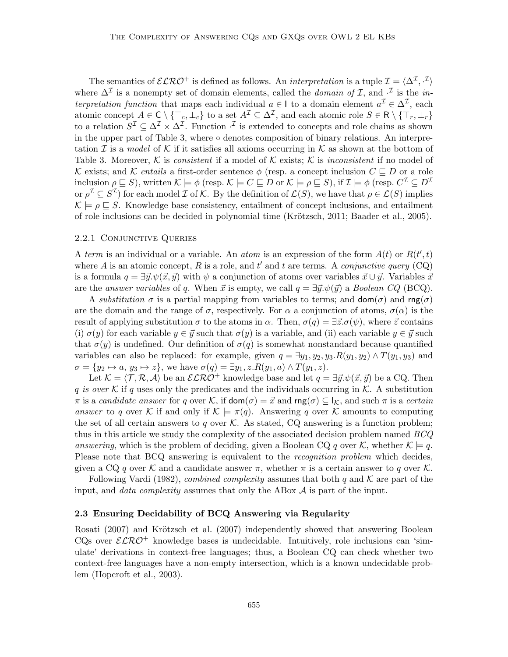The semantics of  $\mathcal{ELRO}^+$  is defined as follows. An *interpretation* is a tuple  $\mathcal{I} = \langle \Delta^{\mathcal{I}}, \cdot^{\mathcal{I}} \rangle$ where  $\Delta^{\mathcal{I}}$  is a nonempty set of domain elements, called the *domain of*  $\mathcal{I}$ , and  $\cdot^{\mathcal{I}}$  is the *in*terpretation function that maps each individual  $a \in I$  to a domain element  $a^{\mathcal{I}} \in \Delta^{\mathcal{I}}$ , each atomic concept  $A \in \mathsf{C} \setminus \{\top_c, \bot_c\}$  to a set  $A^{\mathcal{I}} \subseteq \Delta^{\mathcal{I}}$ , and each atomic role  $S \in \mathsf{R} \setminus \{\top_r, \bot_r\}$ to a relation  $S^{\mathcal{I}} \subseteq \Delta^{\mathcal{I}} \times \Delta^{\mathcal{I}}$ . Function  $\cdot^{\mathcal{I}}$  is extended to concepts and role chains as shown in the upper part of Table 3, where  $\circ$  denotes composition of binary relations. An interpretation I is a model of K if it satisfies all axioms occurring in K as shown at the bottom of Table 3. Moreover, K is consistent if a model of K exists; K is inconsistent if no model of K exists; and K entails a first-order sentence  $\phi$  (resp. a concept inclusion  $C \sqsubseteq D$  or a role inclusion  $\rho \sqsubseteq S$ ), written  $\mathcal{K} \models \phi$  (resp.  $\mathcal{K} \models C \sqsubseteq D$  or  $\mathcal{K} \models \rho \sqsubseteq S$ ), if  $\mathcal{I} \models \phi$  (resp.  $C^{\mathcal{I}} \subseteq D^{\mathcal{I}}$ or  $\rho^{\mathcal{I}} \subseteq S^{\mathcal{I}}$  for each model  $\mathcal{I}$  of  $\mathcal{K}$ . By the definition of  $\mathcal{L}(S)$ , we have that  $\rho \in \mathcal{L}(S)$  implies  $\mathcal{K} \models \rho \sqsubseteq S$ . Knowledge base consistency, entailment of concept inclusions, and entailment of role inclusions can be decided in polynomial time (Krötzsch, 2011; Baader et al., 2005).

#### 2.2.1 Conjunctive Queries

A term is an individual or a variable. An *atom* is an expression of the form  $A(t)$  or  $R(t', t)$ where A is an atomic concept, R is a role, and t' and t are terms. A *conjunctive query*  $(CQ)$ is a formula  $q = \exists \vec{y}.\psi(\vec{x}, \vec{y})$  with  $\psi$  a conjunction of atoms over variables  $\vec{x} \cup \vec{y}$ . Variables  $\vec{x}$ are the answer variables of q. When  $\vec{x}$  is empty, we call  $q = \exists \vec{y}.\psi(\vec{y})$  a Boolean CQ (BCQ).

A substitution  $\sigma$  is a partial mapping from variables to terms; and  $\text{dom}(\sigma)$  and  $\text{rng}(\sigma)$ are the domain and the range of  $\sigma$ , respectively. For  $\alpha$  a conjunction of atoms,  $\sigma(\alpha)$  is the result of applying substitution  $\sigma$  to the atoms in  $\alpha$ . Then,  $\sigma(q) = \exists \vec{z} . \sigma(\psi)$ , where  $\vec{z}$  contains (i)  $\sigma(y)$  for each variable  $y \in \vec{y}$  such that  $\sigma(y)$  is a variable, and (ii) each variable  $y \in \vec{y}$  such that  $\sigma(y)$  is undefined. Our definition of  $\sigma(q)$  is somewhat nonstandard because quantified variables can also be replaced: for example, given  $q = \exists y_1, y_2, y_3 \cdot R(y_1, y_2) \wedge T(y_1, y_3)$  and  $\sigma = \{y_2 \mapsto a, y_3 \mapsto z\}$ , we have  $\sigma(q) = \exists y_1, z.R(y_1, a) \wedge T(y_1, z)$ .

Let  $\mathcal{K} = \langle \mathcal{T}, \mathcal{R}, \mathcal{A} \rangle$  be an  $\mathcal{ELRO}^+$  knowledge base and let  $q = \exists \vec{y}. \psi(\vec{x}, \vec{y})$  be a CQ. Then q is over K if q uses only the predicates and the individuals occurring in K. A substitution  $\pi$  is a candidate answer for q over K, if  $\text{dom}(\sigma) = \vec{x}$  and  $\text{rng}(\sigma) \subseteq I_{\mathcal{K}}$ , and such  $\pi$  is a certain answer to q over K if and only if  $\mathcal{K} \models \pi(q)$ . Answering q over K amounts to computing the set of all certain answers to q over  $K$ . As stated, CQ answering is a function problem; thus in this article we study the complexity of the associated decision problem named  $BCQ$ answering, which is the problem of deciding, given a Boolean CQ q over K, whether  $\mathcal{K} \models q$ . Please note that BCQ answering is equivalent to the *recognition problem* which decides, given a CQ q over K and a candidate answer  $\pi$ , whether  $\pi$  is a certain answer to q over K.

Following Vardi (1982), *combined complexity* assumes that both q and  $\mathcal K$  are part of the input, and *data complexity* assumes that only the ABox  $A$  is part of the input.

#### 2.3 Ensuring Decidability of BCQ Answering via Regularity

Rosati (2007) and Krötzsch et al. (2007) independently showed that answering Boolean CQs over  $\mathcal{ELRO}^+$  knowledge bases is undecidable. Intuitively, role inclusions can 'simulate' derivations in context-free languages; thus, a Boolean CQ can check whether two context-free languages have a non-empty intersection, which is a known undecidable problem (Hopcroft et al., 2003).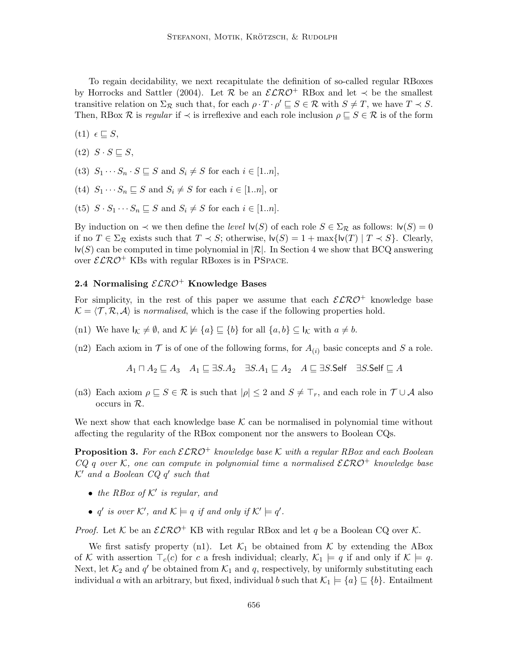To regain decidability, we next recapitulate the definition of so-called regular RBoxes by Horrocks and Sattler (2004). Let R be an  $\mathcal{ELRO}^+$  RBox and let  $\prec$  be the smallest transitive relation on  $\Sigma_{\mathcal{R}}$  such that, for each  $\rho \cdot T \cdot \rho' \sqsubseteq S \in \mathcal{R}$  with  $S \neq T$ , we have  $T \prec S$ . Then, RBox  $\mathcal R$  is regular if  $\prec$  is irreflexive and each role inclusion  $\rho \subseteq S \in \mathcal R$  is of the form

 $(t1)$   $\epsilon \sqsubseteq S$ ,

- $(t2)$   $S \cdot S \sqsubseteq S$ ,
- (t3)  $S_1 \cdots S_n \cdot S \sqsubseteq S$  and  $S_i \neq S$  for each  $i \in [1..n],$
- (t4)  $S_1 \cdots S_n \sqsubseteq S$  and  $S_i \neq S$  for each  $i \in [1..n]$ , or
- (t5)  $S \cdot S_1 \cdots S_n \sqsubseteq S$  and  $S_i \neq S$  for each  $i \in [1..n]$ .

By induction on  $\prec$  we then define the *level*  $\mathsf{lv}(S)$  of each role  $S \in \Sigma_{\mathcal{R}}$  as follows:  $\mathsf{lv}(S) = 0$ if no  $T \in \Sigma_{\mathcal{R}}$  exists such that  $T \prec S$ ; otherwise,  $\mathsf{lv}(S) = 1 + \max\{\mathsf{lv}(T) | T \prec S\}$ . Clearly,  $\mathsf{lv}(S)$  can be computed in time polynomial in  $\mathcal{R}$ . In Section 4 we show that BCQ answering over  $\mathcal{ELRO}^+$  KBs with regular RBoxes is in PSPACE.

# 2.4 Normalising  $\mathcal{ELRO}^+$  Knowledge Bases

For simplicity, in the rest of this paper we assume that each  $\mathcal{ELRO}^+$  knowledge base  $\mathcal{K} = \langle \mathcal{T}, \mathcal{R}, \mathcal{A} \rangle$  is normalised, which is the case if the following properties hold.

- (n1) We have  $I_K \neq \emptyset$ , and  $K \not\models \{a\} \sqsubseteq \{b\}$  for all  $\{a, b\} \subseteq I_K$  with  $a \neq b$ .
- (n2) Each axiom in  $\mathcal T$  is of one of the following forms, for  $A_{(i)}$  basic concepts and S a role.

$$
A_1 \sqcap A_2 \sqsubseteq A_3
$$
  $A_1 \sqsubseteq \exists S.A_2$   $\exists S.A_1 \sqsubseteq A_2$   $A \sqsubseteq \exists S.$ Self  $\exists S.$ Self  $\sqsubseteq A$ 

(n3) Each axiom  $\rho \subseteq S \in \mathcal{R}$  is such that  $|\rho| \leq 2$  and  $S \neq \top_r$ , and each role in  $\mathcal{T} \cup \mathcal{A}$  also occurs in R.

We next show that each knowledge base  $K$  can be normalised in polynomial time without affecting the regularity of the RBox component nor the answers to Boolean CQs.

**Proposition 3.** For each  $\mathcal{ELRO}^+$  knowledge base K with a regular RBox and each Boolean  $CQ$  q over K, one can compute in polynomial time a normalised  $\mathcal{ELRO}^+$  knowledge base  $K'$  and a Boolean  $CQ$   $q'$  such that

- the RBox of  $K'$  is regular, and
- q' is over K', and  $\mathcal{K} \models q$  if and only if  $\mathcal{K}' \models q'$ .

*Proof.* Let K be an  $\mathcal{ELRO}^+$  KB with regular RBox and let q be a Boolean CQ over K.

We first satisfy property (n1). Let  $\mathcal{K}_1$  be obtained from  $\mathcal K$  by extending the ABox of K with assertion  $\top_c(c)$  for c a fresh individual; clearly,  $\mathcal{K}_1 \models q$  if and only if  $\mathcal{K} \models q$ . Next, let  $\mathcal{K}_2$  and  $q'$  be obtained from  $\mathcal{K}_1$  and q, respectively, by uniformly substituting each individual a with an arbitrary, but fixed, individual b such that  $\mathcal{K}_1 \models \{a\} \sqsubseteq \{b\}$ . Entailment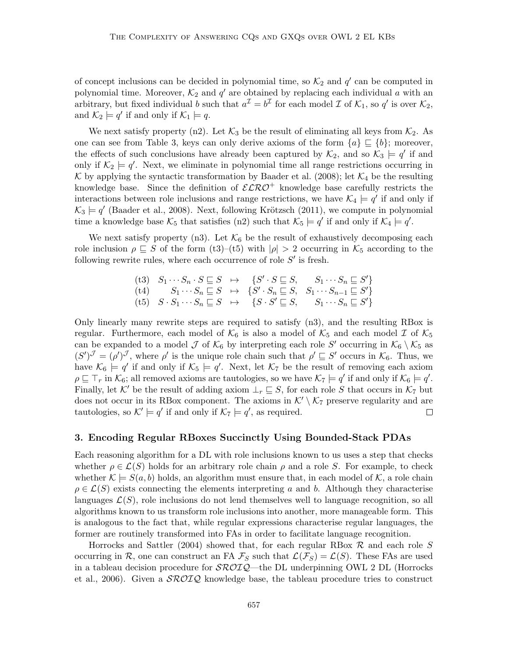of concept inclusions can be decided in polynomial time, so  $\mathcal{K}_2$  and  $q'$  can be computed in polynomial time. Moreover,  $\mathcal{K}_2$  and  $q'$  are obtained by replacing each individual a with an arbitrary, but fixed individual b such that  $a^{\mathcal{I}} = b^{\mathcal{I}}$  for each model  $\mathcal{I}$  of  $\mathcal{K}_1$ , so  $q'$  is over  $\mathcal{K}_2$ , and  $\mathcal{K}_2 \models q'$  if and only if  $\mathcal{K}_1 \models q$ .

We next satisfy property (n2). Let  $\mathcal{K}_3$  be the result of eliminating all keys from  $\mathcal{K}_2$ . As one can see from Table 3, keys can only derive axioms of the form  $\{a\} \subseteq \{b\}$ ; moreover, the effects of such conclusions have already been captured by  $\mathcal{K}_2$ , and so  $\mathcal{K}_3 \models q'$  if and only if  $\mathcal{K}_2 \models q'$ . Next, we eliminate in polynomial time all range restrictions occurring in K by applying the syntactic transformation by Baader et al. (2008); let  $\mathcal{K}_4$  be the resulting knowledge base. Since the definition of  $\mathcal{ELRO}^+$  knowledge base carefully restricts the interactions between role inclusions and range restrictions, we have  $\mathcal{K}_4 \models q'$  if and only if  $K_3 \models q'$  (Baader et al., 2008). Next, following Krötzsch (2011), we compute in polynomial time a knowledge base  $\mathcal{K}_5$  that satisfies (n2) such that  $\mathcal{K}_5 \models q'$  if and only if  $\mathcal{K}_4 \models q'$ .

We next satisfy property (n3). Let  $K_6$  be the result of exhaustively decomposing each role inclusion  $\rho \subseteq S$  of the form (t3)–(t5) with  $|\rho| > 2$  occurring in  $\mathcal{K}_5$  according to the following rewrite rules, where each occurrence of role  $S'$  is fresh.

$$
\begin{array}{cccc}\n\text{(t3)} & S_1 \cdots S_n \cdot S \sqsubseteq S & \mapsto & \{S' \cdot S \sqsubseteq S, \quad S_1 \cdots S_n \sqsubseteq S'\} \\
\text{(t4)} & S_1 \cdots S_n \sqsubseteq S & \mapsto & \{S' \cdot S_n \sqsubseteq S, \quad S_1 \cdots S_{n-1} \sqsubseteq S'\} \\
\text{(t5)} & S \cdot S_1 \cdots S_n \sqsubseteq S & \mapsto & \{S \cdot S' \sqsubseteq S, \quad S_1 \cdots S_n \sqsubseteq S'\}\n\end{array}
$$

Only linearly many rewrite steps are required to satisfy (n3), and the resulting RBox is regular. Furthermore, each model of  $K_6$  is also a model of  $K_5$  and each model  $\mathcal I$  of  $\mathcal K_5$ can be expanded to a model  $\mathcal J$  of  $\mathcal K_6$  by interpreting each role  $S'$  occurring in  $\mathcal K_6 \setminus \mathcal K_5$  as  $(S')^{\mathcal{J}} = (\rho')^{\mathcal{J}}$ , where  $\rho'$  is the unique role chain such that  $\rho' \sqsubseteq S'$  occurs in  $\mathcal{K}_6$ . Thus, we have  $\mathcal{K}_6 \models q'$  if and only if  $\mathcal{K}_5 \models q'$ . Next, let  $\mathcal{K}_7$  be the result of removing each axiom  $\rho \sqsubseteq \top_r$  in  $\mathcal{K}_6$ ; all removed axioms are tautologies, so we have  $\mathcal{K}_7 \models q'$  if and only if  $\mathcal{K}_6 \models q'$ . Finally, let K' be the result of adding axiom  $\bot_r \sqsubseteq S$ , for each role S that occurs in K<sub>7</sub> but does not occur in its RBox component. The axioms in  $\mathcal{K}' \setminus \mathcal{K}_7$  preserve regularity and are tautologies, so  $K' \models q'$  if and only if  $K_7 \models q'$ , as required.  $\Box$ 

#### 3. Encoding Regular RBoxes Succinctly Using Bounded-Stack PDAs

Each reasoning algorithm for a DL with role inclusions known to us uses a step that checks whether  $\rho \in \mathcal{L}(S)$  holds for an arbitrary role chain  $\rho$  and a role S. For example, to check whether  $\mathcal{K} \models S(a, b)$  holds, an algorithm must ensure that, in each model of  $\mathcal{K}$ , a role chain  $\rho \in \mathcal{L}(S)$  exists connecting the elements interpreting a and b. Although they characterise languages  $\mathcal{L}(S)$ , role inclusions do not lend themselves well to language recognition, so all algorithms known to us transform role inclusions into another, more manageable form. This is analogous to the fact that, while regular expressions characterise regular languages, the former are routinely transformed into FAs in order to facilitate language recognition.

Horrocks and Sattler (2004) showed that, for each regular RBox  $\mathcal R$  and each role S occurring in R, one can construct an FA  $\mathcal{F}_S$  such that  $\mathcal{L}(\mathcal{F}_S) = \mathcal{L}(S)$ . These FAs are used in a tableau decision procedure for  $\mathcal{SROIQ}$ —the DL underpinning OWL 2 DL (Horrocks et al., 2006). Given a  $\mathcal{SROLQ}$  knowledge base, the tableau procedure tries to construct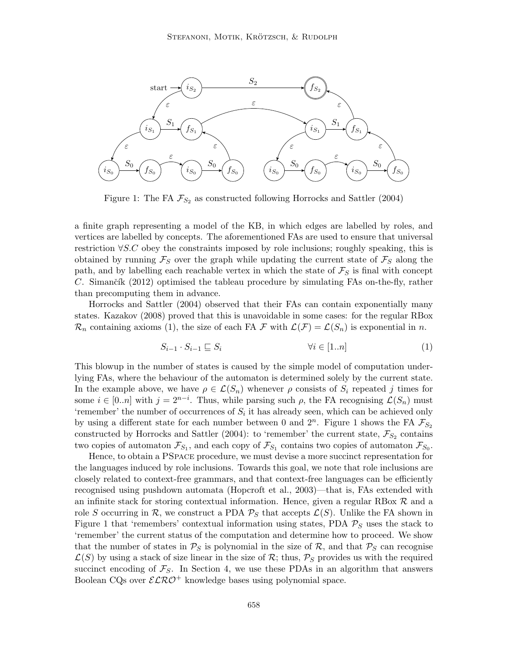

Figure 1: The FA  $\mathcal{F}_{S_2}$  as constructed following Horrocks and Sattler (2004)

a finite graph representing a model of the KB, in which edges are labelled by roles, and vertices are labelled by concepts. The aforementioned FAs are used to ensure that universal restriction ∀S.C obey the constraints imposed by role inclusions; roughly speaking, this is obtained by running  $\mathcal{F}_S$  over the graph while updating the current state of  $\mathcal{F}_S$  along the path, and by labelling each reachable vertex in which the state of  $\mathcal{F}_S$  is final with concept C. Simančík (2012) optimised the tableau procedure by simulating FAs on-the-fly, rather than precomputing them in advance.

Horrocks and Sattler (2004) observed that their FAs can contain exponentially many states. Kazakov (2008) proved that this is unavoidable in some cases: for the regular RBox  $\mathcal{R}_n$  containing axioms (1), the size of each FA F with  $\mathcal{L}(\mathcal{F}) = \mathcal{L}(S_n)$  is exponential in n.

$$
S_{i-1} \cdot S_{i-1} \sqsubseteq S_i \qquad \qquad \forall i \in [1..n] \tag{1}
$$

This blowup in the number of states is caused by the simple model of computation underlying FAs, where the behaviour of the automaton is determined solely by the current state. In the example above, we have  $\rho \in \mathcal{L}(S_n)$  whenever  $\rho$  consists of  $S_i$  repeated j times for some  $i \in [0..n]$  with  $j = 2^{n-i}$ . Thus, while parsing such  $\rho$ , the FA recognising  $\mathcal{L}(S_n)$  must 'remember' the number of occurrences of  $S_i$  it has already seen, which can be achieved only by using a different state for each number between 0 and  $2^n$ . Figure 1 shows the FA  $\mathcal{F}_{S_2}$ constructed by Horrocks and Sattler (2004): to 'remember' the current state,  $\mathcal{F}_{S_2}$  contains two copies of automaton  $\mathcal{F}_{S_1}$ , and each copy of  $\mathcal{F}_{S_1}$  contains two copies of automaton  $\mathcal{F}_{S_0}$ .

Hence, to obtain a PSpace procedure, we must devise a more succinct representation for the languages induced by role inclusions. Towards this goal, we note that role inclusions are closely related to context-free grammars, and that context-free languages can be efficiently recognised using pushdown automata (Hopcroft et al., 2003)—that is, FAs extended with an infinite stack for storing contextual information. Hence, given a regular RBox  $R$  and a role S occurring in R, we construct a PDA  $P_S$  that accepts  $\mathcal{L}(S)$ . Unlike the FA shown in Figure 1 that 'remembers' contextual information using states, PDA  $P<sub>S</sub>$  uses the stack to 'remember' the current status of the computation and determine how to proceed. We show that the number of states in  $\mathcal{P}_S$  is polynomial in the size of  $\mathcal{R}$ , and that  $\mathcal{P}_S$  can recognise  $\mathcal{L}(S)$  by using a stack of size linear in the size of R; thus,  $\mathcal{P}_S$  provides us with the required succinct encoding of  $\mathcal{F}_S$ . In Section 4, we use these PDAs in an algorithm that answers Boolean CQs over  $\mathcal{ELRO}^+$  knowledge bases using polynomial space.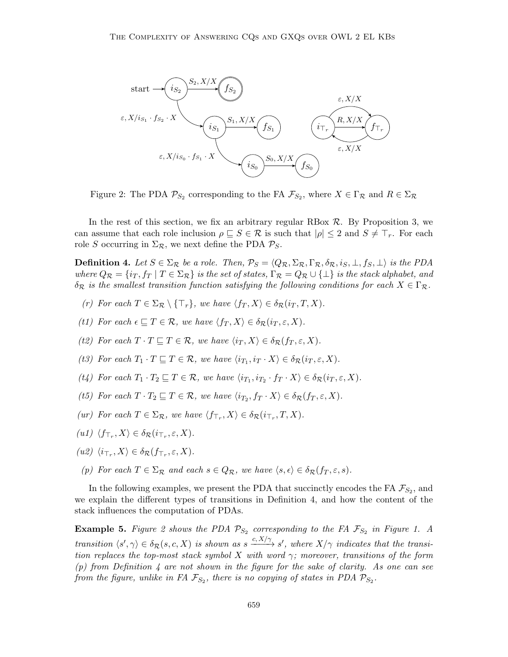

Figure 2: The PDA  $\mathcal{P}_{S_2}$  corresponding to the FA  $\mathcal{F}_{S_2}$ , where  $X \in \Gamma_{\mathcal{R}}$  and  $R \in \Sigma_{\mathcal{R}}$ 

In the rest of this section, we fix an arbitrary regular RBox  $\mathcal{R}$ . By Proposition 3, we can assume that each role inclusion  $\rho \subseteq S \in \mathcal{R}$  is such that  $|\rho| \leq 2$  and  $S \neq \top_r$ . For each role S occurring in  $\Sigma_{\mathcal{R}}$ , we next define the PDA  $\mathcal{P}_S$ .

**Definition 4.** Let  $S \in \Sigma_{\mathcal{R}}$  be a role. Then,  $\mathcal{P}_S = \langle Q_{\mathcal{R}}, \Sigma_{\mathcal{R}}, \Gamma_{\mathcal{R}}, \delta_{\mathcal{R}}, i_S, \bot, f_S, \bot \rangle$  is the PDA where  $Q_{\mathcal{R}} = \{i_T, f_T \mid T \in \Sigma_{\mathcal{R}}\}$  is the set of states,  $\Gamma_{\mathcal{R}} = Q_{\mathcal{R}} \cup \{\bot\}$  is the stack alphabet, and  $\delta_{\mathcal{R}}$  is the smallest transition function satisfying the following conditions for each  $X \in \Gamma_{\mathcal{R}}$ .

- (r) For each  $T \in \Sigma_{\mathcal{R}} \setminus {\{\mathsf{T}_r\}}$ , we have  $\langle f_T, X \rangle \in \delta_{\mathcal{R}}(i_T, T, X)$ .
- (t1) For each  $\epsilon \subseteq T \in \mathcal{R}$ , we have  $\langle f_T, X \rangle \in \delta_{\mathcal{R}}(i_T, \varepsilon, X)$ .
- (t2) For each  $T \cdot T \sqsubseteq T \in \mathcal{R}$ , we have  $\langle i_T, X \rangle \in \delta_{\mathcal{R}}(f_T, \varepsilon, X)$ .
- (t3) For each  $T_1 \cdot T \sqsubseteq T \in \mathcal{R}$ , we have  $\langle i_{T_1}, i_T \cdot X \rangle \in \delta_{\mathcal{R}}(i_T, \varepsilon, X)$ .
- (t4) For each  $T_1 \cdot T_2 \sqsubseteq T \in \mathcal{R}$ , we have  $\langle i_{T_1}, i_{T_2} \cdot f_T \cdot X \rangle \in \delta_{\mathcal{R}}(i_T, \varepsilon, X)$ .
- (t5) For each  $T \cdot T_2 \sqsubseteq T \in \mathcal{R}$ , we have  $\langle i_{T_2}, f_T \cdot X \rangle \in \delta_{\mathcal{R}}(f_T, \varepsilon, X)$ .
- (ur) For each  $T \in \Sigma_{\mathcal{R}}$ , we have  $\langle f_{\top_r}, X \rangle \in \delta_{\mathcal{R}}(i_{\top_r}, T, X)$ .
- $(ul) \langle f_{\top_r}, X \rangle \in \delta_{\mathcal{R}}(i_{\top_r}, \varepsilon, X).$
- $(uz) \langle i_{\top_r}, X \rangle \in \delta_{\mathcal{R}}(f_{\top_r}, \varepsilon, X).$
- (p) For each  $T \in \Sigma_{\mathcal{R}}$  and each  $s \in Q_{\mathcal{R}}$ , we have  $\langle s, \epsilon \rangle \in \delta_{\mathcal{R}}(f_T, \varepsilon, s)$ .

In the following examples, we present the PDA that succinctly encodes the FA  $\mathcal{F}_{S_2}$ , and we explain the different types of transitions in Definition 4, and how the content of the stack influences the computation of PDAs.

**Example 5.** Figure 2 shows the PDA  $\mathcal{P}_{S_2}$  corresponding to the FA  $\mathcal{F}_{S_2}$  in Figure 1. A transition  $\langle s', \gamma \rangle \in \delta_{\mathcal{R}}(s, c, X)$  is shown as  $s \xrightarrow{c, X/\gamma} s'$ , where  $X/\gamma$  indicates that the transition replaces the top-most stack symbol X with word  $\gamma$ ; moreover, transitions of the form  $(p)$  from Definition 4 are not shown in the figure for the sake of clarity. As one can see from the figure, unlike in FA  $\mathcal{F}_{S_2}$ , there is no copying of states in PDA  $\mathcal{P}_{S_2}$ .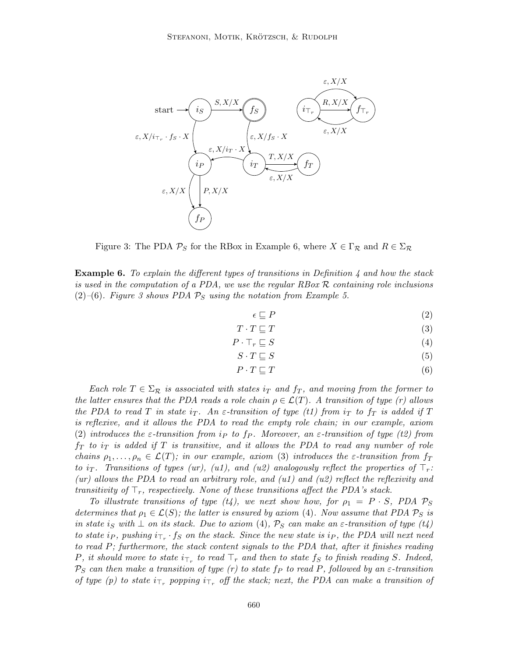

Figure 3: The PDA  $\mathcal{P}_S$  for the RBox in Example 6, where  $X \in \Gamma_{\mathcal{R}}$  and  $R \in \Sigma_{\mathcal{R}}$ 

**Example 6.** To explain the different types of transitions in Definition 4 and how the stack is used in the computation of a PDA, we use the regular RBox  $R$  containing role inclusions (2)–(6). Figure 3 shows PDA  $\mathcal{P}_S$  using the notation from Example 5.

 $\epsilon \sqsubseteq P$  (2)

$$
T \cdot T \sqsubseteq T \tag{3}
$$

$$
P \cdot \top_r \sqsubseteq S \tag{4}
$$

$$
S \cdot T \sqsubseteq S \tag{5}
$$

$$
P \cdot T \sqsubseteq T \tag{6}
$$

Each role  $T \in \Sigma_{\mathcal{R}}$  is associated with states  $i_T$  and  $f_T$ , and moving from the former to the latter ensures that the PDA reads a role chain  $\rho \in \mathcal{L}(T)$ . A transition of type (r) allows the PDA to read T in state i<sub>T</sub>. An  $\varepsilon$ -transition of type (t1) from i<sub>T</sub> to f<sub>T</sub> is added if T is reflexive, and it allows the PDA to read the empty role chain; in our example, axiom (2) introduces the  $\varepsilon$ -transition from i<sub>P</sub> to f<sub>P</sub>. Moreover, an  $\varepsilon$ -transition of type (t2) from  $f_T$  to  $i_T$  is added if T is transitive, and it allows the PDA to read any number of role chains  $\rho_1, \ldots, \rho_n \in \mathcal{L}(T)$ ; in our example, axiom (3) introduces the  $\varepsilon$ -transition from  $f_T$ to i<sub>T</sub>. Transitions of types (ur), (u1), and (u2) analogously reflect the properties of  $\top_r$ :  $(ur)$  allows the PDA to read an arbitrary role, and  $(u1)$  and  $(u2)$  reflect the reflexivity and transitivity of  $\mathsf{T}_r$ , respectively. None of these transitions affect the PDA's stack.

To illustrate transitions of type (t4), we next show how, for  $\rho_1 = P \cdot S$ , PDA  $P_S$ determines that  $\rho_1 \in \mathcal{L}(S)$ ; the latter is ensured by axiom (4). Now assume that PDA  $\mathcal{P}_S$  is in state is with  $\perp$  on its stack. Due to axiom (4),  $\mathcal{P}_S$  can make an  $\varepsilon$ -transition of type (t4) to state i<sub>P</sub>, pushing  $i_{\top_r} \cdot f_S$  on the stack. Since the new state is i<sub>P</sub>, the PDA will next need to read P; furthermore, the stack content signals to the PDA that, after it finishes reading P, it should move to state  $i_{\top_r}$  to read  $\top_r$  and then to state  $f_S$  to finish reading S. Indeed,  $P_S$  can then make a transition of type (r) to state  $f_P$  to read P, followed by an  $\varepsilon$ -transition of type (p) to state  $i_{\tau_r}$  popping  $i_{\tau_r}$  off the stack; next, the PDA can make a transition of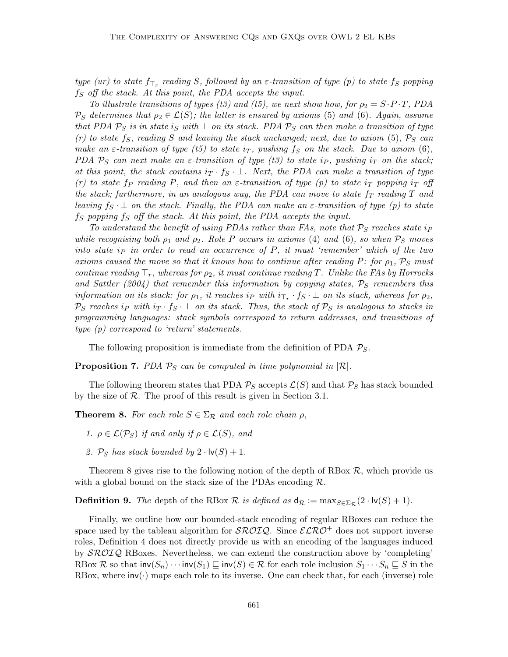type (ur) to state  $f_{\top_r}$  reading S, followed by an  $\varepsilon$ -transition of type (p) to state  $f_S$  popping  $f_S$  off the stack. At this point, the PDA accepts the input.

To illustrate transitions of types (t3) and (t5), we next show how, for  $\rho_2 = S \cdot P \cdot T$ , PDA  $\mathcal{P}_S$  determines that  $\rho_2 \in \mathcal{L}(S)$ ; the latter is ensured by axioms (5) and (6). Again, assume that PDA  $P_S$  is in state is with  $\perp$  on its stack. PDA  $P_S$  can then make a transition of type  $(r)$  to state  $f_S$ , reading S and leaving the stack unchanged; next, due to axiom (5),  $\mathcal{P}_S$  can make an  $\varepsilon$ -transition of type (t5) to state i<sub>T</sub>, pushing  $f_S$  on the stack. Due to axiom (6), PDA  $P_S$  can next make an  $\varepsilon$ -transition of type (t3) to state i<sub>P</sub>, pushing i<sub>T</sub> on the stack; at this point, the stack contains  $i\mathcal{I} \cdot f_S \cdot \bot$ . Next, the PDA can make a transition of type (r) to state fp reading P, and then an  $\varepsilon$ -transition of type (p) to state i<sub>T</sub> popping i<sub>T</sub> off the stack; furthermore, in an analogous way, the PDA can move to state  $f_T$  reading  $T$  and leaving  $f_S \perp$  on the stack. Finally, the PDA can make an  $\varepsilon$ -transition of type (p) to state  $f_S$  popping  $f_S$  off the stack. At this point, the PDA accepts the input.

To understand the benefit of using PDAs rather than FAs, note that  $P_S$  reaches state i<sub>P</sub> while recognising both  $\rho_1$  and  $\rho_2$ . Role P occurs in axioms (4) and (6), so when  $\mathcal{P}_S$  moves into state  $i<sub>P</sub>$  in order to read an occurrence of  $P$ , it must 'remember' which of the two axioms caused the move so that it knows how to continue after reading P: for  $\rho_1$ ,  $\mathcal{P}_S$  must continue reading  $\top_r$ , whereas for  $\rho_2$ , it must continue reading T. Unlike the FAs by Horrocks and Sattler (2004) that remember this information by copying states,  $P_S$  remembers this information on its stack: for  $\rho_1$ , it reaches  $i_P$  with  $i_{\top_r} \cdot f_S \cdot \bot$  on its stack, whereas for  $\rho_2$ ,  $\mathcal{P}_S$  reaches ip with  $i_T \cdot f_S \cdot \bot$  on its stack. Thus, the stack of  $\mathcal{P}_S$  is analogous to stacks in programming languages: stack symbols correspond to return addresses, and transitions of type (p) correspond to 'return' statements.

The following proposition is immediate from the definition of PDA  $P_S$ .

**Proposition 7.** PDA  $P_S$  can be computed in time polynomial in  $\mathcal{R}$ .

The following theorem states that PDA  $P_S$  accepts  $\mathcal{L}(S)$  and that  $P_S$  has stack bounded by the size of  $\mathcal R$ . The proof of this result is given in Section 3.1.

**Theorem 8.** For each role  $S \in \Sigma_{\mathcal{R}}$  and each role chain  $\rho$ ,

- 1.  $\rho \in \mathcal{L}(\mathcal{P}_S)$  if and only if  $\rho \in \mathcal{L}(S)$ , and
- 2.  $\mathcal{P}_S$  has stack bounded by  $2 \cdot \mathsf{lv}(S) + 1$ .

Theorem 8 gives rise to the following notion of the depth of RBox  $\mathcal{R}$ , which provide us with a global bound on the stack size of the PDAs encoding  $\mathcal{R}$ .

**Definition 9.** The depth of the RBox  $\mathcal R$  is defined as  $d_{\mathcal R} := \max_{S \in \Sigma_{\mathcal R}} (2 \cdot \text{lv}(S) + 1)$ .

Finally, we outline how our bounded-stack encoding of regular RBoxes can reduce the space used by the tableau algorithm for  $\mathcal{SROLQ}$ . Since  $\mathcal{ELRO}^+$  does not support inverse roles, Definition 4 does not directly provide us with an encoding of the languages induced by SROIQ RBoxes. Nevertheless, we can extend the construction above by 'completing' RBox R so that  $inv(S_n) \cdots inv(S_1) \sqsubseteq inv(S) \in \mathcal{R}$  for each role inclusion  $S_1 \cdots S_n \sqsubseteq S$  in the RBox, where  $\text{inv}(\cdot)$  maps each role to its inverse. One can check that, for each (inverse) role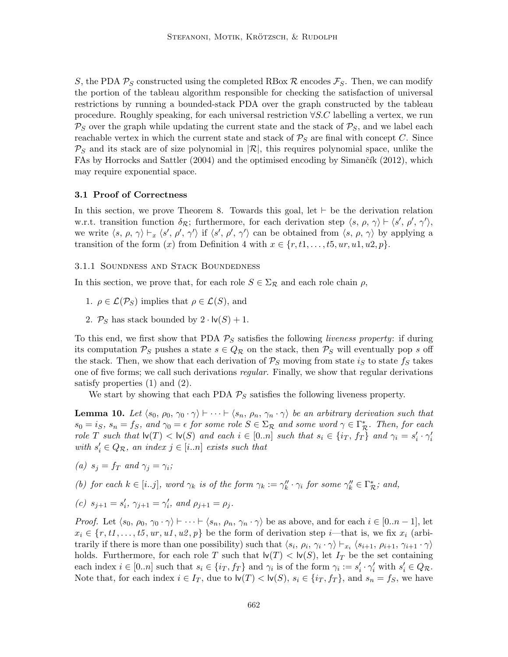S, the PDA  $\mathcal{P}_S$  constructed using the completed RBox  $\mathcal{R}$  encodes  $\mathcal{F}_S$ . Then, we can modify the portion of the tableau algorithm responsible for checking the satisfaction of universal restrictions by running a bounded-stack PDA over the graph constructed by the tableau procedure. Roughly speaking, for each universal restriction  $\forall S.C$  labelling a vertex, we run  $P_S$  over the graph while updating the current state and the stack of  $P_S$ , and we label each reachable vertex in which the current state and stack of  $P<sub>S</sub>$  are final with concept C. Since  $P_S$  and its stack are of size polynomial in  $\mathcal{R}$ , this requires polynomial space, unlike the FAs by Horrocks and Sattler  $(2004)$  and the optimised encoding by Simančík  $(2012)$ , which may require exponential space.

### 3.1 Proof of Correctness

In this section, we prove Theorem 8. Towards this goal, let  $\vdash$  be the derivation relation w.r.t. transition function  $\delta_{\mathcal{R}}$ ; furthermore, for each derivation step  $\langle s, \rho, \gamma \rangle \vdash \langle s', \rho', \gamma' \rangle$ , we write  $\langle s, \rho, \gamma \rangle \vdash_x \langle s', \rho', \gamma' \rangle$  if  $\langle s', \rho', \gamma' \rangle$  can be obtained from  $\langle s, \rho, \gamma \rangle$  by applying a transition of the form  $(x)$  from Definition 4 with  $x \in \{r, t_1, \ldots, t_5, u_r, u_1, u_2, p\}.$ 

3.1.1 Soundness and Stack Boundedness

In this section, we prove that, for each role  $S \in \Sigma_{\mathcal{R}}$  and each role chain  $\rho$ ,

- 1.  $\rho \in \mathcal{L}(\mathcal{P}_S)$  implies that  $\rho \in \mathcal{L}(S)$ , and
- 2.  $\mathcal{P}_S$  has stack bounded by  $2 \cdot \mathsf{lv}(S) + 1$ .

To this end, we first show that PDA  $P<sub>S</sub>$  satisfies the following liveness property: if during its computation  $P_S$  pushes a state  $s \in Q_{\mathcal{R}}$  on the stack, then  $P_S$  will eventually pop s off the stack. Then, we show that each derivation of  $P_S$  moving from state is to state  $f_S$  takes one of five forms; we call such derivations *regular*. Finally, we show that regular derivations satisfy properties (1) and (2).

We start by showing that each PDA  $P<sub>S</sub>$  satisfies the following liveness property.

**Lemma 10.** Let  $\langle s_0, \rho_0, \gamma_0 \cdot \gamma \rangle \vdash \cdots \vdash \langle s_n, \rho_n, \gamma_n \cdot \gamma \rangle$  be an arbitrary derivation such that  $s_0 = i_S$ ,  $s_n = f_S$ , and  $\gamma_0 = \epsilon$  for some role  $S \in \Sigma_{\mathcal{R}}$  and some word  $\gamma \in \Gamma_{\mathcal{R}}^*$ . Then, for each role T such that  $\mathsf{lv}(T) < \mathsf{lv}(S)$  and each  $i \in [0..n]$  such that  $s_i \in \{i_T, f_T\}$  and  $\gamma_i = s'_i \cdot \gamma'_i$ with  $s_i' \in Q_{\mathcal{R}}$ , an index  $j \in [i..n]$  exists such that

(a) 
$$
s_j = f_T
$$
 and  $\gamma_j = \gamma_i$ ;

(b) for each  $k \in [i..j]$ , word  $\gamma_k$  is of the form  $\gamma_k := \gamma_k'' \cdot \gamma_i$  for some  $\gamma_k'' \in \Gamma_{\mathcal{R}}^*$ ; and,

(c) 
$$
s_{j+1} = s'_i
$$
,  $\gamma_{j+1} = \gamma'_i$ , and  $\rho_{j+1} = \rho_j$ .

*Proof.* Let  $\langle s_0, \rho_0, \gamma_0 \cdot \gamma \rangle \vdash \cdots \vdash \langle s_n, \rho_n, \gamma_n \cdot \gamma \rangle$  be as above, and for each  $i \in [0..n-1]$ , let  $x_i \in \{r, t_1, \ldots, t_5, u_r, u_1, u_2, p\}$  be the form of derivation step *i*—that is, we fix  $x_i$  (arbitrarily if there is more than one possibility) such that  $\langle s_i, \rho_i, \gamma_i \cdot \gamma \rangle \vdash_{x_i} \langle s_{i+1}, \rho_{i+1}, \gamma_{i+1} \cdot \gamma \rangle$ holds. Furthermore, for each role T such that  $\mathsf{lv}(T) < \mathsf{lv}(S)$ , let  $I_T$  be the set containing each index  $i \in [0..n]$  such that  $s_i \in \{i_T, f_T\}$  and  $\gamma_i$  is of the form  $\gamma_i := s'_i \cdot \gamma'_i$  with  $s'_i \in Q_{\mathcal{R}}$ . Note that, for each index  $i \in I_T$ , due to  $\mathsf{lv}(T) < \mathsf{lv}(S)$ ,  $s_i \in \{i_T, f_T\}$ , and  $s_n = f_S$ , we have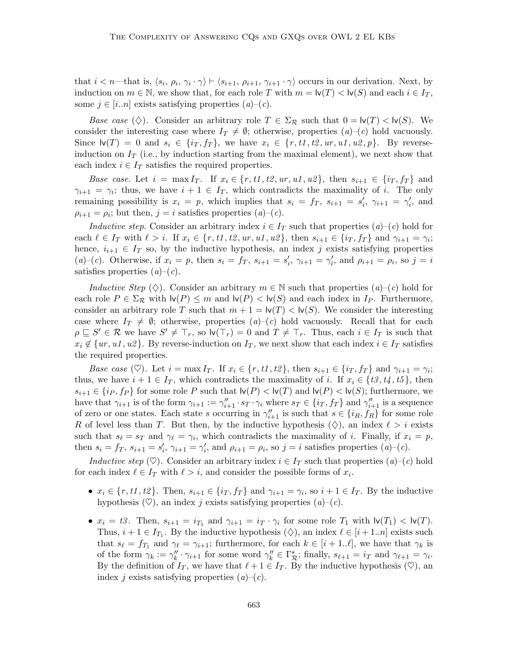that  $i < n$ —that is,  $\langle s_i, \rho_i, \gamma_i \cdot \gamma \rangle \vdash \langle s_{i+1}, \rho_{i+1}, \gamma_{i+1} \cdot \gamma \rangle$  occurs in our derivation. Next, by induction on  $m \in \mathbb{N}$ , we show that, for each role T with  $m = \mathsf{lv}(T) < \mathsf{lv}(S)$  and each  $i \in I_T$ , some  $j \in [i..n]$  exists satisfying properties  $(a)-(c)$ .

Base case  $(\diamondsuit)$ . Consider an arbitrary role  $T \in \Sigma_{\mathcal{R}}$  such that  $0 = \mathsf{lv}(T) < \mathsf{lv}(S)$ . We consider the interesting case where  $I_T \neq \emptyset$ ; otherwise, properties  $(a)-(c)$  hold vacuously. Since  $\mathsf{lv}(T) = 0$  and  $s_i \in \{i_T, f_T\}$ , we have  $x_i \in \{r, t1, t2, ur, u1, u2, p\}$ . By reverseinduction on  $I_T$  (i.e., by induction starting from the maximal element), we next show that each index  $i \in I_T$  satisfies the required properties.

Base case. Let  $i = \max I_T$ . If  $x_i \in \{r, t_1, t_2, ur, ut, u_2\}$ , then  $s_{i+1} \in \{ir, fr\}$  and  $\gamma_{i+1} = \gamma_i$ ; thus, we have  $i+1 \in I_T$ , which contradicts the maximality of i. The only remaining possibility is  $x_i = p$ , which implies that  $s_i = f_T$ ,  $s_{i+1} = s'_i$ ,  $\gamma_{i+1} = \gamma'_i$ , and  $\rho_{i+1} = \rho_i$ ; but then,  $j = i$  satisfies properties  $(a)-(c)$ .

Inductive step. Consider an arbitrary index  $i \in I_T$  such that properties  $(a)-(c)$  hold for each  $\ell \in I_T$  with  $\ell > i$ . If  $x_i \in \{r, t1, t2, ur, u1, u2\}$ , then  $s_{i+1} \in \{i_T, f_T\}$  and  $\gamma_{i+1} = \gamma_i$ ; hence,  $i_{i+1} \in I_T$  so, by the inductive hypothesis, an index j exists satisfying properties (a)–(c). Otherwise, if  $x_i = p$ , then  $s_i = f_T$ ,  $s_{i+1} = s'_i$ ,  $\gamma_{i+1} = \gamma'_i$ , and  $\rho_{i+1} = \rho_i$ , so  $j = i$ satisfies properties  $(a)-(c)$ .

Inductive Step ( $\diamondsuit$ ). Consider an arbitrary  $m \in \mathbb{N}$  such that properties  $(a)-(c)$  hold for each role  $P \in \Sigma_{\mathcal{R}}$  with  $\mathsf{lv}(P) \leq m$  and  $\mathsf{lv}(P) < \mathsf{lv}(S)$  and each index in  $I_P$ . Furthermore, consider an arbitrary role T such that  $m + 1 = \mathsf{lv}(T) < \mathsf{lv}(S)$ . We consider the interesting case where  $I_T \neq \emptyset$ ; otherwise, properties  $(a)-(c)$  hold vacuously. Recall that for each  $\rho \subseteq S' \in \mathcal{R}$  we have  $S' \neq \top_r$ , so  $\mathsf{lv}(\top_r) = 0$  and  $T \neq \top_r$ . Thus, each  $i \in I_T$  is such that  $x_i \notin \{ur, u_1, u_2\}$ . By reverse-induction on  $I_T$ , we next show that each index  $i \in I_T$  satisfies the required properties.

Base case ( $\heartsuit$ ). Let  $i = \max I_T$ . If  $x_i \in \{r, t_1, t_2\}$ , then  $s_{i+1} \in \{i_T, f_T\}$  and  $\gamma_{i+1} = \gamma_i$ ; thus, we have  $i + 1 \in I_T$ , which contradicts the maximality of i. If  $x_i \in \{t3, t4, t5\}$ , then  $s_{i+1} \in \{i_P, f_P\}$  for some role P such that  $\mathsf{lv}(P) < \mathsf{lv}(T)$  and  $\mathsf{lv}(P) < \mathsf{lv}(S)$ ; furthermore, we have that  $\gamma_{i+1}$  is of the form  $\gamma_{i+1} := \gamma''_{i+1} \cdot s_T \cdot \gamma_i$  where  $s_T \in \{i_T, f_T\}$  and  $\gamma''_{i+1}$  is a sequence of zero or one states. Each state s occurring in  $\gamma''_{i+1}$  is such that  $s \in \{i_R, f_R\}$  for some role R of level less than T. But then, by the inductive hypothesis  $(\diamondsuit)$ , an index  $\ell > i$  exists such that  $s_\ell = s_T$  and  $\gamma_\ell = \gamma_i$ , which contradicts the maximality of i. Finally, if  $x_i = p$ , then  $s_i = f_T$ ,  $s_{i+1} = s'_i$ ,  $\gamma_{i+1} = \gamma'_i$ , and  $\rho_{i+1} = \rho_i$ , so  $j = i$  satisfies properties  $(a)$ - $(c)$ .

Inductive step ( $\heartsuit$ ). Consider an arbitrary index  $i \in I_T$  such that properties  $(a)-(c)$  hold for each index  $\ell \in I_T$  with  $\ell > i$ , and consider the possible forms of  $x_i$ .

- $x_i \in \{r, t1, t2\}$ . Then,  $s_{i+1} \in \{i, f_T\}$  and  $\gamma_{i+1} = \gamma_i$ , so  $i + 1 \in I_T$ . By the inductive hypothesis  $(\heartsuit)$ , an index j exists satisfying properties  $(a)-(c)$ .
- $x_i = t3$ . Then,  $s_{i+1} = i_{T_1}$  and  $\gamma_{i+1} = i_T \cdot \gamma_i$  for some role  $T_1$  with  $\mathsf{lv}(T_1) < \mathsf{lv}(T)$ . Thus,  $i + 1 \in I_{T_1}$ . By the inductive hypothesis  $(\diamondsuit)$ , an index  $\ell \in [i + 1..n]$  exists such that  $s_\ell = f_{T_1}$  and  $\gamma_\ell = \gamma_{i+1}$ ; furthermore, for each  $k \in [i + 1..\ell]$ , we have that  $\gamma_k$  is of the form  $\gamma_k := \gamma_k'' \cdot \gamma_{i+1}$  for some word  $\gamma_k'' \in \Gamma_{\mathcal{R}}^*$ ; finally,  $s_{\ell+1} = i_T$  and  $\gamma_{\ell+1} = \gamma_i$ . By the definition of  $I_T$ , we have that  $\ell + 1 \in I_T$ . By the inductive hypothesis ( $\heartsuit$ ), an index j exists satisfying properties  $(a)-(c)$ .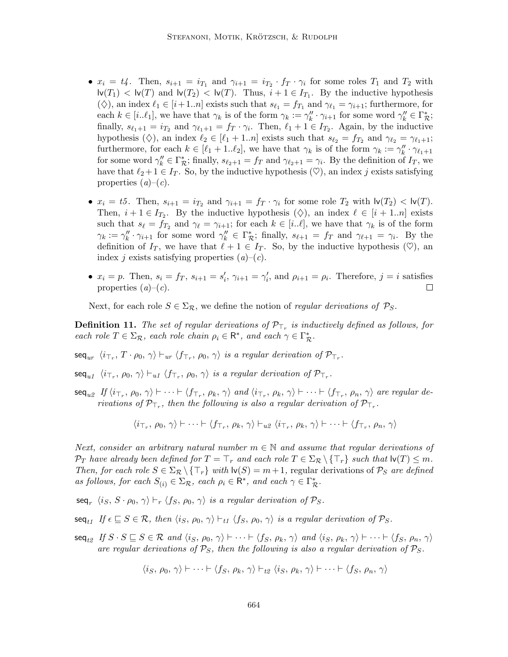- $x_i = t_4$ . Then,  $s_{i+1} = i_{T_1}$  and  $\gamma_{i+1} = i_{T_2} \cdot f_T \cdot \gamma_i$  for some roles  $T_1$  and  $T_2$  with  $\mathsf{lv}(T_1) < \mathsf{lv}(T)$  and  $\mathsf{lv}(T_2) < \mathsf{lv}(T)$ . Thus,  $i+1 \in I_{T_1}$ . By the inductive hypothesis ( $\diamondsuit$ ), an index  $\ell_1 \in [i+1..n]$  exists such that  $s_{\ell_1} = f_{T_1}$  and  $\gamma_{\ell_1} = \gamma_{i+1}$ ; furthermore, for each  $k \in [i..\ell_1]$ , we have that  $\gamma_k$  is of the form  $\gamma_k := \gamma_k'' \cdot \gamma_{i+1}$  for some word  $\gamma_k'' \in \Gamma_{\mathcal{R}}^*$ ; finally,  $s_{\ell_1+1} = i_{T_2}$  and  $\gamma_{\ell_1+1} = f_T \cdot \gamma_i$ . Then,  $\ell_1 + 1 \in I_{T_2}$ . Again, by the inductive hypothesis ( $\diamondsuit$ ), an index  $\ell_2 \in [\ell_1 + 1..n]$  exists such that  $s_{\ell_2} = f_{T_2}$  and  $\gamma_{\ell_2} = \gamma_{\ell_1+1}$ ; furthermore, for each  $k \in [\ell_1 + 1..\ell_2]$ , we have that  $\gamma_k$  is of the form  $\gamma_k := \gamma_k'' \cdot \gamma_{\ell_1+1}$ for some word  $\gamma_k'' \in \Gamma_{\mathcal{R}}^*$ ; finally,  $s_{\ell_2+1} = f_T$  and  $\gamma_{\ell_2+1} = \gamma_i$ . By the definition of  $I_T$ , we have that  $\ell_2 + 1 \in I_T$ . So, by the inductive hypothesis  $(\heartsuit)$ , an index j exists satisfying properties  $(a)-(c)$ .
- $x_i = t5$ . Then,  $s_{i+1} = i_{T_2}$  and  $\gamma_{i+1} = f_T \cdot \gamma_i$  for some role  $T_2$  with  $\mathsf{lv}(T_2) < \mathsf{lv}(T)$ . Then,  $i + 1 \in I_{T_2}$ . By the inductive hypothesis  $(\diamondsuit)$ , an index  $\ell \in [i + 1..n]$  exists such that  $s_\ell = f_{T_2}$  and  $\gamma_\ell = \gamma_{i+1}$ ; for each  $k \in [i..\ell]$ , we have that  $\gamma_k$  is of the form  $\gamma_k := \gamma_k'' \cdot \gamma_{i+1}$  for some word  $\gamma_k'' \in \Gamma_{\mathcal{R}}^*$ ; finally,  $s_{\ell+1} = f_T$  and  $\gamma_{\ell+1} = \gamma_i$ . By the definition of  $I_T$ , we have that  $\ell + 1 \in I_T$ . So, by the inductive hypothesis ( $\heartsuit$ ), an index j exists satisfying properties  $(a)-(c)$ .
- $x_i = p$ . Then,  $s_i = f_T$ ,  $s_{i+1} = s'_i$ ,  $\gamma_{i+1} = \gamma'_i$ , and  $\rho_{i+1} = \rho_i$ . Therefore,  $j = i$  satisfies properties  $(a)-(c)$ .  $\Box$

Next, for each role  $S \in \Sigma_{\mathcal{R}}$ , we define the notion of *regular derivations of*  $\mathcal{P}_S$ .

**Definition 11.** The set of regular derivations of  $\mathcal{P}_{\top_r}$  is inductively defined as follows, for each role  $T \in \Sigma_{\mathcal{R}}$ , each role chain  $\rho_i \in \mathsf{R}^*$ , and each  $\gamma \in \Gamma_{\mathcal{R}}^*$ .

 $\mathsf{seq}_{ur} \ \langle i \tau_r, \, T \cdot \rho_0, \, \gamma \rangle \vdash_{ur} \langle f_{\tau_r}, \, \rho_0, \, \gamma \rangle \, \, \textit{is a regular derivation of} \ \mathcal{P}_{\tau_r}.$ 

 $\mathsf{seq}_{u1} \ \langle i_{\top_r}, \, \rho_0, \, \gamma \rangle \vdash_{u1} \langle f_{\top_r}, \, \rho_0, \, \gamma \rangle \, \, \text{is a regular derivation of} \ \mathcal{P}_{\top_r}.$ 

 $\mathsf{seq}_{u2}$  If  $\langle i_{\top_r}, \rho_0, \gamma \rangle \vdash \cdots \vdash \langle f_{\top_r}, \rho_k, \gamma \rangle$  and  $\langle i_{\top_r}, \rho_k, \gamma \rangle \vdash \cdots \vdash \langle f_{\top_r}, \rho_n, \gamma \rangle$  are regular derivations of  $\mathcal{P}_{\top_r}$ , then the following is also a regular derivation of  $\mathcal{P}_{\top_r}$ .

$$
\langle i_{\tau_r}, \rho_0, \gamma \rangle \vdash \dots \vdash \langle f_{\tau_r}, \rho_k, \gamma \rangle \vdash_{u\mathcal{Z}} \langle i_{\tau_r}, \rho_k, \gamma \rangle \vdash \dots \vdash \langle f_{\tau_r}, \rho_n, \gamma \rangle
$$

Next, consider an arbitrary natural number  $m \in \mathbb{N}$  and assume that regular derivations of  $\mathcal{P}_T$  have already been defined for  $T = \top_r$  and each role  $T \in \Sigma_{\mathcal{R}} \setminus {\top_r}$  such that  $\mathsf{lv}(T) \leq m$ . Then, for each role  $S \in \Sigma_{\mathcal{R}} \backslash \{\top_r\}$  with  $\mathsf{lv}(S) = m+1$ , regular derivations of  $\mathcal{P}_S$  are defined as follows, for each  $S_{(i)} \in \Sigma_{\mathcal{R}}$ , each  $\rho_i \in \mathsf{R}^*$ , and each  $\gamma \in \Gamma_{\mathcal{R}}^*$ .

 $\mathsf{seq}_r \ \langle i_S, \, S \cdot \rho_0, \, \gamma \rangle \vdash_r \langle f_S, \, \rho_0, \, \gamma \rangle$  is a regular derivation of  $\mathcal{P}_S.$ 

- $\mathsf{seq}_{t1}$  If  $\epsilon \subseteq S \in \mathcal{R}$ , then  $\langle i_S, \rho_0, \gamma \rangle \vdash_{t1} \langle f_S, \rho_0, \gamma \rangle$  is a regular derivation of  $\mathcal{P}_S$ .
- $\mathsf{seq}_{t2}$  If  $S \cdot S \sqsubseteq S \in \mathcal{R}$  and  $\langle i_S, \rho_0, \gamma \rangle \vdash \cdots \vdash \langle f_S, \rho_k, \gamma \rangle$  and  $\langle i_S, \rho_k, \gamma \rangle \vdash \cdots \vdash \langle f_S, \rho_n, \gamma \rangle$ are regular derivations of  $P_S$ , then the following is also a regular derivation of  $P_S$ .

$$
\langle i_S, \rho_0, \gamma \rangle \vdash \cdots \vdash \langle f_S, \rho_k, \gamma \rangle \vdash_{t2} \langle i_S, \rho_k, \gamma \rangle \vdash \cdots \vdash \langle f_S, \rho_n, \gamma \rangle
$$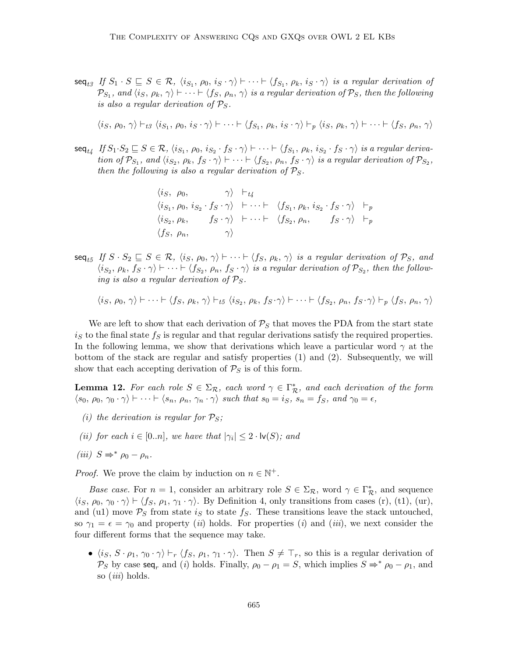$\mathsf{seq}_{t3}$  If  $S_1 \cdot S \sqsubseteq S \in \mathcal{R}, \ \langle i_{S_1}, \rho_0, i_S \cdot \gamma \rangle \vdash \cdots \vdash \langle f_{S_1}, \rho_k, i_S \cdot \gamma \rangle$  is a regular derivation of  $\mathcal{P}_{S_1},$  and  $\langle i_S, \rho_k, \gamma\rangle \vdash \cdots \vdash \langle f_S, \rho_n, \gamma\rangle$  is a regular derivation of  $\mathcal{P}_S,$  then the following is also a regular derivation of  $P_S$ .

 $\langle i_S, \rho_0, \gamma \rangle \vdash_{t3} \langle i_{S_1}, \rho_0, i_S \cdot \gamma \rangle \vdash \cdots \vdash \langle f_{S_1}, \rho_k, i_S \cdot \gamma \rangle \vdash_p \langle i_S, \rho_k, \gamma \rangle \vdash \cdots \vdash \langle f_S, \rho_n, \gamma \rangle$ 

 $\mathsf{seq}_{t_4}$  If  $S_1 \cdot S_2 \sqsubseteq S \in \mathcal{R}$ ,  $\langle i_{S_1}, \rho_0, i_{S_2} \cdot f_S \cdot \gamma \rangle \vdash \cdots \vdash \langle f_{S_1}, \rho_k, i_{S_2} \cdot f_S \cdot \gamma \rangle$  is a regular derivation of  $\mathcal{P}_{S_1}$ , and  $\langle i_{S_2}, \rho_k, f_S \cdot \gamma \rangle \vdash \cdots \vdash \langle f_{S_2}, \rho_n, f_S \cdot \gamma \rangle$  is a regular derivation of  $\mathcal{P}_{S_2}$ , then the following is also a regular derivation of  $P_S$ .

$$
\langle i_S, \rho_0, \gamma \rangle \vdash_{t4} \langle i_{S_1}, \rho_0, i_{S_2} \cdot f_S \cdot \gamma \rangle \vdash \cdots \vdash \langle f_{S_1}, \rho_k, i_{S_2} \cdot f_S \cdot \gamma \rangle \vdash_p \langle i_{S_2}, \rho_k, f_S \cdot \gamma \rangle \vdash \cdots \vdash \langle f_{S_2}, \rho_n, f_S \cdot \gamma \rangle \vdash_p \langle f_S, \rho_n, \gamma \rangle
$$

 $\mathsf{seq}_{t5}$  If  $S \cdot S_2 \sqsubseteq S \in \mathcal{R}, \ \langle i_S, \rho_0, \gamma \rangle \vdash \cdots \vdash \langle f_S, \rho_k, \gamma \rangle$  is a regular derivation of  $\mathcal{P}_S$ , and  $\langle i_{S_2}, \rho_k, f_S \cdot \gamma \rangle \vdash \cdots \vdash \langle f_{S_2}, \rho_n, f_S \cdot \gamma \rangle$  is a regular derivation of  $\mathcal{P}_{S_2}$ , then the following is also a regular derivation of  $P_S$ .

$$
\langle i_S, \rho_0, \gamma \rangle \vdash \cdots \vdash \langle f_S, \rho_k, \gamma \rangle \vdash_{t5} \langle i_{S_2}, \rho_k, f_S \cdot \gamma \rangle \vdash \cdots \vdash \langle f_{S_2}, \rho_n, f_S \cdot \gamma \rangle \vdash_p \langle f_S, \rho_n, \gamma \rangle
$$

We are left to show that each derivation of  $P<sub>S</sub>$  that moves the PDA from the start state  $i<sub>S</sub>$  to the final state  $f<sub>S</sub>$  is regular and that regular derivations satisfy the required properties. In the following lemma, we show that derivations which leave a particular word  $\gamma$  at the bottom of the stack are regular and satisfy properties (1) and (2). Subsequently, we will show that each accepting derivation of  $P_S$  is of this form.

**Lemma 12.** For each role  $S \in \Sigma_{\mathcal{R}}$ , each word  $\gamma \in \Gamma_{\mathcal{R}}^*$ , and each derivation of the form  $\langle s_0, \rho_0, \gamma_0 \cdot \gamma \rangle \vdash \cdots \vdash \langle s_n, \rho_n, \gamma_n \cdot \gamma \rangle$  such that  $s_0 = i_S$ ,  $s_n = f_S$ , and  $\gamma_0 = \epsilon$ ,

- (i) the derivation is regular for  $P_S$ ;
- (ii) for each  $i \in [0..n]$ , we have that  $|\gamma_i| \leq 2 \cdot \mathsf{lv}(S)$ ; and
- (iii)  $S \Rightarrow^* \rho_0 \rho_n$ .

*Proof.* We prove the claim by induction on  $n \in \mathbb{N}^+$ .

Base case. For  $n = 1$ , consider an arbitrary role  $S \in \Sigma_{\mathcal{R}}$ , word  $\gamma \in \Gamma_{\mathcal{R}}^*$ , and sequence  $\langle i_S, \rho_0, \gamma_0 \cdot \gamma \rangle \vdash \langle f_S, \rho_1, \gamma_1 \cdot \gamma \rangle$ . By Definition 4, only transitions from cases (r), (t1), (ur), and (u1) move  $P_S$  from state is to state  $f_S$ . These transitions leave the stack untouched, so  $\gamma_1 = \epsilon = \gamma_0$  and property (*ii*) holds. For properties (*i*) and (*iii*), we next consider the four different forms that the sequence may take.

•  $\langle i_S, S \cdot \rho_1, \gamma_0 \cdot \gamma \rangle \vdash_r \langle f_S, \rho_1, \gamma_1 \cdot \gamma \rangle$ . Then  $S \neq \top_r$ , so this is a regular derivation of  $\mathcal{P}_S$  by case seq<sub>r</sub> and (i) holds. Finally,  $\rho_0 - \rho_1 = S$ , which implies  $S \Rightarrow^* \rho_0 - \rho_1$ , and so *(iii)* holds.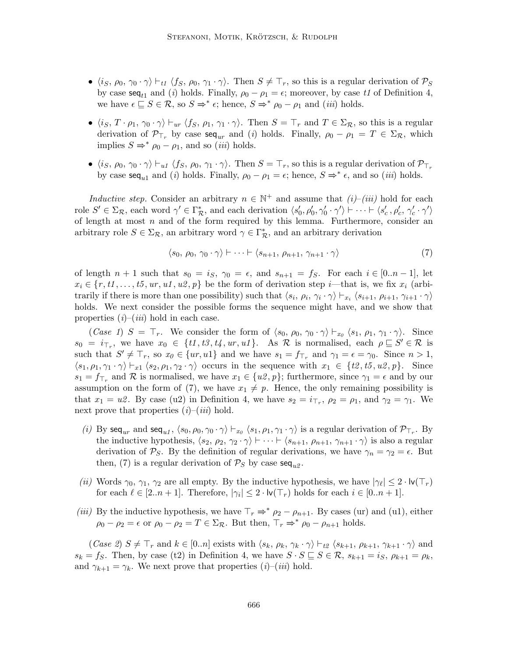- $\langle i_S, \rho_0, \gamma_0 \cdot \gamma \rangle \vdash_{t1} \langle f_S, \rho_0, \gamma_1 \cdot \gamma \rangle$ . Then  $S \neq \top_r$ , so this is a regular derivation of  $\mathcal{P}_S$ by case  $\text{seq}_{t1}$  and (i) holds. Finally,  $\rho_0 - \rho_1 = \epsilon$ ; moreover, by case t1 of Definition 4, we have  $\epsilon \subseteq S \in \mathcal{R}$ , so  $S \Rightarrow^* \epsilon$ ; hence,  $S \Rightarrow^* \rho_0 - \rho_1$  and (*iii*) holds.
- $\langle i_S, T \cdot \rho_1, \gamma_0 \cdot \gamma \rangle \vdash_{ur} \langle f_S, \rho_1, \gamma_1 \cdot \gamma \rangle$ . Then  $S = \top_r$  and  $T \in \Sigma_{\mathcal{R}}$ , so this is a regular derivation of  $\mathcal{P}_{\top_r}$  by case seq<sub>ur</sub> and (i) holds. Finally,  $\rho_0 - \rho_1 = T \in \Sigma_{\mathcal{R}}$ , which implies  $S \Rightarrow^* \rho_0 - \rho_1$ , and so *(iii)* holds.
- $\langle i_S, \rho_0, \gamma_0 \cdot \gamma \rangle \vdash_{u1} \langle f_S, \rho_0, \gamma_1 \cdot \gamma \rangle$ . Then  $S = \top_r$ , so this is a regular derivation of  $\mathcal{P}_{\top_r}$ by case  $\text{seq}_{u1}$  and (*i*) holds. Finally,  $\rho_0 - \rho_1 = \epsilon$ ; hence,  $S \Rightarrow^* \epsilon$ , and so (*iii*) holds.

Inductive step. Consider an arbitrary  $n \in \mathbb{N}^+$  and assume that  $(i)$ – $(iii)$  hold for each role  $S' \in \Sigma_{\mathcal{R}}$ , each word  $\gamma' \in \Gamma_{\mathcal{R}}^*$ , and each derivation  $\langle s_0', \rho_0', \gamma_0' \cdot \gamma' \rangle \vdash \cdots \vdash \langle s_c', \rho_c', \gamma_c' \cdot \gamma' \rangle$ of length at most  $n$  and of the form required by this lemma. Furthermore, consider an arbitrary role  $S \in \Sigma_{\mathcal{R}}$ , an arbitrary word  $\gamma \in \Gamma_{\mathcal{R}}^*$ , and an arbitrary derivation

$$
\langle s_0, \rho_0, \gamma_0 \cdot \gamma \rangle \vdash \dots \vdash \langle s_{n+1}, \rho_{n+1}, \gamma_{n+1} \cdot \gamma \rangle \tag{7}
$$

of length  $n + 1$  such that  $s_0 = i_S$ ,  $\gamma_0 = \epsilon$ , and  $s_{n+1} = f_S$ . For each  $i \in [0..n-1]$ , let  $x_i \in \{r, t_1, \ldots, t_5, ur, u_1, u_2, p\}$  be the form of derivation step *i*—that is, we fix  $x_i$  (arbitrarily if there is more than one possibility) such that  $\langle s_i, \rho_i, \gamma_i \cdot \gamma \rangle \vdash_{x_i} \langle s_{i+1}, \rho_{i+1}, \gamma_{i+1} \cdot \gamma \rangle$ holds. We next consider the possible forms the sequence might have, and we show that properties  $(i)$ – $(iii)$  hold in each case.

(Case 1)  $S = \top_r$ . We consider the form of  $\langle s_0, \rho_0, \gamma_0 \cdot \gamma \rangle \vdash_{x_0} \langle s_1, \rho_1, \gamma_1 \cdot \gamma \rangle$ . Since  $s_0 = i_{\top_r}$ , we have  $x_0 \in \{t_1, t_3, t_4, ur, u_1\}$ . As R is normalised, each  $\rho \sqsubseteq S' \in \mathcal{R}$  is such that  $S' \neq \top_r$ , so  $x_0 \in \{ur, u_1\}$  and we have  $s_1 = f_{\top_r}$  and  $\gamma_1 = \epsilon = \gamma_0$ . Since  $n > 1$ ,  $\langle s_1, \rho_1, \gamma_1 \cdot \gamma \rangle \vdash_{x_1} \langle s_2, \rho_1, \gamma_2 \cdot \gamma \rangle$  occurs in the sequence with  $x_1 \in \{t_2, t_5, u_2, p\}$ . Since  $s_1 = f_{\top_r}$  and R is normalised, we have  $x_1 \in \{u\mathcal{Z}, p\}$ ; furthermore, since  $\gamma_1 = \epsilon$  and by our assumption on the form of (7), we have  $x_1 \neq p$ . Hence, the only remaining possibility is that  $x_1 = u\mathcal{Z}$ . By case (u2) in Definition 4, we have  $s_2 = i_{\top_r}$ ,  $\rho_2 = \rho_1$ , and  $\gamma_2 = \gamma_1$ . We next prove that properties  $(i)$ – $(iii)$  hold.

- (i) By seq<sub>ur</sub> and seq<sub>u1</sub>,  $\langle s_0, \rho_0, \gamma_0 \cdot \gamma \rangle \vdash_{x_0} \langle s_1, \rho_1, \gamma_1 \cdot \gamma \rangle$  is a regular derivation of  $\mathcal{P}_{\top_r}$ . By the inductive hypothesis,  $\langle s_2, \rho_2, \gamma_2 \cdot \gamma \rangle \vdash \cdots \vdash \langle s_{n+1}, \rho_{n+1}, \gamma_{n+1} \cdot \gamma \rangle$  is also a regular derivation of  $P_S$ . By the definition of regular derivations, we have  $\gamma_n = \gamma_2 = \epsilon$ . But then, (7) is a regular derivation of  $\mathcal{P}_S$  by case  $\mathsf{seq}_{u2}$ .
- (ii) Words  $\gamma_0, \gamma_1, \gamma_2$  are all empty. By the inductive hypothesis, we have  $|\gamma_\ell| \leq 2 \cdot \ln(\top_r)$ for each  $\ell \in [2..n+1]$ . Therefore,  $|\gamma_i| \leq 2 \cdot \mathsf{lv}(\mathsf{T}_r)$  holds for each  $i \in [0..n+1]$ .
- (iii) By the inductive hypothesis, we have  $\top_r \Rightarrow^* \rho_2 \rho_{n+1}$ . By cases (ur) and (u1), either  $\rho_0 - \rho_2 = \epsilon$  or  $\rho_0 - \rho_2 = T \in \Sigma_{\mathcal{R}}$ . But then,  $\top_r \Rightarrow^* \rho_0 - \rho_{n+1}$  holds.

(Case 2)  $S \neq \top_r$  and  $k \in [0..n]$  exists with  $\langle s_k, \rho_k, \gamma_k \cdot \gamma \rangle \vdash_{t2} \langle s_{k+1}, \rho_{k+1}, \gamma_{k+1} \cdot \gamma \rangle$  and  $s_k = f_S$ . Then, by case (t2) in Definition 4, we have  $S \cdot S \subseteq S \in \mathcal{R}$ ,  $s_{k+1} = i_S$ ,  $\rho_{k+1} = \rho_k$ , and  $\gamma_{k+1} = \gamma_k$ . We next prove that properties  $(i)$ – $(iii)$  hold.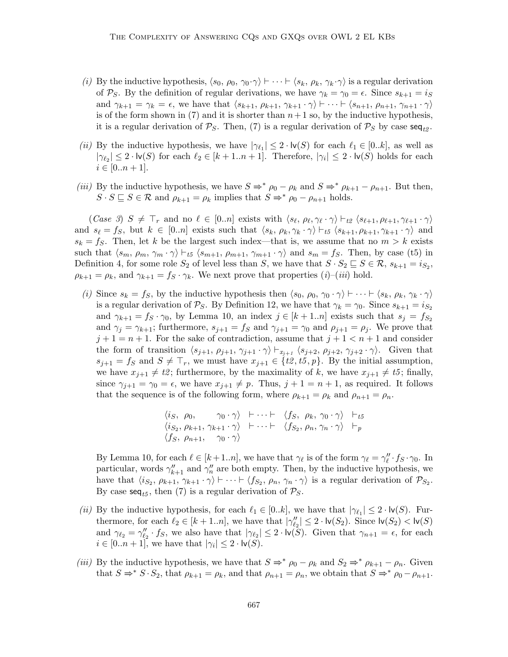- (i) By the inductive hypothesis,  $\langle s_0, \rho_0, \gamma_0 \cdot \gamma \rangle \vdash \cdots \vdash \langle s_k, \rho_k, \gamma_k \cdot \gamma \rangle$  is a regular derivation of P<sub>S</sub>. By the definition of regular derivations, we have  $\gamma_k = \gamma_0 = \epsilon$ . Since  $s_{k+1} = i_S$ and  $\gamma_{k+1} = \gamma_k = \epsilon$ , we have that  $\langle s_{k+1}, \rho_{k+1}, \gamma_{k+1} \cdot \gamma \rangle \vdash \cdots \vdash \langle s_{n+1}, \rho_{n+1}, \gamma_{n+1} \cdot \gamma \rangle$ is of the form shown in (7) and it is shorter than  $n+1$  so, by the inductive hypothesis, it is a regular derivation of  $\mathcal{P}_S$ . Then, (7) is a regular derivation of  $\mathcal{P}_S$  by case seq<sub>t2</sub>.
- (ii) By the inductive hypothesis, we have  $|\gamma_{\ell_1}| \leq 2 \cdot \mathsf{lv}(S)$  for each  $\ell_1 \in [0..k]$ , as well as  $|\gamma_{\ell_2}| \leq 2 \cdot \textsf{lv}(S)$  for each  $\ell_2 \in [k+1..n+1]$ . Therefore,  $|\gamma_i| \leq 2 \cdot \textsf{lv}(S)$  holds for each  $i \in [0..n+1].$
- (iii) By the inductive hypothesis, we have  $S \Rightarrow^* \rho_0 \rho_k$  and  $S \Rightarrow^* \rho_{k+1} \rho_{n+1}$ . But then,  $S \cdot S \subseteq S \in \mathcal{R}$  and  $\rho_{k+1} = \rho_k$  implies that  $S \Rightarrow^* \rho_0 - \rho_{n+1}$  holds.

 $(Case 3)$   $S \neq \top_r$  and no  $\ell \in [0..n]$  exists with  $\langle s_{\ell}, \rho_{\ell}, \gamma_{\ell} \cdot \gamma \rangle \vdash_{t2} \langle s_{\ell+1}, \rho_{\ell+1}, \gamma_{\ell+1} \cdot \gamma \rangle$ and  $s_{\ell} = f_S$ , but  $k \in [0..n]$  exists such that  $\langle s_k, \rho_k, \gamma_k \cdot \gamma \rangle \vdash_{t5} \langle s_{k+1}, \rho_{k+1}, \gamma_{k+1} \cdot \gamma \rangle$  and  $s_k = f_S$ . Then, let k be the largest such index—that is, we assume that no  $m > k$  exists such that  $\langle s_m, \rho_m, \gamma_m \cdot \gamma \rangle \vdash_{t5} \langle s_{m+1}, \rho_{m+1}, \gamma_{m+1} \cdot \gamma \rangle$  and  $s_m = fs$ . Then, by case (t5) in Definition 4, for some role  $S_2$  of level less than S, we have that  $S \cdot S_2 \sqsubseteq S \in \mathcal{R}$ ,  $s_{k+1} = i_{S_2}$ ,  $\rho_{k+1} = \rho_k$ , and  $\gamma_{k+1} = f_S \cdot \gamma_k$ . We next prove that properties  $(i)$ – $(iii)$  hold.

(i) Since  $s_k = f_s$ , by the inductive hypothesis then  $\langle s_0, \rho_0, \gamma_0 \cdot \gamma \rangle \vdash \cdots \vdash \langle s_k, \rho_k, \gamma_k \cdot \gamma \rangle$ is a regular derivation of  $P_S$ . By Definition 12, we have that  $\gamma_k = \gamma_0$ . Since  $s_{k+1} = i_{S_2}$ and  $\gamma_{k+1} = f_S \cdot \gamma_0$ , by Lemma 10, an index  $j \in [k+1..n]$  exists such that  $s_j = f_{S_2}$ and  $\gamma_j = \gamma_{k+1}$ ; furthermore,  $s_{j+1} = f_s$  and  $\gamma_{j+1} = \gamma_0$  and  $\rho_{j+1} = \rho_j$ . We prove that  $j+1 = n+1$ . For the sake of contradiction, assume that  $j+1 < n+1$  and consider the form of transition  $\langle s_{j+1}, \rho_{j+1}, \gamma_{j+1} \cdot \gamma \rangle \vdash_{x_{j+1}} \langle s_{j+2}, \rho_{j+2}, \gamma_{j+2} \cdot \gamma \rangle$ . Given that  $s_{j+1} = f_S$  and  $S \neq \top_r$ , we must have  $x_{j+1} \in \{t\mathcal{Z}, t\mathcal{Z}, t\mathcal{Z}, t\mathcal{Z}\}$ . By the initial assumption, we have  $x_{j+1} \neq t^2$ ; furthermore, by the maximality of k, we have  $x_{j+1} \neq t^2$ ; finally, since  $\gamma_{j+1} = \gamma_0 = \epsilon$ , we have  $x_{j+1} \neq p$ . Thus,  $j + 1 = n + 1$ , as required. It follows that the sequence is of the following form, where  $\rho_{k+1} = \rho_k$  and  $\rho_{n+1} = \rho_n$ .

$$
\langle i_S, \rho_0, \gamma_0 \cdot \gamma \rangle \vdash \cdots \vdash \langle f_S, \rho_k, \gamma_0 \cdot \gamma \rangle \vdash_{t5} \langle i_{S_2}, \rho_{k+1}, \gamma_{k+1} \cdot \gamma \rangle \vdash \cdots \vdash \langle f_{S_2}, \rho_n, \gamma_n \cdot \gamma \rangle \vdash_p \langle f_S, \rho_{n+1}, \gamma_0 \cdot \gamma \rangle
$$

By Lemma 10, for each  $\ell \in [k+1..n]$ , we have that  $\gamma_{\ell}$  is of the form  $\gamma_{\ell} = \gamma_{\ell}'' \cdot f_S \cdot \gamma_0$ . In particular, words  $\gamma_{k+1}''$  and  $\gamma_n''$  are both empty. Then, by the inductive hypothesis, we have that  $\langle i_{S_2}, \rho_{k+1}, \gamma_{k+1} \cdot \gamma \rangle \vdash \cdots \vdash \langle f_{S_2}, \rho_n, \gamma_n \cdot \gamma \rangle$  is a regular derivation of  $\mathcal{P}_{S_2}$ . By case  $\text{seq}_{t5}$ , then (7) is a regular derivation of  $\mathcal{P}_s$ .

- (ii) By the inductive hypothesis, for each  $\ell_1 \in [0..k]$ , we have that  $|\gamma_{\ell_1}| \leq 2 \cdot \text{lv}(S)$ . Furthermore, for each  $\ell_2 \in [k+1..n]$ , we have that  $|\gamma''_{\ell_2}| \leq 2 \cdot \text{lv}(S_2)$ . Since  $\text{lv}(S_2) < \text{lv}(S)$ and  $\gamma_{\ell_2} = \gamma_{\ell_2}'' \cdot f_S$ , we also have that  $|\gamma_{\ell_2}| \leq 2 \cdot \text{lv}(\tilde{S})$ . Given that  $\gamma_{n+1} = \epsilon$ , for each  $i \in [0..n+1]$ , we have that  $|\gamma_i| \leq 2 \cdot \mathsf{lv}(S)$ .
- (iii) By the inductive hypothesis, we have that  $S \Rightarrow^* \rho_0 \rho_k$  and  $S_2 \Rightarrow^* \rho_{k+1} \rho_n$ . Given that  $S \Rightarrow^* S \cdot S_2$ , that  $\rho_{k+1} = \rho_k$ , and that  $\rho_{n+1} = \rho_n$ , we obtain that  $S \Rightarrow^* \rho_0 - \rho_{n+1}$ .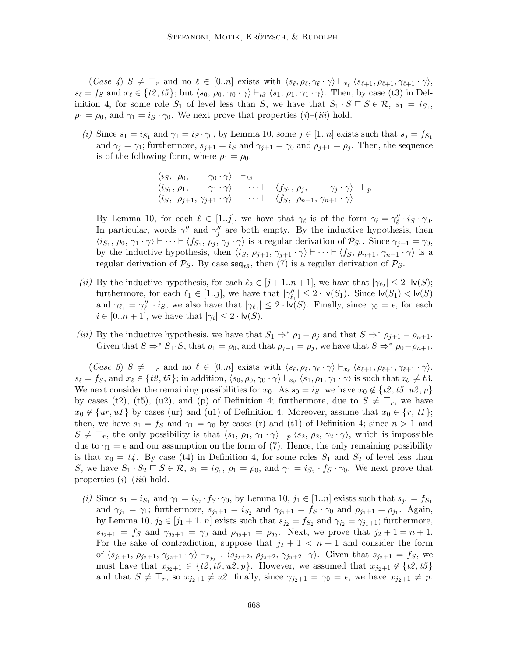$(Case \nvert A)$   $S \neq \top_r$  and no  $\ell \in [0..n]$  exists with  $\langle s_{\ell}, \rho_{\ell}, \gamma_{\ell} \cdot \gamma \rangle \vdash_{x_{\ell}} \langle s_{\ell+1}, \rho_{\ell+1}, \gamma_{\ell+1} \cdot \gamma \rangle$ ,  $s_{\ell} = f_S$  and  $x_{\ell} \in \{t2, t5\}$ ; but  $\langle s_0, \rho_0, \gamma_0 \cdot \gamma \rangle \vdash_{t3} \langle s_1, \rho_1, \gamma_1 \cdot \gamma \rangle$ . Then, by case (t3) in Definition 4, for some role  $S_1$  of level less than  $S$ , we have that  $S_1 \cdot S \subseteq S \in \mathcal{R}$ ,  $s_1 = i_{S_1}$ ,  $\rho_1 = \rho_0$ , and  $\gamma_1 = i_S \cdot \gamma_0$ . We next prove that properties  $(i)$ – $(iii)$  hold.

(i) Since  $s_1 = i_{S_1}$  and  $\gamma_1 = i_S \cdot \gamma_0$ , by Lemma 10, some  $j \in [1..n]$  exists such that  $s_j = f_{S_1}$ and  $\gamma_j = \gamma_1$ ; furthermore,  $s_{j+1} = i_S$  and  $\gamma_{j+1} = \gamma_0$  and  $\rho_{j+1} = \rho_j$ . Then, the sequence is of the following form, where  $\rho_1 = \rho_0$ .

$$
\begin{array}{ccc}\n\langle i_S, \rho_0, & \gamma_0 \cdot \gamma \rangle & \vdash_{t} \mathcal{F} \\
\langle i_{S_1}, \rho_1, & \gamma_1 \cdot \gamma \rangle & \vdash \cdots \vdash & \langle f_{S_1}, \rho_j, & \gamma_j \cdot \gamma \rangle & \vdash_p \\
\langle i_S, \rho_{j+1}, \gamma_{j+1} \cdot \gamma \rangle & \vdash \cdots \vdash & \langle f_S, \rho_{n+1}, \gamma_{n+1} \cdot \gamma \rangle\n\end{array}
$$

By Lemma 10, for each  $\ell \in [1..j]$ , we have that  $\gamma_{\ell}$  is of the form  $\gamma_{\ell} = \gamma_{\ell}'' \cdot i_S \cdot \gamma_0$ . In particular, words  $\gamma_1''$  and  $\gamma_j''$  are both empty. By the inductive hypothesis, then  $\langle i_{S_1}, \rho_0, \gamma_1 \cdot \gamma \rangle \vdash \cdots \vdash \langle f_{S_1}, \rho_j, \gamma_j \cdot \gamma \rangle$  is a regular derivation of  $\mathcal{P}_{S_1}$ . Since  $\gamma_{j+1} = \gamma_0$ , by the inductive hypothesis, then  $\langle i_S, \rho_{j+1}, \gamma_{j+1} \cdot \gamma \rangle \vdash \cdots \vdash \langle f_S, \rho_{n+1}, \gamma_{n+1} \cdot \gamma \rangle$  is a regular derivation of  $P_S$ . By case  $seq_{t3}$ , then (7) is a regular derivation of  $P_S$ .

- (ii) By the inductive hypothesis, for each  $\ell_2 \in [j + 1..n + 1]$ , we have that  $|\gamma_{\ell_2}| \leq 2 \cdot \mathsf{lv}(S)$ ; furthermore, for each  $\ell_1 \in [1..j]$ , we have that  $|\gamma''_{\ell_1}| \leq 2 \cdot \text{lv}(S_1)$ . Since  $\text{lv}(S_1) < \text{lv}(S)$ and  $\gamma_{\ell_1} = \gamma_{\ell_1}'' \cdot i_S$ , we also have that  $|\gamma_{\ell_1}| \leq 2 \cdot \overline{\mathsf{iv}}(S)$ . Finally, since  $\gamma_0 = \epsilon$ , for each  $i \in [0..n+1]$ , we have that  $|\gamma_i| \leq 2 \cdot \mathsf{lv}(S)$ .
- (iii) By the inductive hypothesis, we have that  $S_1 \Rightarrow^* \rho_1 \rho_i$  and that  $S \Rightarrow^* \rho_{i+1} \rho_{n+1}$ . Given that  $S \Rightarrow^* S_1 \cdot S$ , that  $\rho_1 = \rho_0$ , and that  $\rho_{j+1} = \rho_j$ , we have that  $S \Rightarrow^* \rho_0 - \rho_{n+1}$ .

 $(Case 5)$   $S \neq \top_r$  and no  $\ell \in [0..n]$  exists with  $\langle s_{\ell}, \rho_{\ell}, \gamma_{\ell} \cdot \gamma \rangle \vdash_{x_{\ell}} \langle s_{\ell+1}, \rho_{\ell+1}, \gamma_{\ell+1} \cdot \gamma \rangle$ ,  $s_{\ell} = f_S$ , and  $x_{\ell} \in \{t2, t5\}$ ; in addition,  $\langle s_0, \rho_0, \gamma_0 \cdot \gamma \rangle \vdash_{x_0} \langle s_1, \rho_1, \gamma_1 \cdot \gamma \rangle$  is such that  $x_0 \neq t3$ . We next consider the remaining possibilities for  $x_0$ . As  $s_0 = i_S$ , we have  $x_0 \notin \{t2, t5, u2, p\}$ by cases (t2), (t5), (u2), and (p) of Definition 4; furthermore, due to  $S \neq \top_r$ , we have  $x_0 \notin \{ur, u1\}$  by cases (ur) and (u1) of Definition 4. Moreover, assume that  $x_0 \in \{r, t1\};$ then, we have  $s_1 = f_S$  and  $\gamma_1 = \gamma_0$  by cases (r) and (t1) of Definition 4; since  $n > 1$  and  $S \neq \top_r$ , the only possibility is that  $\langle s_1, \rho_1, \gamma_1 \cdot \gamma \rangle \vdash_p \langle s_2, \rho_2, \gamma_2 \cdot \gamma \rangle$ , which is impossible due to  $\gamma_1 = \epsilon$  and our assumption on the form of (7). Hence, the only remaining possibility is that  $x_0 = t_4$ . By case (t4) in Definition 4, for some roles  $S_1$  and  $S_2$  of level less than S, we have  $S_1 \cdot S_2 \sqsubseteq S \in \mathcal{R}$ ,  $s_1 = i_{S_1}$ ,  $\rho_1 = \rho_0$ , and  $\gamma_1 = i_{S_2} \cdot f_S \cdot \gamma_0$ . We next prove that properties  $(i)$ – $(iii)$  hold.

(i) Since  $s_1 = i_{S_1}$  and  $\gamma_1 = i_{S_2} \cdot f_S \cdot \gamma_0$ , by Lemma 10,  $j_1 \in [1..n]$  exists such that  $s_{j_1} = f_{S_1}$ and  $\gamma_{j_1} = \gamma_1$ ; furthermore,  $s_{j_1+1} = i_{S_2}$  and  $\gamma_{j_1+1} = f_S \cdot \gamma_0$  and  $\rho_{j_1+1} = \rho_{j_1}$ . Again, by Lemma 10,  $j_2 \in [j_1 + 1..n]$  exists such that  $s_{j_2} = f_{S_2}$  and  $\gamma_{j_2} = \gamma_{j_1+1}$ ; furthermore,  $s_{j_2+1} = f_S$  and  $\gamma_{j_2+1} = \gamma_0$  and  $\rho_{j_2+1} = \rho_{j_2}$ . Next, we prove that  $j_2 + 1 = n + 1$ . For the sake of contradiction, suppose that  $j_2 + 1 < n + 1$  and consider the form of  $\langle s_{j_2+1}, \rho_{j_2+1}, \gamma_{j_2+1} \cdot \gamma \rangle \vdash_{x_{j_2+1}} \langle s_{j_2+2}, \rho_{j_2+2}, \gamma_{j_2+2} \cdot \gamma \rangle$ . Given that  $s_{j_2+1} = f_S$ , we must have that  $x_{j_2+1} \in \{t\mathcal{Z}, t\mathcal{Z}, t\mathcal{Z}, t\mathcal{Y}\}\.$  However, we assumed that  $x_{j_2+1} \notin \{t\mathcal{Z}, t\mathcal{Z}\}\.$ and that  $S \neq \top_r$ , so  $x_{j_2+1} \neq u^2$ ; finally, since  $\gamma_{j_2+1} = \gamma_0 = \epsilon$ , we have  $x_{j_2+1} \neq p$ .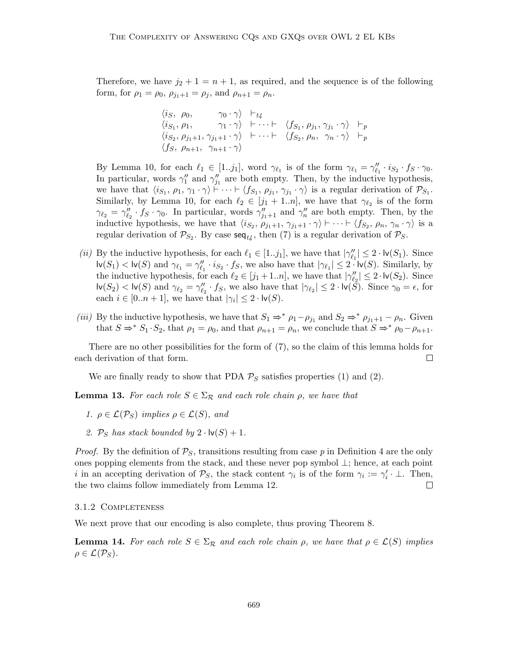Therefore, we have  $j_2 + 1 = n + 1$ , as required, and the sequence is of the following form, for  $\rho_1 = \rho_0$ ,  $\rho_{j_1+1} = \rho_j$ , and  $\rho_{n+1} = \rho_n$ .

$$
\langle i_S, \rho_0, \gamma_0 \cdot \gamma \rangle \vdash_{t_4} \n\langle i_{S_1}, \rho_1, \gamma_1 \cdot \gamma \rangle \vdash \cdots \vdash \langle f_{S_1}, \rho_{j_1}, \gamma_{j_1} \cdot \gamma \rangle \vdash_p \n\langle i_{S_2}, \rho_{j_1+1}, \gamma_{j_1+1} \cdot \gamma \rangle \vdash \cdots \vdash \langle f_{S_2}, \rho_n, \gamma_n \cdot \gamma \rangle \vdash_p \n\langle f_S, \rho_{n+1}, \gamma_{n+1} \cdot \gamma \rangle
$$

By Lemma 10, for each  $\ell_1 \in [1..j_1]$ , word  $\gamma_{\ell_1}$  is of the form  $\gamma_{\ell_1} = \gamma_{\ell_1}'' \cdot i_{S_2} \cdot f_S \cdot \gamma_0$ . In particular, words  $\gamma_1''$  and  $\gamma_{j_1}''$  are both empty. Then, by the inductive hypothesis, we have that  $\langle i_{S_1}, \rho_1, \gamma_1 \cdot \gamma \rangle \vdash \cdots \vdash \langle f_{S_1}, \rho_{j_1}, \gamma_{j_1} \cdot \gamma \rangle$  is a regular derivation of  $\mathcal{P}_{S_1}$ . Similarly, by Lemma 10, for each  $\ell_2 \in [j_1 + 1..n]$ , we have that  $\gamma_{\ell_2}$  is of the form  $\gamma_{\ell_2} = \gamma_{\ell_2}'' \cdot f_S \cdot \gamma_0$ . In particular, words  $\gamma_{j_1+1}''$  and  $\gamma_n''$  are both empty. Then, by the inductive hypothesis, we have that  $\langle i_{S_2}, \rho_{j_1+1}, \gamma_{j_1+1} \cdot \gamma \rangle \vdash \cdots \vdash \langle f_{S_2}, \rho_n, \gamma_n \cdot \gamma \rangle$  is a regular derivation of  $\mathcal{P}_{S_2}$ . By case  $\mathsf{seq}_{t_4}$ , then (7) is a regular derivation of  $\mathcal{P}_S$ .

- (ii) By the inductive hypothesis, for each  $\ell_1 \in [1..j_1]$ , we have that  $|\gamma''_{\ell_1}| \leq 2 \cdot \text{lv}(S_1)$ . Since  $\mathsf{lv}(S_1) < \mathsf{lv}(S)$  and  $\gamma_{\ell_1} = \gamma''_{\ell_1} \cdot i_{S_2} \cdot f_S$ , we also have that  $|\gamma_{\ell_1}| \leq 2 \cdot \mathsf{lv}(S)$ . Similarly, by the inductive hypothesis, for each  $\ell_2 \in [j_1 + 1..n]$ , we have that  $|\gamma''_{\ell_2}| \leq 2 \cdot \log(S_2)$ . Since  $\mathsf{lv}(S_2) < \mathsf{lv}(S)$  and  $\gamma_{\ell_2} = \gamma_{\ell_2}'' \cdot f_S$ , we also have that  $|\gamma_{\ell_2}| \leq 2 \cdot \mathsf{lv}(\tilde{S})$ . Since  $\gamma_0 = \epsilon$ , for each  $i \in [0..n+1]$ , we have that  $|\gamma_i| \leq 2 \cdot \mathsf{lv}(S)$ .
- (iii) By the inductive hypothesis, we have that  $S_1 \Rightarrow^* \rho_1 \rho_{j_1}$  and  $S_2 \Rightarrow^* \rho_{j_1+1} \rho_n$ . Given that  $S \Rightarrow^* S_1 \cdot S_2$ , that  $\rho_1 = \rho_0$ , and that  $\rho_{n+1} = \rho_n$ , we conclude that  $S \Rightarrow^* \rho_0 - \rho_{n+1}$ .

There are no other possibilities for the form of (7), so the claim of this lemma holds for each derivation of that form.  $\perp$ 

We are finally ready to show that PDA  $P_S$  satisfies properties (1) and (2).

**Lemma 13.** For each role  $S \in \Sigma_{\mathcal{R}}$  and each role chain  $\rho$ , we have that

- 1.  $\rho \in \mathcal{L}(\mathcal{P}_S)$  implies  $\rho \in \mathcal{L}(S)$ , and
- 2.  $\mathcal{P}_S$  has stack bounded by  $2 \cdot \mathsf{lv}(S) + 1$ .

*Proof.* By the definition of  $\mathcal{P}_S$ , transitions resulting from case p in Definition 4 are the only ones popping elements from the stack, and these never pop symbol ⊥; hence, at each point *i* in an accepting derivation of  $\mathcal{P}_S$ , the stack content  $\gamma_i$  is of the form  $\gamma_i := \gamma'_i \cdot \bot$ . Then, the two claims follow immediately from Lemma 12. П

#### 3.1.2 Completeness

We next prove that our encoding is also complete, thus proving Theorem 8.

**Lemma 14.** For each role  $S \in \Sigma_{\mathcal{R}}$  and each role chain  $\rho$ , we have that  $\rho \in \mathcal{L}(S)$  implies  $\rho \in \mathcal{L}(\mathcal{P}_S)$ .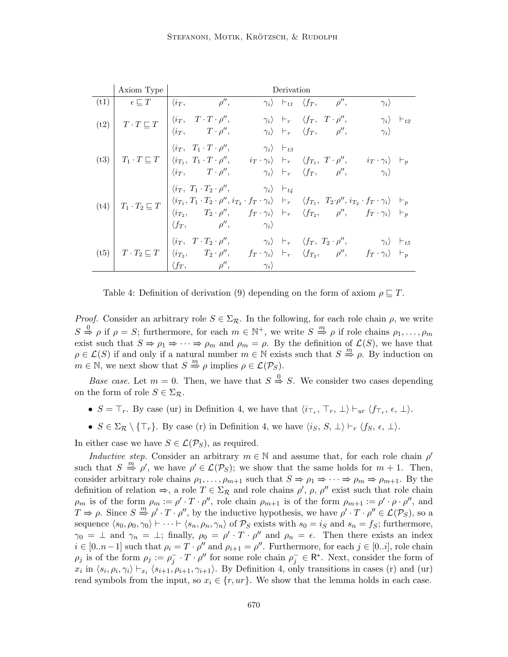|      | Axiom Type                 | Derivation                                                                                                                                                                                                                                                                                                                                                                                                                                                                                                                                                                                         |
|------|----------------------------|----------------------------------------------------------------------------------------------------------------------------------------------------------------------------------------------------------------------------------------------------------------------------------------------------------------------------------------------------------------------------------------------------------------------------------------------------------------------------------------------------------------------------------------------------------------------------------------------------|
| (t1) |                            | $\epsilon \sqsubseteq T \qquad   \; \langle i_T, \qquad \qquad \rho^{\prime \prime}, \;$<br>$\gamma_i$ $\vdash_{t1}$ $\langle f_T, \rho'', \rho'' \rangle$<br>$\gamma_i$                                                                                                                                                                                                                                                                                                                                                                                                                           |
| (t2) |                            | $T \cdot T \sqsubseteq T \begin{array}{ cc } \langle i_T, & T \cdot T \cdot \rho'', & \gamma_i \rangle & \vdash_r & \langle f_T, & T \cdot \rho'', & \gamma_i \rangle & \vdash_{t2} \\ \langle i_T, & T \cdot \rho'', & \gamma_i \rangle & \vdash_r & \langle f_T, & \rho'', & \gamma_i \rangle \end{array}$                                                                                                                                                                                                                                                                                       |
| (t3) |                            | $\begin{array}{cc} \langle i_T, & T_1 \cdot T \cdot \rho'', & \qquad \gamma_i \rangle & \vdash_{t3} \end{array}$<br>$T_1 \cdot T \sqsubseteq T$ $\begin{array}{ccc} \langle i_{T_1}, T_1 \cdot T \cdot \rho'', & i_T \cdot \gamma_i \rangle & \vdash_r & \langle f_{T_1}, T \cdot \rho'', & i_T \cdot \gamma_i \rangle & \vdots \ \langle i_T, & T \cdot \rho'', & \gamma_i \rangle & \vdash_r & \langle f_T, & \rho'', & \gamma_i \rangle \end{array}$                                                                                                                                            |
| (t4) |                            | $\langle i_T, T_1 \cdot T_2 \cdot \rho'', \qquad \qquad \gamma_i \rangle \quad \vdash_{t4}$<br>$T_1 \cdot T_2 \sqsubseteq T \begin{array}{ cc cc cc } \langle i_{T_1}, T_1 \cdot T_2 \cdot \rho'', i_{T_2} \cdot f_T \cdot \gamma_i \rangle & \vdash_r & \langle f_{T_1}, T_2 \cdot \rho'', i_{T_2} \cdot f_T \cdot \gamma_i \rangle & \vdash_p \\ \langle i_{T_2}, T_2 \cdot \rho'', & f_T \cdot \gamma_i \rangle & \vdash_r & \langle f_{T_2}, \rho'', f_T \cdot \gamma_i \rangle & \vdash_p \end{array}$<br>$\langle f_T, \hspace{1.5cm} \rho^{\prime \prime}, \hspace{1.5cm} \gamma_i \rangle$ |
| (t5) | $T\cdot T_2 \sqsubseteq T$ | $\langle i_T, T\cdot T_2\cdot \rho'', \qquad \qquad \gamma_i \rangle \ \ \vdash_r \ \ \langle f_T, T_2\cdot \rho'', \qquad \qquad \gamma_i \rangle \ \ \vdash_{t5}$<br>$\begin{array}{ccc} \big  \langle i_{T_2}, \quad & T_2 \cdot \rho'', \quad & f_T \cdot \gamma_i \rangle & \vdash_r & \langle f_{T_2}, \quad & \rho'', \quad & f_T \cdot \gamma_i \rangle & \vdash_p \end{array}$<br>$\rho'', \hspace{1cm} \gamma_i \rangle$<br>$\langle f_T, \rangle$                                                                                                                                       |

Table 4: Definition of derivation (9) depending on the form of axiom  $\rho \sqsubset T$ .

*Proof.* Consider an arbitrary role  $S \in \Sigma_{\mathcal{R}}$ . In the following, for each role chain  $\rho$ , we write  $S \stackrel{0}{\Rightarrow} \rho$  if  $\rho = S$ ; furthermore, for each  $m \in \mathbb{N}^+$ , we write  $S \stackrel{m}{\Rightarrow} \rho$  if role chains  $\rho_1, \ldots, \rho_m$ exist such that  $S \Rightarrow \rho_1 \Rightarrow \cdots \Rightarrow \rho_m$  and  $\rho_m = \rho$ . By the definition of  $\mathcal{L}(S)$ , we have that  $\rho \in \mathcal{L}(S)$  if and only if a natural number  $m \in \mathbb{N}$  exists such that  $S \stackrel{m}{\Rightarrow} \rho$ . By induction on  $m \in \mathbb{N}$ , we next show that  $S \stackrel{m}{\Rightarrow} \rho$  implies  $\rho \in \mathcal{L}(\mathcal{P}_S)$ .

*Base case.* Let  $m = 0$ . Then, we have that  $S \stackrel{0}{\Rightarrow} S$ . We consider two cases depending on the form of role  $S \in \Sigma_{\mathcal{R}}$ .

- $S = \top_r$ . By case (ur) in Definition 4, we have that  $\langle i_{\top_r}, \top_r, \bot \rangle \vdash_{ur} \langle f_{\top_r}, \epsilon, \bot \rangle$ .
- $S \in \Sigma_{\mathcal{R}} \setminus \{\top_r\}.$  By case (r) in Definition 4, we have  $\langle i_S, S, \bot \rangle \vdash_r \langle f_S, \epsilon, \bot \rangle$ .

In either case we have  $S \in \mathcal{L}(\mathcal{P}_S)$ , as required.

Inductive step. Consider an arbitrary  $m \in \mathbb{N}$  and assume that, for each role chain  $\rho'$ such that  $S \stackrel{m}{\Rightarrow} \rho'$ , we have  $\rho' \in \mathcal{L}(\mathcal{P}_S)$ ; we show that the same holds for  $m + 1$ . Then, consider arbitrary role chains  $\rho_1, \ldots, \rho_{m+1}$  such that  $S \Rightarrow \rho_1 \Rightarrow \cdots \Rightarrow \rho_m \Rightarrow \rho_{m+1}$ . By the definition of relation  $\Rightarrow$ , a role  $T \in \Sigma_{\mathcal{R}}$  and role chains  $\rho'$ ,  $\rho$ ,  $\rho''$  exist such that role chain  $\rho_m$  is of the form  $\rho_m := \rho' \cdot T \cdot \rho''$ , role chain  $\rho_{m+1}$  is of the form  $\rho_{m+1} := \rho' \cdot \rho \cdot \rho''$ , and  $T \Rightarrow \rho$ . Since  $S \stackrel{m}{\Rightarrow} \rho' \cdot T \cdot \rho''$ , by the inductive hypothesis, we have  $\rho' \cdot T \cdot \rho'' \in \mathcal{L}(\mathcal{P}_S)$ , so a sequence  $\langle s_0, \rho_0, \gamma_0 \rangle \vdash \cdots \vdash \langle s_n, \rho_n, \gamma_n \rangle$  of  $\mathcal{P}_S$  exists with  $s_0 = i_S$  and  $s_n = f_S$ ; furthermore,  $\gamma_0 = \perp$  and  $\gamma_n = \perp$ ; finally,  $\rho_0 = \rho' \cdot T \cdot \rho''$  and  $\rho_n = \epsilon$ . Then there exists an index  $i \in [0..n-1]$  such that  $\rho_i = T \cdot \rho''$  and  $\rho_{i+1} = \rho''$ . Furthermore, for each  $j \in [0..i]$ , role chain  $\rho_j$  is of the form  $\rho_j := \rho_j^- \cdot T \cdot \rho''$  for some role chain  $\rho_j^- \in \mathbb{R}^*$ . Next, consider the form of  $x_i$  in  $\langle s_i, \rho_i, \gamma_i \rangle \vdash_{x_i} \langle s_{i+1}, \rho_{i+1}, \gamma_{i+1} \rangle$ . By Definition 4, only transitions in cases (r) and (ur) read symbols from the input, so  $x_i \in \{r, ur\}$ . We show that the lemma holds in each case.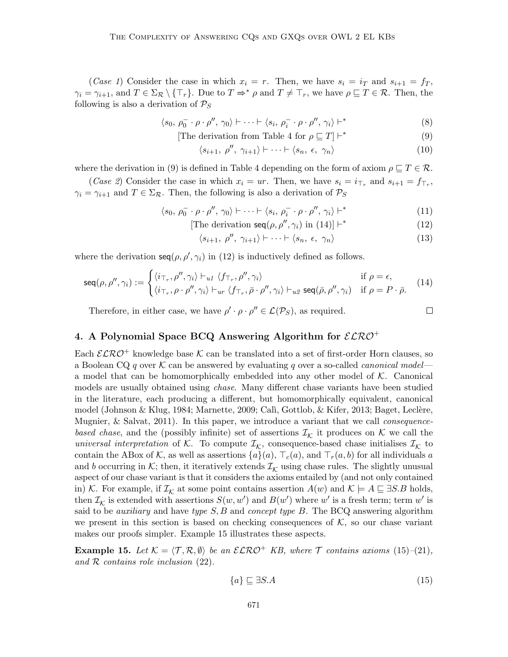(Case 1) Consider the case in which  $x_i = r$ . Then, we have  $s_i = i_T$  and  $s_{i+1} = f_T$ ,  $\gamma_i = \gamma_{i+1}$ , and  $T \in \Sigma_{\mathcal{R}} \setminus {\{\top_{r}\}}$ . Due to  $T \Rightarrow^* \rho$  and  $T \neq \top_{r}$ , we have  $\rho \sqsubseteq T \in \mathcal{R}$ . Then, the following is also a derivation of  $P_S$ 

$$
\langle s_0, \rho_0^- \cdot \rho \cdot \rho'', \gamma_0 \rangle \vdash \dots \vdash \langle s_i, \rho_i^- \cdot \rho \cdot \rho'', \gamma_i \rangle \vdash^*
$$
\n(8)

[The derivation from Table 4 for 
$$
\rho \sqsubseteq T
$$
]  $\vdash^*$  (9)

$$
\langle s_{i+1}, \, \rho'', \, \gamma_{i+1} \rangle \vdash \dots \vdash \langle s_n, \, \epsilon, \, \gamma_n \rangle \tag{10}
$$

where the derivation in (9) is defined in Table 4 depending on the form of axiom  $\rho \sqsubseteq T \in \mathcal{R}$ .

(*Case 2*) Consider the case in which  $x_i = ur$ . Then, we have  $s_i = i_{\top_r}$  and  $s_{i+1} = f_{\top_r}$ ,  $\gamma_i = \gamma_{i+1}$  and  $T \in \Sigma_{\mathcal{R}}$ . Then, the following is also a derivation of  $\mathcal{P}_S$ 

$$
\langle s_0, \rho_0^- \cdot \rho \cdot \rho'', \gamma_0 \rangle \vdash \dots \vdash \langle s_i, \rho_i^- \cdot \rho \cdot \rho'', \gamma_i \rangle \vdash^*
$$
\n(11)

[The derivation 
$$
\text{seq}(\rho, \rho'', \gamma_i)
$$
 in (14)]  $\vdash^*$  (12)

$$
\langle s_{i+1}, \ \rho'', \ \gamma_{i+1} \rangle \vdash \dots \vdash \langle s_n, \ \epsilon, \ \gamma_n \rangle \tag{13}
$$

where the derivation  $\text{seq}(\rho, \rho', \gamma_i)$  in (12) is inductively defined as follows.

$$
\text{seq}(\rho, \rho'', \gamma_i) := \begin{cases} \langle i_{\tau_r}, \rho'', \gamma_i \rangle \vdash_{u_1} \langle f_{\tau_r}, \rho'', \gamma_i \rangle & \text{if } \rho = \epsilon, \\ \langle i_{\tau_r}, \rho \cdot \rho'', \gamma_i \rangle \vdash_{ur} \langle f_{\tau_r}, \bar{\rho} \cdot \rho'', \gamma_i \rangle \vdash_{u_2} \text{seq}(\bar{\rho}, \rho'', \gamma_i) & \text{if } \rho = P \cdot \bar{\rho}. \end{cases} (14)
$$

Therefore, in either case, we have  $\rho' \cdot \rho \cdot \rho'' \in \mathcal{L}(\mathcal{P}_S)$ , as required.

# $\Box$

# 4. A Polynomial Space BCQ Answering Algorithm for  $\mathcal{ELRO}^+$

Each  $\mathcal{ELRO}^+$  knowledge base K can be translated into a set of first-order Horn clauses, so a Boolean CQ q over K can be answered by evaluating q over a so-called *canonical model* a model that can be homomorphically embedded into any other model of  $K$ . Canonical models are usually obtained using *chase*. Many different chase variants have been studied in the literature, each producing a different, but homomorphically equivalent, canonical model (Johnson & Klug, 1984; Marnette, 2009; Cali, Gottlob, & Kifer, 2013; Baget, Leclère, Mugnier, & Salvat, 2011). In this paper, we introduce a variant that we call *consequence*based chase, and the (possibly infinite) set of assertions  $\mathcal{I}_{\mathcal{K}}$  it produces on  $\mathcal{K}$  we call the universal interpretation of K. To compute  $\mathcal{I}_{\mathcal{K}}$ , consequence-based chase initialises  $\mathcal{I}_{\mathcal{K}}$  to contain the ABox of K, as well as assertions  $\{a\}(a)$ ,  $\top_c(a)$ , and  $\top_r(a, b)$  for all individuals a and b occurring in K; then, it iteratively extends  $\mathcal{I}_{\mathcal{K}}$  using chase rules. The slightly unusual aspect of our chase variant is that it considers the axioms entailed by (and not only contained in) K. For example, if  $\mathcal{I}_{\mathcal{K}}$  at some point contains assertion  $A(w)$  and  $\mathcal{K} \models A \sqsubseteq \exists S.B$  holds, then  $\mathcal{I}_{\mathcal{K}}$  is extended with assertions  $S(w, w')$  and  $B(w')$  where w' is a fresh term; term w' is said to be *auxiliary* and have type  $S$ ,  $B$  and *concept type B*. The BCQ answering algorithm we present in this section is based on checking consequences of  $K$ , so our chase variant makes our proofs simpler. Example 15 illustrates these aspects.

**Example 15.** Let  $K = \langle T, R, \emptyset \rangle$  be an  $\mathcal{ELRO}^+$  KB, where  $\mathcal T$  contains axioms (15)–(21), and  $R$  contains role inclusion  $(22)$ .

$$
\{a\} \sqsubseteq \exists S.A \tag{15}
$$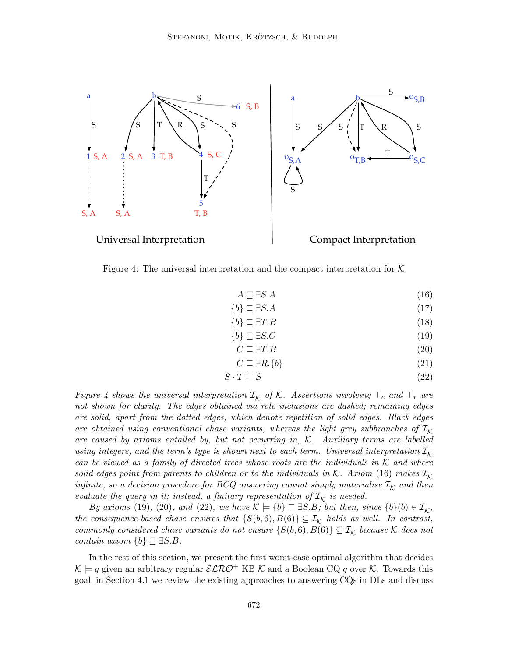

Figure 4: The universal interpretation and the compact interpretation for  $K$ 

$$
A \sqsubseteq \exists S.A \tag{16}
$$

$$
\{b\} \sqsubseteq \exists S.A \tag{17}
$$

$$
\{b\} \sqsubseteq \exists T.B \tag{18}
$$

$$
\{b\} \sqsubseteq \exists S.C \tag{19}
$$

$$
C \sqsubseteq \exists T.B \tag{20}
$$

$$
C \sqsubseteq \exists R. \{b\} \tag{21}
$$

$$
S \cdot T \sqsubseteq S \tag{22}
$$

Figure 4 shows the universal interpretation  $\mathcal{I}_{\mathcal{K}}$  of  $\mathcal{K}$ . Assertions involving  $\top_c$  and  $\top_r$  are not shown for clarity. The edges obtained via role inclusions are dashed; remaining edges are solid, apart from the dotted edges, which denote repetition of solid edges. Black edges are obtained using conventional chase variants, whereas the light grey subbranches of  $\mathcal{I}_K$ are caused by axioms entailed by, but not occurring in, K. Auxiliary terms are labelled using integers, and the term's type is shown next to each term. Universal interpretation  $\mathcal{I}_{\mathcal{K}}$ can be viewed as a family of directed trees whose roots are the individuals in  $K$  and where solid edges point from parents to children or to the individuals in K. Axiom (16) makes  $\mathcal{I}_\mathcal{K}$ infinite, so a decision procedure for BCQ answering cannot simply materialise  $\mathcal{I}_{\mathcal{K}}$  and then evaluate the query in it; instead, a finitary representation of  $\mathcal{I}_{\mathcal{K}}$  is needed.

By axioms (19), (20), and (22), we have  $\mathcal{K} \models \{b\} \sqsubseteq \exists S.B;$  but then, since  $\{b\}(b) \in \mathcal{I}_{\mathcal{K}}$ , the consequence-based chase ensures that  $\{S(b,6), B(6)\} \subseteq \mathcal{I}_{\mathcal{K}}$  holds as well. In contrast, commonly considered chase variants do not ensure  $\{S(b,6), B(6)\} \subseteq \mathcal{I}_{\mathcal{K}}$  because  $\mathcal K$  does not contain axiom  $\{b\} \sqsubseteq \exists S.B.$ 

In the rest of this section, we present the first worst-case optimal algorithm that decides  $\mathcal{K} \models q$  given an arbitrary regular  $\mathcal{ELRO}^+$  KB  $\mathcal{K}$  and a Boolean CQ q over  $\mathcal{K}$ . Towards this goal, in Section 4.1 we review the existing approaches to answering CQs in DLs and discuss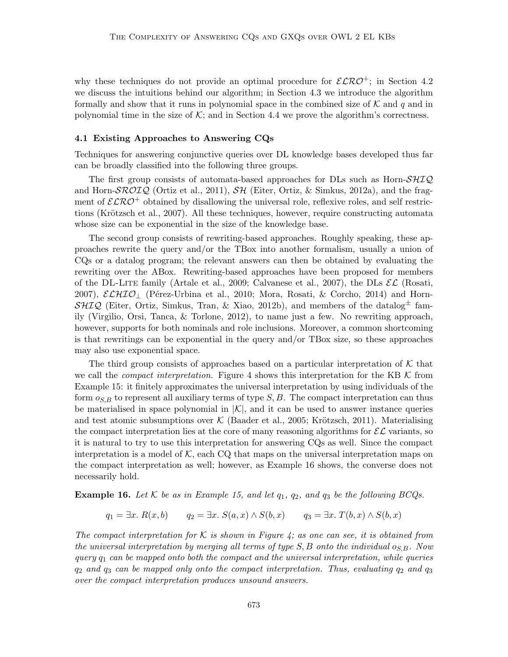why these techniques do not provide an optimal procedure for  $\mathcal{ELRO}^+$ ; in Section 4.2 we discuss the intuitions behind our algorithm; in Section 4.3 we introduce the algorithm formally and show that it runs in polynomial space in the combined size of  $K$  and q and in polynomial time in the size of  $\mathcal{K}$ ; and in Section 4.4 we prove the algorithm's correctness.

#### 4.1 Existing Approaches to Answering CQs

Techniques for answering conjunctive queries over DL knowledge bases developed thus far can be broadly classified into the following three groups.

The first group consists of automata-based approaches for DLs such as Horn- $\mathcal{SHTQ}$ and Horn- $\mathcal{SROIQ}$  (Ortiz et al., 2011),  $\mathcal{SH}$  (Eiter, Ortiz, & Simkus, 2012a), and the fragment of  $\mathcal{ELRO}^+$  obtained by disallowing the universal role, reflexive roles, and self restrictions (Krötzsch et al., 2007). All these techniques, however, require constructing automata whose size can be exponential in the size of the knowledge base.

The second group consists of rewriting-based approaches. Roughly speaking, these approaches rewrite the query and/or the TBox into another formalism, usually a union of CQs or a datalog program; the relevant answers can then be obtained by evaluating the rewriting over the ABox. Rewriting-based approaches have been proposed for members of the DL-LITE family (Artale et al., 2009; Calvanese et al., 2007), the DLs  $\mathcal{EL}$  (Rosati, 2007),  $\mathcal{ELHIO}_\perp$  (Pérez-Urbina et al., 2010; Mora, Rosati, & Corcho, 2014) and Horn- $\mathcal{SHIQ}$  (Eiter, Ortiz, Simkus, Tran, & Xiao, 2012b), and members of the datalog<sup> $\pm$ </sup> family (Virgilio, Orsi, Tanca, & Torlone, 2012), to name just a few. No rewriting approach, however, supports for both nominals and role inclusions. Moreover, a common shortcoming is that rewritings can be exponential in the query and/or TBox size, so these approaches may also use exponential space.

The third group consists of approaches based on a particular interpretation of  $K$  that we call the *compact interpretation*. Figure 4 shows this interpretation for the KB  $K$  from Example 15: it finitely approximates the universal interpretation by using individuals of the form  $o_{S,B}$  to represent all auxiliary terms of type  $S, B$ . The compact interpretation can thus be materialised in space polynomial in  $|K|$ , and it can be used to answer instance queries and test atomic subsumptions over  $\mathcal K$  (Baader et al., 2005; Krötzsch, 2011). Materialising the compact interpretation lies at the core of many reasoning algorithms for  $\mathcal{EL}$  variants, so it is natural to try to use this interpretation for answering CQs as well. Since the compact interpretation is a model of  $K$ , each CQ that maps on the universal interpretation maps on the compact interpretation as well; however, as Example 16 shows, the converse does not necessarily hold.

**Example 16.** Let K be as in Example 15, and let  $q_1$ ,  $q_2$ , and  $q_3$  be the following BCQs.

$$
q_1 = \exists x. R(x,b) \qquad q_2 = \exists x. S(a,x) \land S(b,x) \qquad q_3 = \exists x. T(b,x) \land S(b,x)
$$

The compact interpretation for K is shown in Figure 4; as one can see, it is obtained from the universal interpretation by merging all terms of type  $S, B$  onto the individual  $o_{S,B}$ . Now query  $q_1$  can be mapped onto both the compact and the universal interpretation, while queries  $q_2$  and  $q_3$  can be mapped only onto the compact interpretation. Thus, evaluating  $q_2$  and  $q_3$ over the compact interpretation produces unsound answers.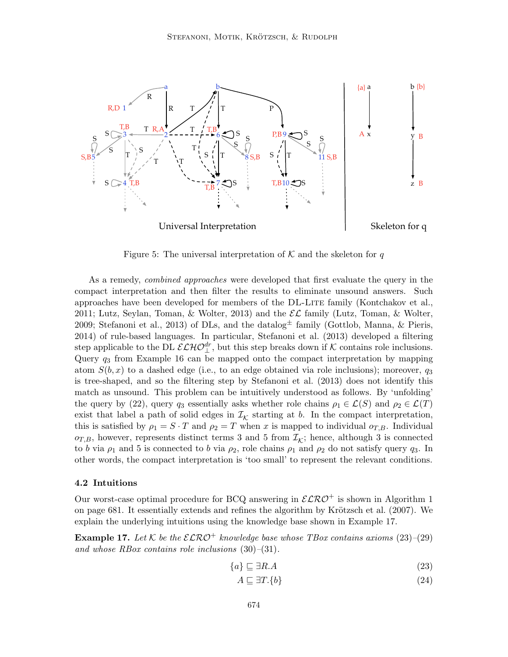

Figure 5: The universal interpretation of  $K$  and the skeleton for q

As a remedy, combined approaches were developed that first evaluate the query in the compact interpretation and then filter the results to eliminate unsound answers. Such approaches have been developed for members of the DL-Lite family (Kontchakov et al., 2011; Lutz, Seylan, Toman, & Wolter, 2013) and the  $\mathcal{EL}$  family (Lutz, Toman, & Wolter, 2009; Stefanoni et al., 2013) of DLs, and the datalog<sup> $\pm$ </sup> family (Gottlob, Manna, & Pieris, 2014) of rule-based languages. In particular, Stefanoni et al. (2013) developed a filtering step applicable to the DL  $\mathcal{ELHO}_{\perp}^{dr}$ , but this step breaks down if K contains role inclusions. Query q<sup>3</sup> from Example 16 can be mapped onto the compact interpretation by mapping atom  $S(b, x)$  to a dashed edge (i.e., to an edge obtained via role inclusions); moreover,  $q_3$ is tree-shaped, and so the filtering step by Stefanoni et al. (2013) does not identify this match as unsound. This problem can be intuitively understood as follows. By 'unfolding' the query by (22), query  $q_3$  essentially asks whether role chains  $\rho_1 \in \mathcal{L}(S)$  and  $\rho_2 \in \mathcal{L}(T)$ exist that label a path of solid edges in  $\mathcal{I}_{\mathcal{K}}$  starting at b. In the compact interpretation, this is satisfied by  $\rho_1 = S \cdot T$  and  $\rho_2 = T$  when x is mapped to individual  $o_{T,B}$ . Individual  $o_{T,B}$ , however, represents distinct terms 3 and 5 from  $\mathcal{I}_{\mathcal{K}}$ ; hence, although 3 is connected to b via  $\rho_1$  and 5 is connected to b via  $\rho_2$ , role chains  $\rho_1$  and  $\rho_2$  do not satisfy query  $q_3$ . In other words, the compact interpretation is 'too small' to represent the relevant conditions.

### 4.2 Intuitions

Our worst-case optimal procedure for BCQ answering in  $\mathcal{ELRO}^+$  is shown in Algorithm 1 on page  $681$ . It essentially extends and refines the algorithm by Krötzsch et al.  $(2007)$ . We explain the underlying intuitions using the knowledge base shown in Example 17.

**Example 17.** Let K be the  $\mathcal{ELRO}^+$  knowledge base whose TBox contains axioms (23)–(29) and whose RBox contains role inclusions  $(30)$ – $(31)$ .

$$
\{a\} \sqsubseteq \exists R.A \tag{23}
$$

$$
A \sqsubseteq \exists T. \{b\} \tag{24}
$$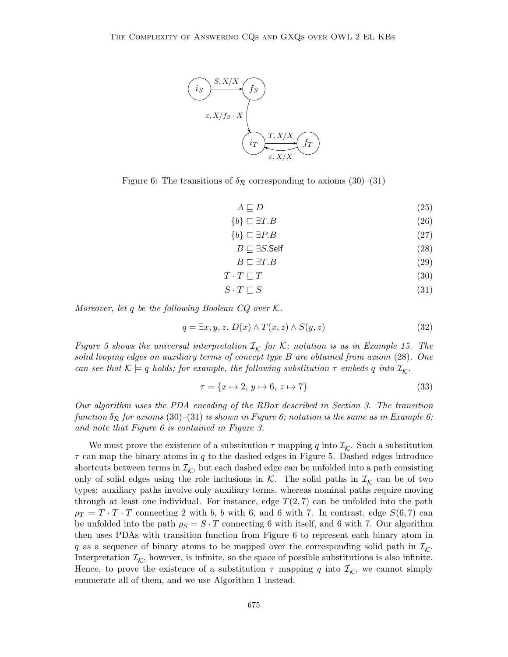

Figure 6: The transitions of  $\delta_{\mathcal{R}}$  corresponding to axioms (30)–(31)

 $A \sqsubseteq D$  (25)

$$
\{b\} \sqsubseteq \exists T.B \tag{26}
$$

 ${b} \sqsubseteq \exists P.B$  (27)

$$
B \sqsubseteq \exists S.\mathsf{Self} \tag{28}
$$

$$
B \sqsubseteq \exists T.B \tag{29}
$$

$$
T \cdot T \sqsubseteq T \tag{30}
$$

$$
S \cdot T \sqsubseteq S \tag{31}
$$

Moreover, let q be the following Boolean  $CQ$  over  $K$ .

$$
q = \exists x, y, z. \ D(x) \land T(x, z) \land S(y, z) \tag{32}
$$

Figure 5 shows the universal interpretation  $\mathcal{I}_{\mathcal{K}}$  for K; notation is as in Example 15. The solid looping edges on auxiliary terms of concept type B are obtained from axiom (28). One can see that  $\mathcal{K} \models q$  holds; for example, the following substitution  $\tau$  embeds q into  $\mathcal{I}_{\mathcal{K}}$ .

$$
\tau = \{x \mapsto 2, y \mapsto 6, z \mapsto 7\}
$$
\n
$$
(33)
$$

Our algorithm uses the PDA encoding of the RBox described in Section 3. The transition function  $\delta_{\mathcal{R}}$  for axioms (30)–(31) is shown in Figure 6; notation is the same as in Example 6; and note that Figure 6 is contained in Figure 3.

We must prove the existence of a substitution  $\tau$  mapping q into  $\mathcal{I}_{\mathcal{K}}$ . Such a substitution  $\tau$  can map the binary atoms in q to the dashed edges in Figure 5. Dashed edges introduce shortcuts between terms in  $\mathcal{I}_{\mathcal{K}}$ , but each dashed edge can be unfolded into a path consisting only of solid edges using the role inclusions in  $K$ . The solid paths in  $\mathcal{I}_K$  can be of two types: auxiliary paths involve only auxiliary terms, whereas nominal paths require moving through at least one individual. For instance, edge  $T(2, 7)$  can be unfolded into the path  $\rho_T = T \cdot T \cdot T$  connecting 2 with b, b with 6, and 6 with 7. In contrast, edge  $S(6,7)$  can be unfolded into the path  $\rho_S = S \cdot T$  connecting 6 with itself, and 6 with 7. Our algorithm then uses PDAs with transition function from Figure 6 to represent each binary atom in q as a sequence of binary atoms to be mapped over the corresponding solid path in  $\mathcal{I}_{\mathcal{K}}$ . Interpretation  $\mathcal{I}_{\mathcal{K}}$ , however, is infinite, so the space of possible substitutions is also infinite. Hence, to prove the existence of a substitution  $\tau$  mapping q into  $\mathcal{I}_{\mathcal{K}}$ , we cannot simply enumerate all of them, and we use Algorithm 1 instead.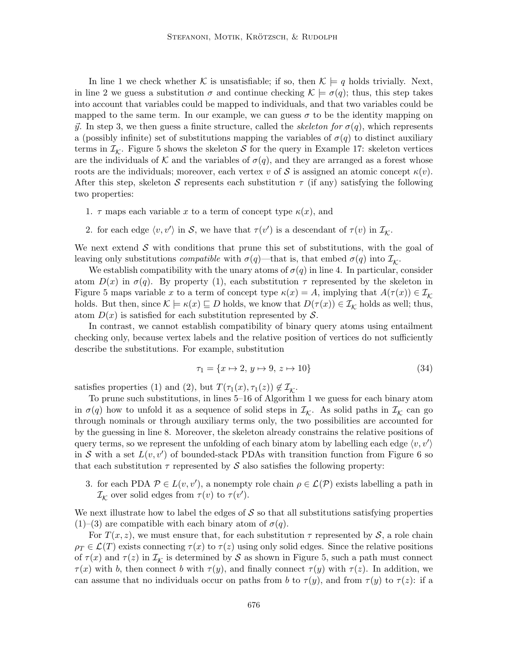In line 1 we check whether K is unsatisfiable; if so, then  $\mathcal{K} \models q$  holds trivially. Next, in line 2 we guess a substitution  $\sigma$  and continue checking  $\mathcal{K} \models \sigma(q)$ ; thus, this step takes into account that variables could be mapped to individuals, and that two variables could be mapped to the same term. In our example, we can guess  $\sigma$  to be the identity mapping on  $\vec{y}$ . In step 3, we then guess a finite structure, called the *skeleton for*  $\sigma(q)$ , which represents a (possibly infinite) set of substitutions mapping the variables of  $\sigma(q)$  to distinct auxiliary terms in  $\mathcal{I}_{\mathcal{K}}$ . Figure 5 shows the skeleton  $\mathcal{S}$  for the query in Example 17: skeleton vertices are the individuals of K and the variables of  $\sigma(q)$ , and they are arranged as a forest whose roots are the individuals; moreover, each vertex v of S is assigned an atomic concept  $\kappa(v)$ . After this step, skeleton S represents each substitution  $\tau$  (if any) satisfying the following two properties:

- 1.  $\tau$  maps each variable x to a term of concept type  $\kappa(x)$ , and
- 2. for each edge  $\langle v, v' \rangle$  in S, we have that  $\tau(v')$  is a descendant of  $\tau(v)$  in  $\mathcal{I}_{\mathcal{K}}$ .

We next extend  $\mathcal S$  with conditions that prune this set of substitutions, with the goal of leaving only substitutions *compatible* with  $\sigma(q)$ —that is, that embed  $\sigma(q)$  into  $\mathcal{I}_{\mathcal{K}}$ .

We establish compatibility with the unary atoms of  $\sigma(q)$  in line 4. In particular, consider atom  $D(x)$  in  $\sigma(q)$ . By property (1), each substitution  $\tau$  represented by the skeleton in Figure 5 maps variable x to a term of concept type  $\kappa(x) = A$ , implying that  $A(\tau(x)) \in \mathcal{I}_K$ holds. But then, since  $\mathcal{K} \models \kappa(x) \sqsubseteq D$  holds, we know that  $D(\tau(x)) \in \mathcal{I}_{\mathcal{K}}$  holds as well; thus, atom  $D(x)$  is satisfied for each substitution represented by S.

In contrast, we cannot establish compatibility of binary query atoms using entailment checking only, because vertex labels and the relative position of vertices do not sufficiently describe the substitutions. For example, substitution

$$
\tau_1 = \{x \mapsto 2, \, y \mapsto 9, \, z \mapsto 10\} \tag{34}
$$

satisfies properties (1) and (2), but  $T(\tau_1(x), \tau_1(z)) \notin \mathcal{I}_{\mathcal{K}}$ .

To prune such substitutions, in lines 5–16 of Algorithm 1 we guess for each binary atom in  $\sigma(q)$  how to unfold it as a sequence of solid steps in  $\mathcal{I}_{\mathcal{K}}$ . As solid paths in  $\mathcal{I}_{\mathcal{K}}$  can go through nominals or through auxiliary terms only, the two possibilities are accounted for by the guessing in line 8. Moreover, the skeleton already constrains the relative positions of query terms, so we represent the unfolding of each binary atom by labelling each edge  $\langle v, v' \rangle$ in S with a set  $L(v, v')$  of bounded-stack PDAs with transition function from Figure 6 so that each substitution  $\tau$  represented by S also satisfies the following property:

3. for each PDA  $P \in L(v, v')$ , a nonempty role chain  $\rho \in \mathcal{L}(\mathcal{P})$  exists labelling a path in  $\mathcal{I}_{\mathcal{K}}$  over solid edges from  $\tau(v)$  to  $\tau(v')$ .

We next illustrate how to label the edges of  $S$  so that all substitutions satisfying properties  $(1)$ – $(3)$  are compatible with each binary atom of  $\sigma(q)$ .

For  $T(x, z)$ , we must ensure that, for each substitution  $\tau$  represented by S, a role chain  $\rho_T \in \mathcal{L}(T)$  exists connecting  $\tau(x)$  to  $\tau(z)$  using only solid edges. Since the relative positions of  $\tau(x)$  and  $\tau(z)$  in  $\mathcal{I}_{\mathcal{K}}$  is determined by S as shown in Figure 5, such a path must connect  $\tau(x)$  with b, then connect b with  $\tau(y)$ , and finally connect  $\tau(y)$  with  $\tau(z)$ . In addition, we can assume that no individuals occur on paths from b to  $\tau(y)$ , and from  $\tau(y)$  to  $\tau(z)$ : if a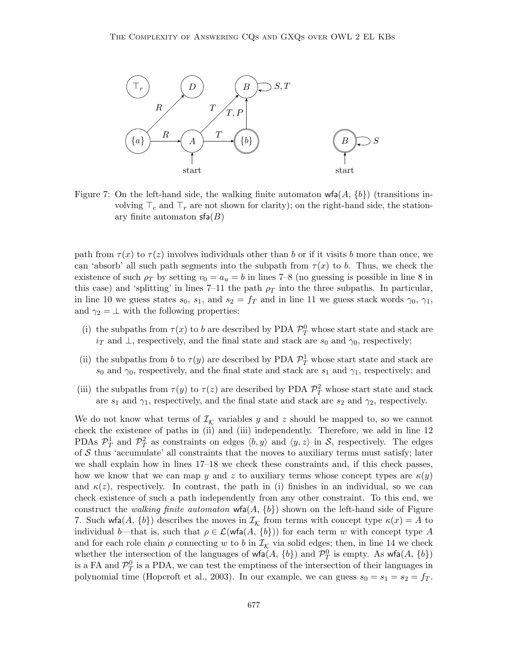

Figure 7: On the left-hand side, the walking finite automaton  $wfa(A, \{b\})$  (transitions involving  $\top_c$  and  $\top_r$  are not shown for clarity); on the right-hand side, the stationary finite automaton  $\mathsf{sfa}(B)$ 

path from  $\tau(x)$  to  $\tau(z)$  involves individuals other than b or if it visits b more than once, we can 'absorb' all such path segments into the subpath from  $\tau(x)$  to b. Thus, we check the existence of such  $\rho_T$  by setting  $v_0 = a_u = b$  in lines 7–8 (no guessing is possible in line 8 in this case) and 'splitting' in lines 7–11 the path  $\rho_T$  into the three subpaths. In particular, in line 10 we guess states  $s_0$ ,  $s_1$ , and  $s_2 = f_T$  and in line 11 we guess stack words  $\gamma_0$ ,  $\gamma_1$ , and  $\gamma_2 = \bot$  with the following properties:

- (i) the subpaths from  $\tau(x)$  to b are described by PDA  $\mathcal{P}_T^0$  whose start state and stack are  $i<sub>T</sub>$  and  $\perp$ , respectively, and the final state and stack are  $s<sub>0</sub>$  and  $\gamma<sub>0</sub>$ , respectively;
- (ii) the subpaths from b to  $\tau(y)$  are described by PDA  $\mathcal{P}_T^1$  whose start state and stack are  $s_0$  and  $\gamma_0$ , respectively, and the final state and stack are  $s_1$  and  $\gamma_1$ , respectively; and
- (iii) the subpaths from  $\tau(y)$  to  $\tau(z)$  are described by PDA  $\mathcal{P}_T^2$  whose start state and stack are  $s_1$  and  $\gamma_1$ , respectively, and the final state and stack are  $s_2$  and  $\gamma_2$ , respectively.

We do not know what terms of  $\mathcal{I}_{\mathcal{K}}$  variables y and z should be mapped to, so we cannot check the existence of paths in (ii) and (iii) independently. Therefore, we add in line 12 PDAs  $\mathcal{P}_T^1$  and  $\mathcal{P}_T^2$  as constraints on edges  $\langle b, y \rangle$  and  $\langle y, z \rangle$  in S, respectively. The edges of  $S$  thus 'accumulate' all constraints that the moves to auxiliary terms must satisfy; later we shall explain how in lines 17–18 we check these constraints and, if this check passes, how we know that we can map y and z to auxiliary terms whose concept types are  $\kappa(y)$ and  $\kappa(z)$ , respectively. In contrast, the path in (i) finishes in an individual, so we can check existence of such a path independently from any other constraint. To this end, we construct the *walking finite automaton*  $wfa(A, \{b\})$  shown on the left-hand side of Figure 7. Such wfa $(A, \{b\})$  describes the moves in  $\mathcal{I}_{\mathcal{K}}$  from terms with concept type  $\kappa(x) = A$  to individual b—that is, such that  $\rho \in \mathcal{L}(\text{wfa}(A, \{b\}))$  for each term w with concept type A and for each role chain  $\rho$  connecting w to b in  $\mathcal{I}_{\mathcal{K}}$  via solid edges; then, in line 14 we check whether the intersection of the languages of  $\mathsf{wfa}(A, \{b\})$  and  $\mathcal{P}_T^0$  is empty. As  $\mathsf{wfa}(A, \{b\})$ is a FA and  $\mathcal{P}_T^0$  is a PDA, we can test the emptiness of the intersection of their languages in polynomial time (Hopcroft et al., 2003). In our example, we can guess  $s_0 = s_1 = s_2 = f_T$ .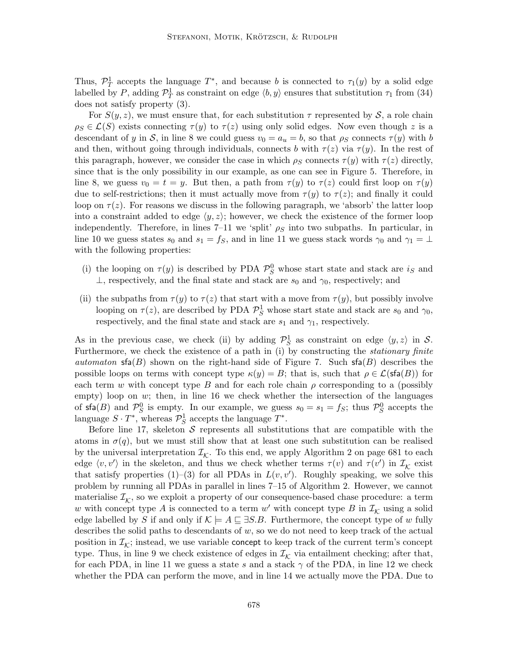Thus,  $\mathcal{P}_T^1$  accepts the language  $T^*$ , and because b is connected to  $\tau_1(y)$  by a solid edge labelled by P, adding  $\mathcal{P}_T^1$  as constraint on edge  $\langle b, y \rangle$  ensures that substitution  $\tau_1$  from (34) does not satisfy property (3).

For  $S(y, z)$ , we must ensure that, for each substitution  $\tau$  represented by S, a role chain  $\rho_S \in \mathcal{L}(S)$  exists connecting  $\tau(y)$  to  $\tau(z)$  using only solid edges. Now even though z is a descendant of y in S, in line 8 we could guess  $v_0 = a_u = b$ , so that  $\rho_S$  connects  $\tau(y)$  with b and then, without going through individuals, connects b with  $\tau(z)$  via  $\tau(y)$ . In the rest of this paragraph, however, we consider the case in which  $\rho_S$  connects  $\tau(y)$  with  $\tau(z)$  directly, since that is the only possibility in our example, as one can see in Figure 5. Therefore, in line 8, we guess  $v_0 = t = y$ . But then, a path from  $\tau(y)$  to  $\tau(z)$  could first loop on  $\tau(y)$ due to self-restrictions; then it must actually move from  $\tau(y)$  to  $\tau(z)$ ; and finally it could loop on  $\tau(z)$ . For reasons we discuss in the following paragraph, we 'absorb' the latter loop into a constraint added to edge  $\langle y, z \rangle$ ; however, we check the existence of the former loop independently. Therefore, in lines 7–11 we 'split'  $\rho_S$  into two subpaths. In particular, in line 10 we guess states  $s_0$  and  $s_1 = f_S$ , and in line 11 we guess stack words  $\gamma_0$  and  $\gamma_1 = \perp$ with the following properties:

- (i) the looping on  $\tau(y)$  is described by PDA  $\mathcal{P}_S^0$  whose start state and stack are  $i_S$  and  $\perp$ , respectively, and the final state and stack are  $s_0$  and  $\gamma_0$ , respectively; and
- (ii) the subpaths from  $\tau(y)$  to  $\tau(z)$  that start with a move from  $\tau(y)$ , but possibly involve looping on  $\tau(z)$ , are described by PDA  $\mathcal{P}_S^1$  whose start state and stack are  $s_0$  and  $\gamma_0$ , respectively, and the final state and stack are  $s_1$  and  $\gamma_1$ , respectively.

As in the previous case, we check (ii) by adding  $\mathcal{P}_S^1$  as constraint on edge  $\langle y, z \rangle$  in S. Furthermore, we check the existence of a path in (i) by constructing the stationary finite automaton  $\mathsf{sfa}(B)$  shown on the right-hand side of Figure 7. Such  $\mathsf{sfa}(B)$  describes the possible loops on terms with concept type  $\kappa(y) = B$ ; that is, such that  $\rho \in \mathcal{L}(\mathsf{sfa}(B))$  for each term w with concept type B and for each role chain  $\rho$  corresponding to a (possibly empty) loop on  $w$ ; then, in line 16 we check whether the intersection of the languages of  $\text{sfa}(B)$  and  $\mathcal{P}_S^0$  is empty. In our example, we guess  $s_0 = s_1 = f_S$ ; thus  $\mathcal{P}_S^0$  accepts the language  $S \cdot T^*$ , whereas  $\mathcal{P}_S^1$  accepts the language  $T^*$ .

Before line 17, skeleton  $S$  represents all substitutions that are compatible with the atoms in  $\sigma(q)$ , but we must still show that at least one such substitution can be realised by the universal interpretation  $\mathcal{I}_{\mathcal{K}}$ . To this end, we apply Algorithm 2 on page 681 to each edge  $\langle v, v' \rangle$  in the skeleton, and thus we check whether terms  $\tau(v)$  and  $\tau(v')$  in  $\mathcal{I}_{\mathcal{K}}$  exist that satisfy properties (1)–(3) for all PDAs in  $L(v, v')$ . Roughly speaking, we solve this problem by running all PDAs in parallel in lines 7–15 of Algorithm 2. However, we cannot materialise  $\mathcal{I}_{\mathcal{K}}$ , so we exploit a property of our consequence-based chase procedure: a term w with concept type A is connected to a term  $w'$  with concept type B in  $\mathcal{I}_{\mathcal{K}}$  using a solid edge labelled by S if and only if  $\mathcal{K} \models A \sqsubseteq \exists S.B.$  Furthermore, the concept type of w fully describes the solid paths to descendants of  $w$ , so we do not need to keep track of the actual position in  $\mathcal{I}_{\mathcal{K}}$ ; instead, we use variable concept to keep track of the current term's concept type. Thus, in line 9 we check existence of edges in  $\mathcal{I}_{\mathcal{K}}$  via entailment checking; after that, for each PDA, in line 11 we guess a state s and a stack  $\gamma$  of the PDA, in line 12 we check whether the PDA can perform the move, and in line 14 we actually move the PDA. Due to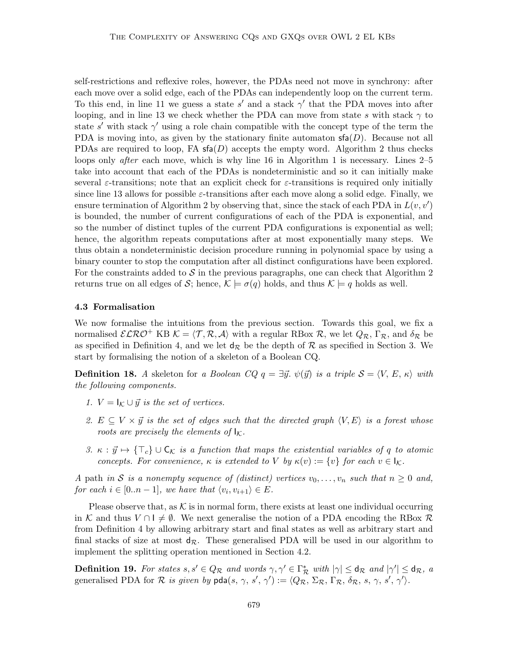self-restrictions and reflexive roles, however, the PDAs need not move in synchrony: after each move over a solid edge, each of the PDAs can independently loop on the current term. To this end, in line 11 we guess a state s' and a stack  $\gamma'$  that the PDA moves into after looping, and in line 13 we check whether the PDA can move from state s with stack  $\gamma$  to state s' with stack  $\gamma'$  using a role chain compatible with the concept type of the term the PDA is moving into, as given by the stationary finite automaton  $\mathsf{sfa}(D)$ . Because not all PDAs are required to loop, FA  $\mathsf{sfa}(D)$  accepts the empty word. Algorithm 2 thus checks loops only *after* each move, which is why line 16 in Algorithm 1 is necessary. Lines 2–5 take into account that each of the PDAs is nondeterministic and so it can initially make several  $\varepsilon$ -transitions; note that an explicit check for  $\varepsilon$ -transitions is required only initially since line 13 allows for possible  $\varepsilon$ -transitions after each move along a solid edge. Finally, we ensure termination of Algorithm 2 by observing that, since the stack of each PDA in  $L(v, v')$ is bounded, the number of current configurations of each of the PDA is exponential, and so the number of distinct tuples of the current PDA configurations is exponential as well; hence, the algorithm repeats computations after at most exponentially many steps. We thus obtain a nondeterministic decision procedure running in polynomial space by using a binary counter to stop the computation after all distinct configurations have been explored. For the constraints added to  $\mathcal S$  in the previous paragraphs, one can check that Algorithm 2 returns true on all edges of S; hence,  $\mathcal{K} \models \sigma(q)$  holds, and thus  $\mathcal{K} \models q$  holds as well.

### 4.3 Formalisation

We now formalise the intuitions from the previous section. Towards this goal, we fix a normalised  $\mathcal{ELRO}^+$  KB  $\mathcal{K} = \langle \mathcal{T}, \mathcal{R}, \mathcal{A} \rangle$  with a regular RBox  $\mathcal{R}$ , we let  $Q_{\mathcal{R}}$ ,  $\Gamma_{\mathcal{R}}$ , and  $\delta_{\mathcal{R}}$  be as specified in Definition 4, and we let  $d_{\mathcal{R}}$  be the depth of  $\mathcal R$  as specified in Section 3. We start by formalising the notion of a skeleton of a Boolean CQ.

**Definition 18.** A skeleton for a Boolean CQ  $q = \exists \vec{y}$ .  $\psi(\vec{y})$  is a triple  $S = \langle V, E, \kappa \rangle$  with the following components.

- 1.  $V = I_K \cup \vec{y}$  is the set of vertices.
- 2.  $E \subseteq V \times \vec{y}$  is the set of edges such that the directed graph  $\langle V, E \rangle$  is a forest whose roots are precisely the elements of  $I_K$ .
- 3.  $\kappa : \vec{y} \mapsto {\{\top_{c}\}} \cup {\{\mathsf{C}_{\mathcal{K}}}$  is a function that maps the existential variables of q to atomic concepts. For convenience,  $\kappa$  is extended to V by  $\kappa(v) := \{v\}$  for each  $v \in I_{\mathcal{K}}$ .

A path in S is a nonempty sequence of (distinct) vertices  $v_0, \ldots, v_n$  such that  $n \geq 0$  and, for each  $i \in [0..n-1]$ , we have that  $\langle v_i, v_{i+1} \rangle \in E$ .

Please observe that, as  $K$  is in normal form, there exists at least one individual occurring in K and thus  $V \cap I \neq \emptyset$ . We next generalise the notion of a PDA encoding the RBox R from Definition 4 by allowing arbitrary start and final states as well as arbitrary start and final stacks of size at most  $d_{\mathcal{R}}$ . These generalised PDA will be used in our algorithm to implement the splitting operation mentioned in Section 4.2.

**Definition 19.** For states  $s, s' \in Q_{\mathcal{R}}$  and words  $\gamma, \gamma' \in \Gamma_{\mathcal{R}}^*$  with  $|\gamma| \leq d_{\mathcal{R}}$  and  $|\gamma'| \leq d_{\mathcal{R}}$ , a generalised PDA for  $\mathcal R$  is given by  $\mathsf{pda}(s,\gamma,s',\gamma'):=\langle Q_\mathcal R, \Sigma_\mathcal R, \Gamma_\mathcal R, \delta_\mathcal R, s, \gamma, s', \gamma' \rangle.$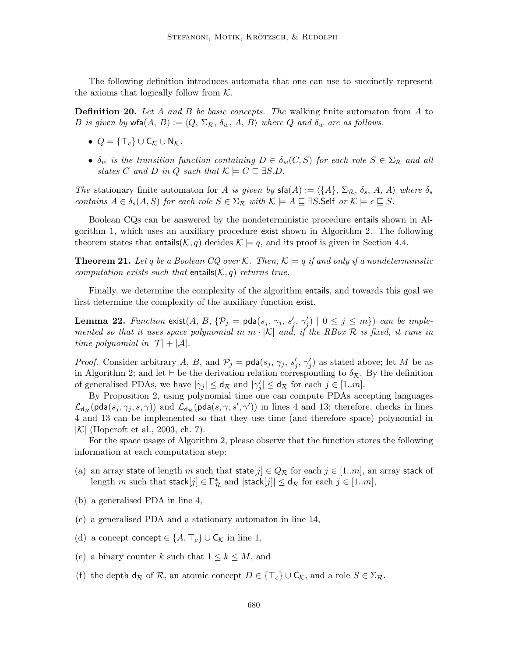The following definition introduces automata that one can use to succinctly represent the axioms that logically follow from  $K$ .

**Definition 20.** Let A and B be basic concepts. The walking finite automaton from A to B is given by wfa $(A, B) := \langle Q, \Sigma_{\mathcal{R}}, \delta_w, A, B \rangle$  where Q and  $\delta_w$  are as follows.

- $Q = \{\top_c\} \cup \mathsf{C}_{\mathcal{K}} \cup \mathsf{N}_{\mathcal{K}}.$
- $\delta_w$  is the transition function containing  $D \in \delta_w(C, S)$  for each role  $S \in \Sigma_{\mathcal{R}}$  and all states C and D in Q such that  $\mathcal{K} \models C \sqsubseteq \exists S.D$ .

The stationary finite automaton for A is given by  $\mathsf{sfa}(A) := \langle \{A\}, \Sigma_{\mathcal{R}}, \delta_s, A, A \rangle$  where  $\delta_s$ contains  $A \in \delta_s(A, S)$  for each role  $S \in \Sigma_R$  with  $\mathcal{K} \models A \sqsubseteq \exists S$ . Self or  $\mathcal{K} \models \epsilon \sqsubseteq S$ .

Boolean CQs can be answered by the nondeterministic procedure entails shown in Algorithm 1, which uses an auxiliary procedure exist shown in Algorithm 2. The following theorem states that entails( $\mathcal{K}, q$ ) decides  $\mathcal{K} \models q$ , and its proof is given in Section 4.4.

**Theorem 21.** Let q be a Boolean CQ over K. Then,  $K \models q$  if and only if a nondeterministic computation exists such that entails( $K$ , q) returns true.

Finally, we determine the complexity of the algorithm entails, and towards this goal we first determine the complexity of the auxiliary function exist.

**Lemma 22.** Function  $ext(A, B, \{P_j = \text{pda}(s_j, \gamma_j, s_j', \gamma_j') \mid 0 \leq j \leq m\})$  can be implemented so that it uses space polynomial in  $m \cdot |\mathcal{K}|$  and, if the RBox  $\mathcal R$  is fixed, it runs in time polynomial in  $|\mathcal{T}| + |\mathcal{A}|$ .

*Proof.* Consider arbitrary A, B, and  $\mathcal{P}_j = \text{pda}(s_j, \gamma_j, s'_j, \gamma'_j)$  as stated above; let M be as in Algorithm 2; and let  $\vdash$  be the derivation relation corresponding to  $\delta_{\mathcal{R}}$ . By the definition of generalised PDAs, we have  $|\gamma_j| \le d_{\mathcal{R}}$  and  $|\gamma'_j| \le d_{\mathcal{R}}$  for each  $j \in [1..m]$ .

By Proposition 2, using polynomial time one can compute PDAs accepting languages  $\mathcal{L}_{d_{\mathcal{R}}}(\textsf{pda}(s_j,\gamma_j,s,\gamma))$  and  $\mathcal{L}_{d_{\mathcal{R}}}(\textsf{pda}(s,\gamma,s',\gamma'))$  in lines 4 and 13; therefore, checks in lines 4 and 13 can be implemented so that they use time (and therefore space) polynomial in  $|\mathcal{K}|$  (Hopcroft et al., 2003, ch. 7).

For the space usage of Algorithm 2, please observe that the function stores the following information at each computation step:

- (a) an array state of length m such that state  $j \in Q_{\mathcal{R}}$  for each  $j \in [1..m]$ , an array stack of length m such that  $\mathsf{stack}[j] \in \Gamma^*_{\mathcal{R}}$  and  $|\mathsf{stack}[j]| \leq \mathsf{d}_{\mathcal{R}}$  for each  $j \in [1..m],$
- (b) a generalised PDA in line 4,
- (c) a generalised PDA and a stationary automaton in line 14,
- (d) a concept concept  $\in \{A, \top_c\} \cup C_{\mathcal{K}}$  in line 1,
- (e) a binary counter k such that  $1 \leq k \leq M$ , and
- (f) the depth  $d_{\mathcal{R}}$  of  $\mathcal{R}$ , an atomic concept  $D \in {\{\top_{c}\}} \cup {\mathsf{C}_{\mathcal{K}}}$ , and a role  $S \in \Sigma_{\mathcal{R}}$ .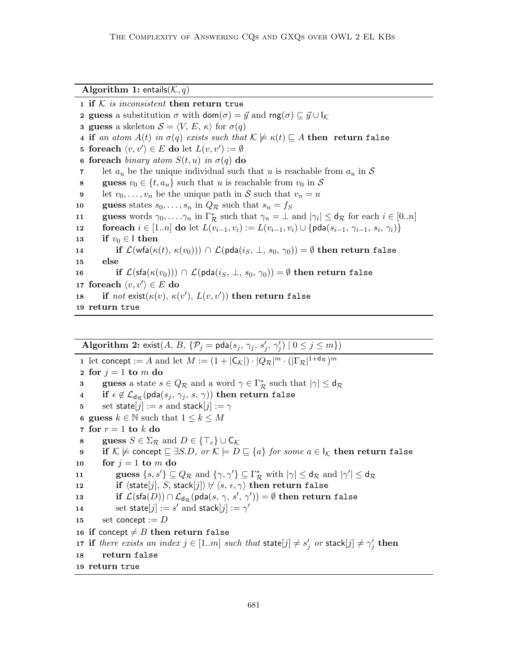```
Algorithm 1: entails(K, q)
```
1 if  $K$  is inconsistent then return true **2 guess** a substitution  $\sigma$  with  $\text{dom}(\sigma) = \vec{y}$  and  $\text{rng}(\sigma) \subset \vec{y} \cup \mathbf{l}_K$ **3 guess** a skeleton  $S = \langle V, E, \kappa \rangle$  for  $\sigma(q)$ 4 if an atom  $A(t)$  in  $\sigma(q)$  exists such that  $\mathcal{K} \not\models \kappa(t) \sqsubseteq A$  then return false 5 foreach  $\langle v, v' \rangle \in E$  do let  $L(v, v') := \emptyset$ 6 foreach binary atom  $S(t, u)$  in  $\sigma(q)$  do 7 let  $a_u$  be the unique individual such that u is reachable from  $a_u$  in S 8 guess  $v_0 \in \{t, a_u\}$  such that u is reachable from  $v_0$  in S 9 let  $v_0, \ldots, v_n$  be the unique path in S such that  $v_n = u$ 10 guess states  $s_0, \ldots, s_n$  in  $Q_{\mathcal{R}}$  such that  $s_n = f_S$ 11 guess words  $\gamma_0, \ldots, \gamma_n$  in  $\Gamma^*_{\mathcal{R}}$  such that  $\gamma_n = \bot$  and  $|\gamma_i| \le d_{\mathcal{R}}$  for each  $i \in [0..n]$ 12 foreach  $i \in [1..n]$  do let  $L(v_{i-1}, v_i) := L(v_{i-1}, v_i) \cup \{\text{pda}(s_{i-1}, \gamma_{i-1}, s_i, \gamma_i)\}$ 13 if  $v_0 \in \mathsf{I}$  then 14 if  $\mathcal{L}(\mathsf{wfa}(\kappa(t), \kappa(v_0))) \cap \mathcal{L}(\mathsf{pda}(i_S, \perp, s_0, \gamma_0)) = \emptyset$  then return false 15 else 16 if  $\mathcal{L}(\mathsf{sfa}(\kappa(v_0))) \cap \mathcal{L}(\mathsf{pda}(i_S, \perp, s_0, \gamma_0)) = \emptyset$  then return false 17 foreach  $\langle v, v' \rangle \in E$  do 18 if  $not$  exist $(\kappa(v), \kappa(v'), L(v, v'))$  then return false <sup>19</sup> return true

Algorithm 2: exist $(A, B, \{P_j = \text{pda}(s_j, \gamma_j, s'_j, \gamma'_j) \mid 0 \leq j \leq m\})$ 1 let concept := A and let  $M := (1 + |\mathsf{C}_{\mathcal{K}}|) \cdot |Q_{\mathcal{R}}|^m \cdot (|\Gamma_{\mathcal{R}}|^{1 + d_{\mathcal{R}}})^m$ 2 for  $j = 1$  to m do **3** guess a state  $s \in Q_{\mathcal{R}}$  and a word  $\gamma \in \Gamma_{\mathcal{R}}^*$  such that  $|\gamma| \le d_{\mathcal{R}}$ 4 if  $\epsilon \notin \mathcal{L}_{d_{\mathcal{R}}}(\textsf{pda}(s_j, \gamma_j, s, \gamma))$  then return false 5 set state $[j] := s$  and stack $[j] := \gamma$ 6 guess  $k \in \mathbb{N}$  such that  $1 \leq k \leq M$ 7 for  $r = 1$  to  $k$  do 8 guess  $S \in \Sigma_{\mathcal{R}}$  and  $D \in \{\top_c\} \cup \mathsf{C}_{\mathcal{K}}$ 9 if K  $\notin$  concept  $\sqsubseteq \exists S.D$ , or  $\mathcal{K} \models D \sqsubseteq \{a\}$  for some  $a \in I_{\mathcal{K}}$  then return false 10 for  $j = 1$  to m do 11 guess  $\{s, s'\} \subseteq Q_{\mathcal{R}}$  and  $\{\gamma, \gamma'\} \subseteq \Gamma_{\mathcal{R}}^*$  with  $|\gamma| \le d_{\mathcal{R}}$  and  $|\gamma'| \le d_{\mathcal{R}}$ 12 if  $\langle$ state $[j], S$ , stack $[j] \rangle \not\vdash \langle s, \epsilon, \gamma \rangle$  then return false  ${\bf i}$ 13 if  $\mathcal L(\mathsf{sfa}(D)) \cap \mathcal L_{\mathsf{d}_\mathcal R}(\mathsf{pda}(s,\,\gamma,\,s',\,\gamma')) = \emptyset$  then return false 14 set state $[j] := s'$  and stack $[j] := \gamma'$ 15 set concept :=  $D$ 16 if concept  $\neq B$  then return false 17 if there exists an index  $j \in [1..m]$  such that  $\textsf{state}[j] \neq s'_j$  or  $\textsf{stack}[j] \neq \gamma'_j$  then <sup>18</sup> return false <sup>19</sup> return true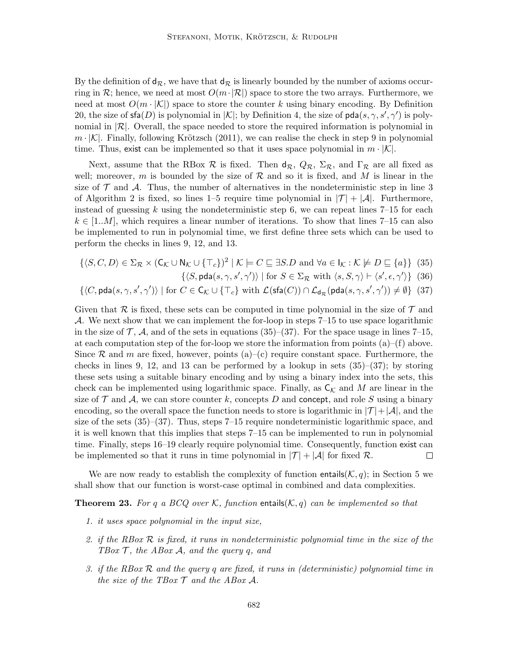By the definition of  $d_{\mathcal{R}}$ , we have that  $d_{\mathcal{R}}$  is linearly bounded by the number of axioms occurring in R; hence, we need at most  $O(m \cdot |R|)$  space to store the two arrays. Furthermore, we need at most  $O(m \cdot |\mathcal{K}|)$  space to store the counter k using binary encoding. By Definition 20, the size of  $\mathsf{sfa}(D)$  is polynomial in  $|\mathcal{K}|$ ; by Definition 4, the size of  $\mathsf{pda}(s, \gamma, s', \gamma')$  is polynomial in  $|\mathcal{R}|$ . Overall, the space needed to store the required information is polynomial in  $m \cdot |\mathcal{K}|$ . Finally, following Krötzsch (2011), we can realise the check in step 9 in polynomial time. Thus, exist can be implemented so that it uses space polynomial in  $m \cdot |\mathcal{K}|$ .

Next, assume that the RBox R is fixed. Then  $d_{\mathcal{R}}, Q_{\mathcal{R}}, \Sigma_{\mathcal{R}},$  and  $\Gamma_{\mathcal{R}}$  are all fixed as well; moreover, m is bounded by the size of  $\mathcal R$  and so it is fixed, and M is linear in the size of  $\mathcal T$  and  $\mathcal A$ . Thus, the number of alternatives in the nondeterministic step in line 3 of Algorithm 2 is fixed, so lines 1–5 require time polynomial in  $|\mathcal{T}| + |\mathcal{A}|$ . Furthermore, instead of guessing k using the nondeterministic step 6, we can repeat lines  $7-15$  for each  $k \in [1..M]$ , which requires a linear number of iterations. To show that lines 7–15 can also be implemented to run in polynomial time, we first define three sets which can be used to perform the checks in lines 9, 12, and 13.

$$
\{ \langle S, C, D \rangle \in \Sigma_{\mathcal{R}} \times (\mathsf{C}_{\mathcal{K}} \cup \mathsf{N}_{\mathcal{K}} \cup \{\top_{c}\})^{2} \mid \mathcal{K} \models C \sqsubseteq \exists S.D \text{ and } \forall a \in \mathsf{I}_{\mathcal{K}} : \mathcal{K} \not\models D \sqsubseteq \{a\} \} \tag{35}
$$

 $\{\langle S, \text{pda}(s, \gamma, s', \gamma')\rangle \mid \text{for } S \in \Sigma_{\mathcal{R}} \text{ with } \langle s, S, \gamma \rangle \vdash \langle s', \epsilon, \gamma' \rangle \}$  (36)

$$
\{ \langle C, \mathsf{pda}(s, \gamma, s', \gamma') \rangle \mid \text{for } C \in \mathsf{C}_{\mathcal{K}} \cup \{\top_{c}\} \text{ with } \mathcal{L}(\mathsf{sfa}(C)) \cap \mathcal{L}_{\mathsf{d}_{\mathcal{R}}}(\mathsf{pda}(s, \gamma, s', \gamma')) \neq \emptyset \} \tag{37}
$$

Given that R is fixed, these sets can be computed in time polynomial in the size of  $\mathcal T$  and A. We next show that we can implement the for-loop in steps  $7-15$  to use space logarithmic in the size of  $\mathcal{T}, \mathcal{A},$  and of the sets in equations (35)–(37). For the space usage in lines 7–15, at each computation step of the for-loop we store the information from points  $(a)$ – $(f)$  above. Since R and m are fixed, however, points  $(a)-(c)$  require constant space. Furthermore, the checks in lines 9, 12, and 13 can be performed by a lookup in sets  $(35)-(37)$ ; by storing these sets using a suitable binary encoding and by using a binary index into the sets, this check can be implemented using logarithmic space. Finally, as  $C_K$  and M are linear in the size of  $\mathcal T$  and  $\mathcal A$ , we can store counter k, concepts D and concept, and role S using a binary encoding, so the overall space the function needs to store is logarithmic in  $|\mathcal{T}| + |\mathcal{A}|$ , and the size of the sets  $(35)$ – $(37)$ . Thus, steps 7–15 require nondeterministic logarithmic space, and it is well known that this implies that steps 7–15 can be implemented to run in polynomial time. Finally, steps 16–19 clearly require polynomial time. Consequently, function exist can be implemented so that it runs in time polynomial in  $|\mathcal{T}| + |\mathcal{A}|$  for fixed R.  $\Box$ 

We are now ready to establish the complexity of function entails  $(K, q)$ ; in Section 5 we shall show that our function is worst-case optimal in combined and data complexities.

**Theorem 23.** For q a BCQ over K, function entails(K, q) can be implemented so that

- 1. it uses space polynomial in the input size,
- 2. if the RBox  $R$  is fixed, it runs in nondeterministic polynomial time in the size of the TBox  $\mathcal{T}$ , the ABox  $\mathcal{A}$ , and the query q, and
- 3. if the RBox  $R$  and the query q are fixed, it runs in (deterministic) polynomial time in the size of the TBox  $\mathcal T$  and the ABox  $\mathcal A$ .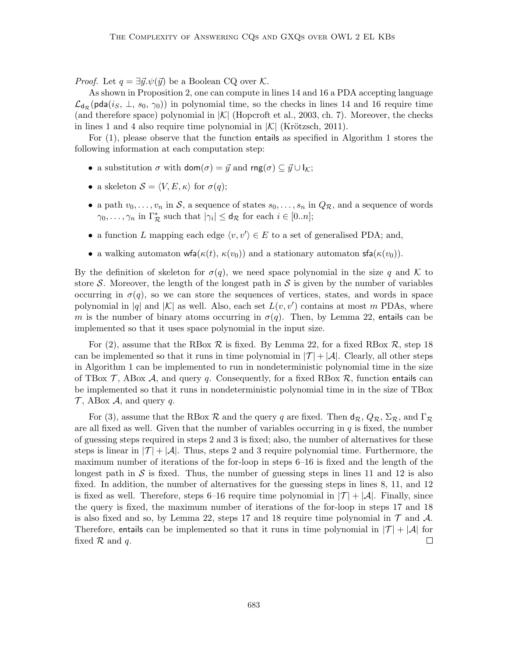*Proof.* Let  $q = \exists \vec{y}.\psi(\vec{y})$  be a Boolean CQ over K.

As shown in Proposition 2, one can compute in lines 14 and 16 a PDA accepting language  $\mathcal{L}_{d_{\mathcal{R}}}(pda(i_S, \perp, s_0, \gamma_0))$  in polynomial time, so the checks in lines 14 and 16 require time (and therefore space) polynomial in  $|\mathcal{K}|$  (Hopcroft et al., 2003, ch. 7). Moreover, the checks in lines 1 and 4 also require time polynomial in  $|\mathcal{K}|$  (Krötzsch, 2011).

For (1), please observe that the function entails as specified in Algorithm 1 stores the following information at each computation step:

- a substitution  $\sigma$  with dom $(\sigma) = \vec{y}$  and rng $(\sigma) \subseteq \vec{y} \cup I_{\mathcal{K}};$
- a skeleton  $S = \langle V, E, \kappa \rangle$  for  $\sigma(q)$ ;
- a path  $v_0, \ldots, v_n$  in S, a sequence of states  $s_0, \ldots, s_n$  in  $Q_{\mathcal{R}}$ , and a sequence of words  $\gamma_0, \ldots, \gamma_n$  in  $\Gamma^*_{\mathcal{R}}$  such that  $|\gamma_i| \leq d_{\mathcal{R}}$  for each  $i \in [0..n]$ ;
- a function L mapping each edge  $\langle v, v' \rangle \in E$  to a set of generalised PDA; and,
- a walking automaton wfa( $\kappa(t)$ ,  $\kappa(v_0)$ ) and a stationary automaton sfa( $\kappa(v_0)$ ).

By the definition of skeleton for  $\sigma(q)$ , we need space polynomial in the size q and K to store S. Moreover, the length of the longest path in S is given by the number of variables occurring in  $\sigma(q)$ , so we can store the sequences of vertices, states, and words in space polynomial in |q| and |K| as well. Also, each set  $L(v, v')$  contains at most m PDAs, where m is the number of binary atoms occurring in  $\sigma(q)$ . Then, by Lemma 22, entails can be implemented so that it uses space polynomial in the input size.

For (2), assume that the RBox  $\mathcal R$  is fixed. By Lemma 22, for a fixed RBox  $\mathcal R$ , step 18 can be implemented so that it runs in time polynomial in  $|\mathcal{T}| + |\mathcal{A}|$ . Clearly, all other steps in Algorithm 1 can be implemented to run in nondeterministic polynomial time in the size of TBox  $\mathcal{T}$ , ABox  $\mathcal{A}$ , and query q. Consequently, for a fixed RBox  $\mathcal{R}$ , function entails can be implemented so that it runs in nondeterministic polynomial time in in the size of TBox  $\mathcal{T}$ , ABox  $\mathcal{A}$ , and query  $q$ .

For (3), assume that the RBox R and the query q are fixed. Then  $d_{\mathcal{R}}, Q_{\mathcal{R}}, \Sigma_{\mathcal{R}},$  and  $\Gamma_{\mathcal{R}}$ are all fixed as well. Given that the number of variables occurring in  $q$  is fixed, the number of guessing steps required in steps 2 and 3 is fixed; also, the number of alternatives for these steps is linear in  $|\mathcal{T}| + |\mathcal{A}|$ . Thus, steps 2 and 3 require polynomial time. Furthermore, the maximum number of iterations of the for-loop in steps 6–16 is fixed and the length of the longest path in S is fixed. Thus, the number of guessing steps in lines 11 and 12 is also fixed. In addition, the number of alternatives for the guessing steps in lines 8, 11, and 12 is fixed as well. Therefore, steps 6–16 require time polynomial in  $|\mathcal{T}| + |\mathcal{A}|$ . Finally, since the query is fixed, the maximum number of iterations of the for-loop in steps 17 and 18 is also fixed and so, by Lemma 22, steps 17 and 18 require time polynomial in  $\mathcal T$  and  $\mathcal A$ . Therefore, entails can be implemented so that it runs in time polynomial in  $|\mathcal{T}| + |\mathcal{A}|$  for fixed  $R$  and  $q$ .  $\Box$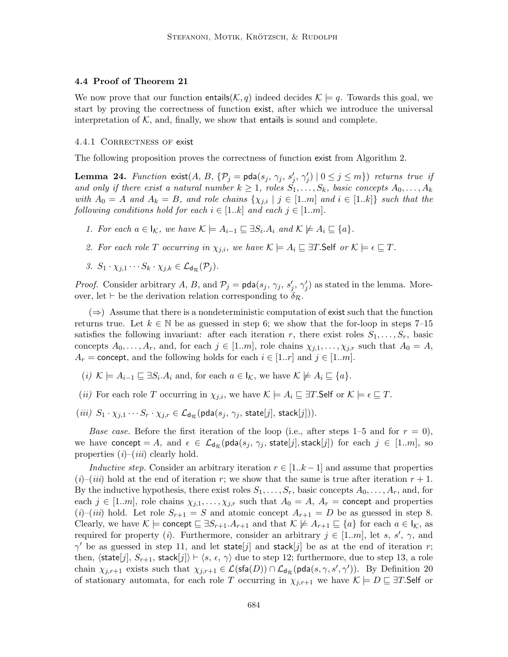### 4.4 Proof of Theorem 21

We now prove that our function entails( $\mathcal{K}, q$ ) indeed decides  $\mathcal{K} \models q$ . Towards this goal, we start by proving the correctness of function exist, after which we introduce the universal interpretation of  $K$ , and, finally, we show that entails is sound and complete.

#### 4.4.1 CORRECTNESS OF exist

The following proposition proves the correctness of function exist from Algorithm 2.

**Lemma 24.** Function  $\text{exist}(A, B, \{P_j = \text{pda}(s_j, \gamma_j, s_j', \gamma_j') \mid 0 \leq j \leq m\})$  returns true if and only if there exist a natural number  $k \geq 1$ , roles  $S_1, \ldots, S_k$ , basic concepts  $A_0, \ldots, A_k$ with  $A_0 = A$  and  $A_k = B$ , and role chains  $\{\chi_{j,i} | j \in [1..m] \text{ and } i \in [1..k]\}$  such that the following conditions hold for each  $i \in [1..k]$  and each  $j \in [1..m]$ .

- 1. For each  $a \in I_{\mathcal{K}}$ , we have  $\mathcal{K} \models A_{i-1} \sqsubseteq \exists S_i \ldotp A_i$  and  $\mathcal{K} \not\models A_i \sqsubseteq \{a\}$ .
- 2. For each role T occurring in  $\chi_{j,i}$ , we have  $\mathcal{K} \models A_i \sqsubseteq \exists T$ . Self or  $\mathcal{K} \models \epsilon \sqsubseteq T$ .
- 3.  $S_1 \cdot \chi_{i,1} \cdots S_k \cdot \chi_{i,k} \in \mathcal{L}_{d_{\mathcal{R}}}(\mathcal{P}_i)$ .

*Proof.* Consider arbitrary A, B, and  $\mathcal{P}_j = \text{pda}(s_j, \gamma_j, s'_j, \gamma'_j)$  as stated in the lemma. Moreover, let  $\vdash$  be the derivation relation corresponding to  $\delta_{\mathcal{R}}$ .

 $(\Rightarrow)$  Assume that there is a nondeterministic computation of exist such that the function returns true. Let  $k \in \mathbb{N}$  be as guessed in step 6; we show that the for-loop in steps 7–15 satisfies the following invariant: after each iteration r, there exist roles  $S_1, \ldots, S_r$ , basic concepts  $A_0, \ldots, A_r$ , and, for each  $j \in [1..m]$ , role chains  $\chi_{j,1}, \ldots, \chi_{j,r}$  such that  $A_0 = A$ ,  $A_r$  = concept, and the following holds for each  $i \in [1..r]$  and  $j \in [1..m]$ .

- $(i)$   $\mathcal{K} \models A_{i-1} \sqsubseteq \exists S_i \ldotp A_i$  and, for each  $a \in I_{\mathcal{K}}$ , we have  $\mathcal{K} \not\models A_i \sqsubseteq \{a\}$ .
- (*ii*) For each role T occurring in  $\chi_{j,i}$ , we have  $\mathcal{K} \models A_i \sqsubseteq \exists T$ . Self or  $\mathcal{K} \models \epsilon \sqsubseteq T$ .
- (iii)  $S_1 \cdot \chi_{j,1} \cdots S_r \cdot \chi_{j,r} \in \mathcal{L}_{d_{\mathcal{R}}}(\mathsf{pda}(s_j, \gamma_j, \mathsf{state}[j], \mathsf{stack}[j])).$

*Base case.* Before the first iteration of the loop (i.e., after steps 1–5 and for  $r = 0$ ), we have concept = A, and  $\epsilon \in \mathcal{L}_{d_{\mathcal{R}}}(\text{pda}(s_j, \gamma_j, \text{state}[j], \text{stack}[j])$  for each  $j \in [1..m],$  so properties  $(i)$ – $(iii)$  clearly hold.

Inductive step. Consider an arbitrary iteration  $r \in [1..k-1]$  and assume that properties  $(i)$ – $(iii)$  hold at the end of iteration r; we show that the same is true after iteration  $r + 1$ . By the inductive hypothesis, there exist roles  $S_1, \ldots, S_r$ , basic concepts  $A_0, \ldots, A_r$ , and, for each  $j \in [1..m]$ , role chains  $\chi_{j,1}, \ldots, \chi_{j,r}$  such that  $A_0 = A$ ,  $A_r =$  concept and properties  $(i)$ – $(iii)$  hold. Let role  $S_{r+1} = S$  and atomic concept  $A_{r+1} = D$  be as guessed in step 8. Clearly, we have  $\mathcal{K} \models$  concept  $\sqsubseteq \exists S_{r+1}.A_{r+1}$  and that  $\mathcal{K} \not\models A_{r+1} \sqsubseteq \{a\}$  for each  $a \in \mathsf{I}_{\mathcal{K}}$ , as required for property (*i*). Furthermore, consider an arbitrary  $j \in [1..m]$ , let s, s',  $\gamma$ , and  $\gamma'$  be as guessed in step 11, and let state j and stack j be as at the end of iteration r; then,  $\langle$ state $[j], S_{r+1}$ , stack $[j] \rangle \vdash \langle s, \epsilon, \gamma \rangle$  due to step 12; furthermore, due to step 13, a role chain  $\chi_{j,r+1}$  exists such that  $\chi_{j,r+1} \in \mathcal{L}(\mathsf{sfa}(D)) \cap \mathcal{L}_{d_{\mathcal{R}}}(\mathsf{pda}(s, \gamma, s', \gamma'))$ . By Definition 20 of stationary automata, for each role T occurring in  $\chi_{j,r+1}$  we have  $\mathcal{K} \models D \sqsubseteq \exists T$ . Self or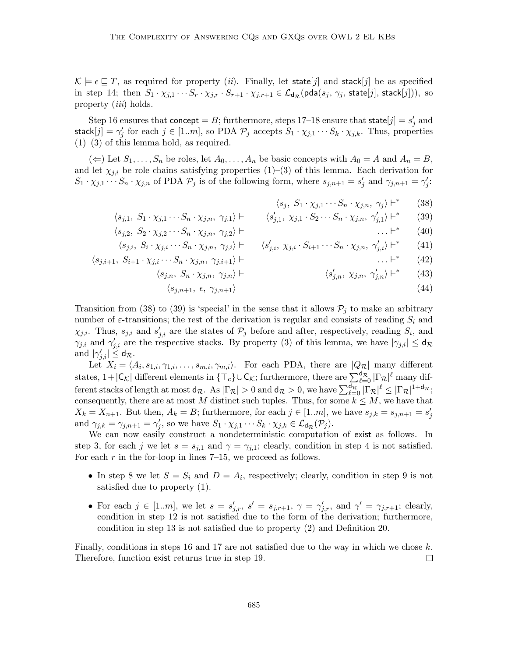$\mathcal{K} \models \epsilon \sqsubseteq T$ , as required for property *(ii)*. Finally, let state *j* and stack *j* be as specified in step 14; then  $S_1 \cdot \chi_{j,1} \cdots S_r \cdot \chi_{j,r} \cdot S_{r+1} \cdot \chi_{j,r+1} \in \mathcal{L}_{d_{\mathcal{R}}}(\mathsf{pda}(s_j, \gamma_j, \mathsf{state}[j], \mathsf{stack}[j]))$ , so property *(iii)* holds.

Step 16 ensures that concept = B; furthermore, steps 17–18 ensure that state $[j] = s'_j$  and stack $[j] = \gamma'_j$  for each  $j \in [1..m]$ , so PDA  $\mathcal{P}_j$  accepts  $S_1 \cdot \chi_{j,1} \cdots S_k \cdot \chi_{j,k}$ . Thus, properties  $(1)$ – $(3)$  of this lemma hold, as required.

( $\Leftarrow$ ) Let  $S_1, \ldots, S_n$  be roles, let  $A_0, \ldots, A_n$  be basic concepts with  $A_0 = A$  and  $A_n = B$ , and let  $\chi_{i,i}$  be role chains satisfying properties (1)–(3) of this lemma. Each derivation for  $S_1 \cdot \chi_{j,1} \cdots S_n \cdot \chi_{j,n}$  of PDA  $\mathcal{P}_j$  is of the following form, where  $s_{j,n+1} = s'_j$  and  $\gamma_{j,n+1} = \gamma'_j$ :

> $\langle s_j, S_1 \cdot \chi_{j,1} \cdots S_n \cdot \chi_{j,n}, \gamma_j \rangle \vdash^*$ (38)

$$
\langle s_{j,1}, S_1 \cdot \chi_{j,1} \cdots S_n \cdot \chi_{j,n}, \gamma_{j,1} \rangle \vdash \langle s'_{j,1}, \chi_{j,1} \cdot S_2 \cdots S_n \cdot \chi_{j,n}, \gamma'_{j,1} \rangle \vdash^* \qquad (39)
$$

$$
\langle s_{j,2}, S_2 \cdot \chi_{j,2} \cdots S_n \cdot \chi_{j,n}, \gamma_{j,2} \rangle \vdash \qquad \qquad \ldots \vdash^* \qquad (40)
$$

$$
\langle s_{j,i}, \ S_i \cdot \chi_{j,i} \cdots S_n \cdot \chi_{j,n}, \ \gamma_{j,i} \rangle \vdash \qquad \langle s'_{j,i}, \ \chi_{j,i} \cdot S_{i+1} \cdots S_n \cdot \chi_{j,n}, \ \gamma'_{j,i} \rangle \vdash^* \qquad (41)
$$

$$
\langle s_{j,i+1}, S_{i+1} \cdot \chi_{j,i} \cdots S_n \cdot \chi_{j,n}, \gamma_{j,i+1} \rangle \vdash \qquad \qquad \ldots \vdash^* \qquad (42)
$$

 $\langle s_{i,n}, S_n \cdot \chi_{i,n}, \gamma_{i,n} \rangle \vdash$ 

$$
\langle s'_{j,n}, \ \chi_{j,n}, \ \gamma'_{j,n} \rangle \vdash^* \qquad (43)
$$

$$
\langle s_{j,n+1}, \epsilon, \gamma_{j,n+1} \rangle \tag{44}
$$

Transition from (38) to (39) is 'special' in the sense that it allows  $\mathcal{P}_j$  to make an arbitrary number of  $\varepsilon$ -transitions; the rest of the derivation is regular and consists of reading  $S_i$  and  $\chi_{j,i}$ . Thus,  $s_{j,i}$  and  $s'_{j,i}$  are the states of  $\mathcal{P}_j$  before and after, respectively, reading  $S_i$ , and  $\gamma_{j,i}$  and  $\gamma'_{j,i}$  are the respective stacks. By property (3) of this lemma, we have  $|\gamma_{j,i}| \leq d_{\mathcal{R}}$ and  $|\gamma_{j,i}'| \leq d_{\mathcal{R}}$ .

Let  $X_i = \langle A_i, s_{1,i}, \gamma_{1,i}, \ldots, s_{m,i}, \gamma_{m,i} \rangle$ . For each PDA, there are  $|Q_{\mathcal{R}}|$  many different states,  $1+|\mathsf{C}_{\mathcal{K}}|$  different elements in  $\{\top_c\}\cup\mathsf{C}_{\mathcal{K}}$ ; furthermore, there are  $\sum_{\ell=0}^{d_{\mathcal{R}}}| \Gamma_{\mathcal{R}}|^\ell$  many different stacks of length at most  $d_{\mathcal{R}}$ . As  $|\Gamma_{\mathcal{R}}| > 0$  and  $d_{\mathcal{R}} > 0$ , we have  $\sum_{\ell=0}^{d_{\mathcal{R}}} |\Gamma_{\mathcal{R}}|^{\ell} \leq |\Gamma_{\mathcal{R}}|^{1+d_{\mathcal{R}}};$ consequently, there are at most M distinct such tuples. Thus, for some  $k \leq M$ , we have that  $X_k = X_{n+1}$ . But then,  $A_k = B$ ; furthermore, for each  $j \in [1..m]$ , we have  $s_{j,k} = s_{j,n+1} = s'_j$ and  $\gamma_{j,k} = \gamma_{j,n+1} = \gamma'_j$ , so we have  $S_1 \cdot \chi_{j,1} \cdots S_k \cdot \chi_{j,k} \in \mathcal{L}_{d_{\mathcal{R}}}(\mathcal{P}_j)$ .

We can now easily construct a nondeterministic computation of exist as follows. In step 3, for each j we let  $s = s_{j,1}$  and  $\gamma = \gamma_{j,1}$ ; clearly, condition in step 4 is not satisfied. For each  $r$  in the for-loop in lines 7–15, we proceed as follows.

- In step 8 we let  $S = S_i$  and  $D = A_i$ , respectively; clearly, condition in step 9 is not satisfied due to property (1).
- For each  $j \in [1..m]$ , we let  $s = s'_{j,r}$ ,  $s' = s_{j,r+1}$ ,  $\gamma = \gamma'_{j,r}$ , and  $\gamma' = \gamma_{j,r+1}$ ; clearly, condition in step 12 is not satisfied due to the form of the derivation; furthermore, condition in step 13 is not satisfied due to property (2) and Definition 20.

Finally, conditions in steps 16 and 17 are not satisfied due to the way in which we chose k. Therefore, function exist returns true in step 19.  $\Box$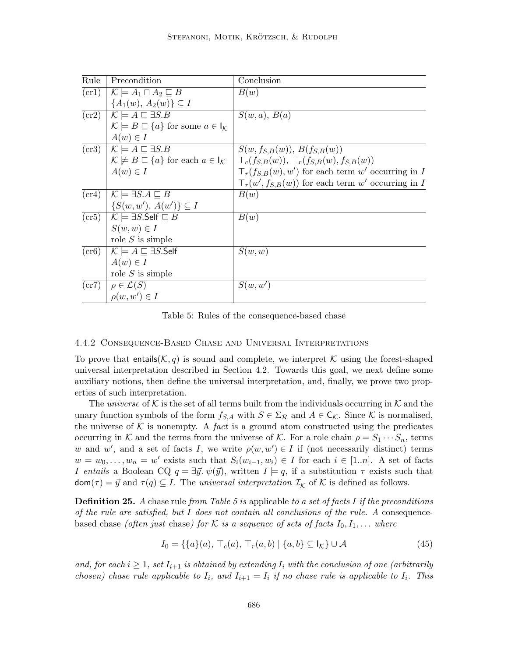| Rule               | Precondition                                                                   | Conclusion                                               |
|--------------------|--------------------------------------------------------------------------------|----------------------------------------------------------|
| (cr1)              | $\mathcal{K} \models A_1 \sqcap A_2 \sqsubseteq B$                             | B(w)                                                     |
|                    | ${A_1(w), A_2(w)} \subseteq I$                                                 |                                                          |
| cr2)               | $\mid \mathcal{K} \mid = A \sqsubseteq \exists S.B$                            | S(w,a), B(a)                                             |
|                    | $\mathcal{K} \models B \sqsubseteq \{a\}$ for some $a \in I_{\mathcal{K}}$     |                                                          |
|                    | $A(w) \in I$                                                                   |                                                          |
|                    | $(\text{cr3}) \mid \mathcal{K} \models A \sqsubseteq \exists S.B$              | $S(w, f_{S,B}(w)), B(f_{S,B}(w))$                        |
|                    | $\mathcal{K} \not\models B \sqsubseteq \{a\}$ for each $a \in I_{\mathcal{K}}$ | $\top_c(f_{S,B}(w)), \top_r(f_{S,B}(w),f_{S,B}(w))$      |
|                    | $A(w) \in I$                                                                   | $\top_r(f_{S,B}(w), w')$ for each term w' occurring in I |
|                    |                                                                                | $\top_r(w', f_{S,B}(w))$ for each term w' occurring in I |
| (c <sub>r4</sub> ) | $\mathcal{K} \models \exists S.A \sqsubseteq B$                                | B(w)                                                     |
|                    | $\{S(w, w'), A(w')\} \subseteq I$                                              |                                                          |
|                    | $(\text{cr5}) \mid \mathcal{K} \models \exists S.\mathsf{Self} \sqsubseteq B$  | B(w)                                                     |
|                    | $S(w, w) \in I$                                                                |                                                          |
|                    | role $S$ is simple                                                             |                                                          |
| $(c\mathbf{r}6)$   | $\mathcal{K} \models A \sqsubseteq \exists S.\mathsf{Self}$                    | S(w, w)                                                  |
|                    | $A(w) \in I$                                                                   |                                                          |
|                    | role $S$ is simple                                                             |                                                          |
| (cr7)              | $\rho \in \mathcal{L}(S)$                                                      | S(w, w')                                                 |
|                    | $\rho(w, w') \in I$                                                            |                                                          |

Table 5: Rules of the consequence-based chase

#### 4.4.2 Consequence-Based Chase and Universal Interpretations

To prove that entails( $(\mathcal{K}, q)$  is sound and complete, we interpret K using the forest-shaped universal interpretation described in Section 4.2. Towards this goal, we next define some auxiliary notions, then define the universal interpretation, and, finally, we prove two properties of such interpretation.

The *universe* of K is the set of all terms built from the individuals occurring in K and the unary function symbols of the form  $f_{S,A}$  with  $S \in \Sigma_{\mathcal{R}}$  and  $A \in \mathsf{C}_{\mathcal{K}}$ . Since K is normalised, the universe of K is nonempty. A fact is a ground atom constructed using the predicates occurring in K and the terms from the universe of K. For a role chain  $\rho = S_1 \cdots S_n$ , terms w and w', and a set of facts I, we write  $\rho(w, w') \in I$  if (not necessarily distinct) terms  $w = w_0, \ldots, w_n = w'$  exists such that  $S_i(w_{i-1}, w_i) \in I$  for each  $i \in [1..n]$ . A set of facts I entails a Boolean CQ  $q = \exists \vec{y}.\ \psi(\vec{y})$ , written  $I \models q$ , if a substitution  $\tau$  exists such that  $\textsf{dom}(\tau) = \vec{y} \text{ and } \tau(q) \subseteq I$ . The universal interpretation  $\mathcal{I}_\mathcal{K}$  of  $\mathcal{K}$  is defined as follows.

**Definition 25.** A chase rule from Table 5 is applicable to a set of facts I if the preconditions of the rule are satisfied, but I does not contain all conclusions of the rule. A consequencebased chase (often just chase) for K is a sequence of sets of facts  $I_0, I_1, \ldots$  where

$$
I_0 = \{ \{a\}(a), \top_c(a), \top_r(a, b) \mid \{a, b\} \subseteq I_{\mathcal{K}} \} \cup \mathcal{A}
$$
\n
$$
(45)
$$

and, for each  $i \geq 1$ , set  $I_{i+1}$  is obtained by extending  $I_i$  with the conclusion of one (arbitrarily chosen) chase rule applicable to  $I_i$ , and  $I_{i+1} = I_i$  if no chase rule is applicable to  $I_i$ . This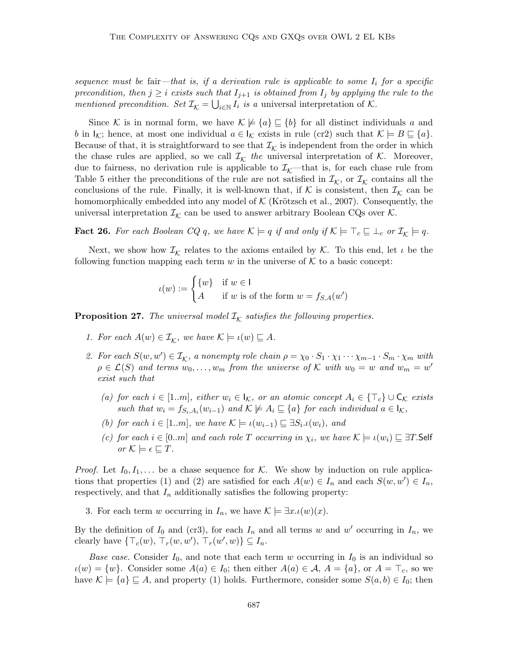sequence must be fair—that is, if a derivation rule is applicable to some  $I_i$  for a specific precondition, then  $j \geq i$  exists such that  $I_{j+1}$  is obtained from  $I_j$  by applying the rule to the mentioned precondition. Set  $\mathcal{I}_{\mathcal{K}} = \bigcup_{i \in \mathbb{N}} I_i$  is a universal interpretation of  $\mathcal{K}$ .

Since K is in normal form, we have  $\mathcal{K} \not\models \{a\} \sqsubseteq \{b\}$  for all distinct individuals a and b in  $\vert_{\mathcal{K}}$ ; hence, at most one individual  $a \in \mathcal{K}$  exists in rule (cr2) such that  $\mathcal{K} \models B \sqsubseteq \{a\}$ . Because of that, it is straightforward to see that  $\mathcal{I}_{\mathcal{K}}$  is independent from the order in which the chase rules are applied, so we call  $\mathcal{I}_{\mathcal{K}}$  the universal interpretation of  $\mathcal{K}$ . Moreover, due to fairness, no derivation rule is applicable to  $\mathcal{I}_{K}$ —that is, for each chase rule from Table 5 either the preconditions of the rule are not satisfied in  $\mathcal{I}_{\mathcal{K}}$ , or  $\mathcal{I}_{\mathcal{K}}$  contains all the conclusions of the rule. Finally, it is well-known that, if  $K$  is consistent, then  $\mathcal{I}_K$  can be homomorphically embedded into any model of  $K$  (Krötzsch et al., 2007). Consequently, the universal interpretation  $\mathcal{I}_{\mathcal{K}}$  can be used to answer arbitrary Boolean CQs over  $\mathcal{K}$ .

**Fact 26.** For each Boolean CQ q, we have  $\mathcal{K} \models q$  if and only if  $\mathcal{K} \models \top_c \sqsubseteq \bot_c$  or  $\mathcal{I}_{\mathcal{K}} \models q$ .

Next, we show how  $\mathcal{I}_{\mathcal{K}}$  relates to the axioms entailed by  $\mathcal{K}$ . To this end, let  $\iota$  be the following function mapping each term w in the universe of  $K$  to a basic concept:

$$
\iota(w) := \begin{cases} \{w\} & \text{if } w \in \mathsf{I} \\ A & \text{if } w \text{ is of the form } w = f_{S,A}(w') \end{cases}
$$

**Proposition 27.** The universal model  $\mathcal{I}_{\mathcal{K}}$  satisfies the following properties.

- 1. For each  $A(w) \in \mathcal{I}_{\mathcal{K}}$ , we have  $\mathcal{K} \models \iota(w) \sqsubseteq A$ .
- 2. For each  $S(w, w') \in I_K$ , a nonempty role chain  $\rho = \chi_0 \cdot S_1 \cdot \chi_1 \cdots \chi_{m-1} \cdot S_m \cdot \chi_m$  with  $\rho \in \mathcal{L}(S)$  and terms  $w_0, \ldots, w_m$  from the universe of K with  $w_0 = w$  and  $w_m = w'$ exist such that
	- (a) for each  $i \in [1..m]$ , either  $w_i \in I_{\mathcal{K}}$ , or an atomic concept  $A_i \in {\mathcal{F}}_c$   $\cup$   $C_{\mathcal{K}}$  exists such that  $w_i = f_{S_i,A_i}(w_{i-1})$  and  $\mathcal{K} \not\models A_i \sqsubseteq \{a\}$  for each individual  $a \in I_{\mathcal{K}},$
	- (b) for each  $i \in [1..m]$ , we have  $\mathcal{K} \models \iota(w_{i-1}) \sqsubseteq \exists S_i \iota(w_i)$ , and
	- (c) for each  $i \in [0..m]$  and each role T occurring in  $\chi_i$ , we have  $\mathcal{K} \models \iota(w_i) \sqsubseteq \exists T$ . Self or  $\mathcal{K} \models \epsilon \sqsubset T$ .

*Proof.* Let  $I_0, I_1, \ldots$  be a chase sequence for K. We show by induction on rule applications that properties (1) and (2) are satisfied for each  $A(w) \in I_n$  and each  $S(w, w') \in I_n$ , respectively, and that  $I_n$  additionally satisfies the following property:

3. For each term w occurring in  $I_n$ , we have  $\mathcal{K} \models \exists x \, \iota(w)(x)$ .

By the definition of  $I_0$  and (cr3), for each  $I_n$  and all terms w and w' occurring in  $I_n$ , we clearly have  $\{\top_c(w), \top_r(w, w'), \top_r(w', w)\} \subseteq I_n$ .

Base case. Consider  $I_0$ , and note that each term w occurring in  $I_0$  is an individual so  $u(w) = \{w\}.$  Consider some  $A(a) \in I_0$ ; then either  $A(a) \in \mathcal{A}, A = \{a\},$  or  $A = \top_c$ , so we have  $\mathcal{K} \models \{a\} \sqsubseteq A$ , and property (1) holds. Furthermore, consider some  $S(a, b) \in I_0$ ; then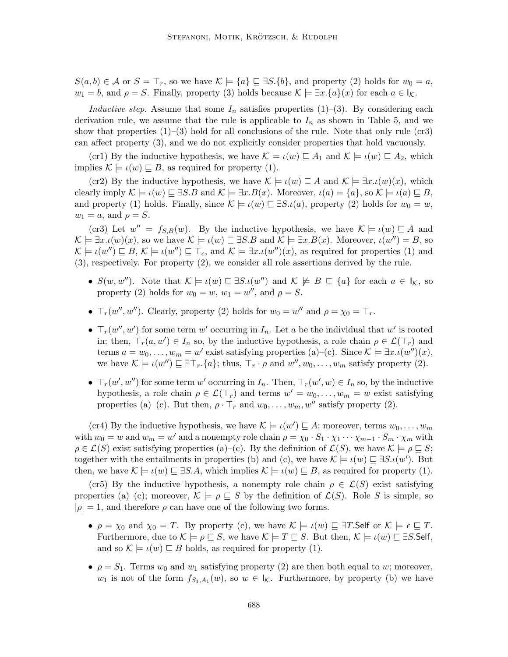$S(a, b) \in \mathcal{A}$  or  $S = \top_r$ , so we have  $\mathcal{K} \models \{a\} \sqsubseteq \exists S. \{b\}$ , and property (2) holds for  $w_0 = a$ ,  $w_1 = b$ , and  $\rho = S$ . Finally, property (3) holds because  $\mathcal{K} \models \exists x.\{a\}(x)$  for each  $a \in \mathsf{I}_{\mathcal{K}}$ .

Inductive step. Assume that some  $I_n$  satisfies properties (1)–(3). By considering each derivation rule, we assume that the rule is applicable to  $I_n$  as shown in Table 5, and we show that properties  $(1)$ – $(3)$  hold for all conclusions of the rule. Note that only rule  $(cr3)$ can affect property (3), and we do not explicitly consider properties that hold vacuously.

(cr1) By the inductive hypothesis, we have  $\mathcal{K} \models \iota(w) \sqsubseteq A_1$  and  $\mathcal{K} \models \iota(w) \sqsubseteq A_2$ , which implies  $\mathcal{K} \models \iota(w) \sqsubseteq B$ , as required for property (1).

(cr2) By the inductive hypothesis, we have  $\mathcal{K} \models \iota(w) \sqsubseteq A$  and  $\mathcal{K} \models \exists x \cdot \iota(w)(x)$ , which clearly imply  $\mathcal{K} \models \iota(w) \sqsubseteq \exists S.B$  and  $\mathcal{K} \models \exists x.B(x)$ . Moreover,  $\iota(a) = \{a\}$ , so  $\mathcal{K} \models \iota(a) \sqsubseteq B$ , and property (1) holds. Finally, since  $\mathcal{K} \models \iota(w) \sqsubseteq \exists S.\iota(a)$ , property (2) holds for  $w_0 = w$ ,  $w_1 = a$ , and  $\rho = S$ .

(cr3) Let  $w'' = f_{S,B}(w)$ . By the inductive hypothesis, we have  $\mathcal{K} \models \iota(w) \sqsubseteq A$  and  $\mathcal{K} \models \exists x \cdot \iota(w)(x)$ , so we have  $\mathcal{K} \models \iota(w) \sqsubseteq \exists S.B$  and  $\mathcal{K} \models \exists x.B(x)$ . Moreover,  $\iota(w'') = B$ , so  $\mathcal{K} \models \iota(w'') \sqsubseteq B, \mathcal{K} \models \iota(w'') \sqsubseteq \top_c$ , and  $\mathcal{K} \models \exists x \ldotp \iota(w'')(x)$ , as required for properties (1) and (3), respectively. For property (2), we consider all role assertions derived by the rule.

- $S(w, w'')$ . Note that  $\mathcal{K} \models \iota(w) \sqsubseteq \exists S.\iota(w'')$  and  $\mathcal{K} \not\models B \sqsubseteq \{a\}$  for each  $a \in I_{\mathcal{K}}$ , so property (2) holds for  $w_0 = w$ ,  $w_1 = w''$ , and  $\rho = S$ .
- $\top_r(w'', w'')$ . Clearly, property (2) holds for  $w_0 = w''$  and  $\rho = \chi_0 = \top_r$ .
- $\top_r(w'', w')$  for some term w' occurring in  $I_n$ . Let a be the individual that w' is rooted in; then,  $\top_r(a, w') \in I_n$  so, by the inductive hypothesis, a role chain  $\rho \in \mathcal{L}(\top_r)$  and terms  $a = w_0, \ldots, w_m = w'$  exist satisfying properties (a)–(c). Since  $\mathcal{K} \models \exists x \, \iota(w'')(x)$ , we have  $\mathcal{K} \models \iota(w'') \sqsubseteq \exists \top_r.\{a\}$ ; thus,  $\top_r \cdot \rho$  and  $w'', w_0, \ldots, w_m$  satisfy property (2).
- $\top_r(w', w'')$  for some term w' occurring in  $I_n$ . Then,  $\top_r(w', w) \in I_n$  so, by the inductive hypothesis, a role chain  $\rho \in \mathcal{L}(\mathcal{T}_r)$  and terms  $w' = w_0, \ldots, w_m = w$  exist satisfying properties (a)–(c). But then,  $\rho \cdot \mathsf{T}_r$  and  $w_0, \ldots, w_m, w''$  satisfy property (2).

(cr4) By the inductive hypothesis, we have  $\mathcal{K} \models \iota(w') \sqsubseteq A$ ; moreover, terms  $w_0, \ldots, w_m$ with  $w_0 = w$  and  $w_m = w'$  and a nonempty role chain  $\rho = \chi_0 \cdot S_1 \cdot \chi_1 \cdots \chi_{m-1} \cdot S_m \cdot \chi_m$  with  $\rho \in \mathcal{L}(S)$  exist satisfying properties (a)–(c). By the definition of  $\mathcal{L}(S)$ , we have  $\mathcal{K} \models \rho \sqsubseteq S$ ; together with the entailments in properties (b) and (c), we have  $\mathcal{K} \models \iota(w) \sqsubseteq \exists S.\iota(w')$ . But then, we have  $\mathcal{K} \models \iota(w) \sqsubseteq \exists S.A$ , which implies  $\mathcal{K} \models \iota(w) \sqsubseteq B$ , as required for property (1).

(cr5) By the inductive hypothesis, a nonempty role chain  $\rho \in \mathcal{L}(S)$  exist satisfying properties (a)–(c); moreover,  $\mathcal{K} \models \rho \sqsubseteq S$  by the definition of  $\mathcal{L}(S)$ . Role S is simple, so  $|\rho| = 1$ , and therefore  $\rho$  can have one of the following two forms.

- $\rho = \chi_0$  and  $\chi_0 = T$ . By property (c), we have  $\mathcal{K} \models \iota(w) \sqsubseteq \exists T$ . Self or  $\mathcal{K} \models \epsilon \sqsubseteq T$ . Furthermore, due to  $\mathcal{K} \models \rho \sqsubseteq S$ , we have  $\mathcal{K} \models T \sqsubseteq S$ . But then,  $\mathcal{K} \models \iota(w) \sqsubseteq \exists S$ . Self, and so  $\mathcal{K} \models \iota(w) \sqsubseteq B$  holds, as required for property (1).
- $\rho = S_1$ . Terms  $w_0$  and  $w_1$  satisfying property (2) are then both equal to w; moreover,  $w_1$  is not of the form  $f_{S_1,A_1}(w)$ , so  $w \in I_{\mathcal{K}}$ . Furthermore, by property (b) we have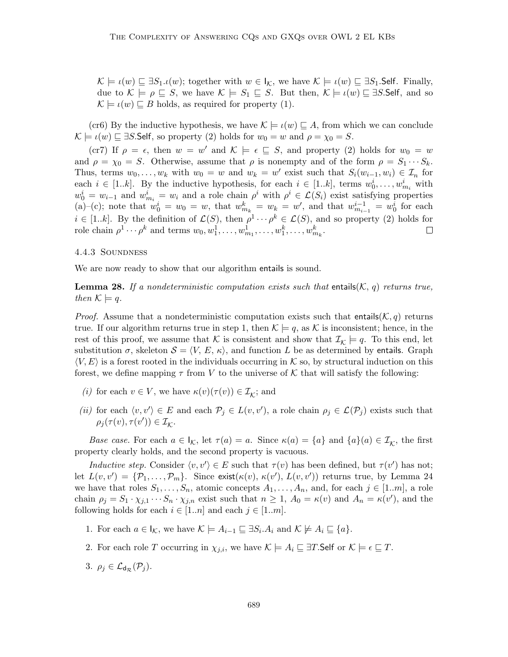$\mathcal{K} \models \iota(w) \sqsubseteq \exists S_1 \iota(w);$  together with  $w \in \iota_{\mathcal{K}}$ , we have  $\mathcal{K} \models \iota(w) \sqsubseteq \exists S_1$ . Self. Finally, due to  $\mathcal{K} \models \rho \sqsubseteq S$ , we have  $\mathcal{K} \models S_1 \sqsubseteq S$ . But then,  $\mathcal{K} \models \iota(w) \sqsubseteq \exists S$ . Self, and so  $\mathcal{K} \models \iota(w) \sqsubseteq B$  holds, as required for property (1).

(cr6) By the inductive hypothesis, we have  $\mathcal{K} \models \iota(w) \sqsubseteq A$ , from which we can conclude  $\mathcal{K} \models \iota(w) \sqsubseteq \exists S$ . Self, so property (2) holds for  $w_0 = w$  and  $\rho = \chi_0 = S$ .

(cr7) If  $\rho = \epsilon$ , then  $w = w'$  and  $\mathcal{K} \models \epsilon \sqsubseteq S$ , and property (2) holds for  $w_0 = w$ and  $\rho = \chi_0 = S$ . Otherwise, assume that  $\rho$  is nonempty and of the form  $\rho = S_1 \cdots S_k$ . Thus, terms  $w_0, \ldots, w_k$  with  $w_0 = w$  and  $w_k = w'$  exist such that  $S_i(w_{i-1}, w_i) \in \mathcal{I}_n$  for each  $i \in [1..k]$ . By the inductive hypothesis, for each  $i \in [1..k]$ , terms  $w_0^i, \ldots, w_{m_i}^i$  with  $w_0^i = w_{i-1}$  and  $w_{m_i}^i = w_i$  and a role chain  $\rho^i$  with  $\rho^i \in \mathcal{L}(S_i)$  exist satisfying properties (a)–(c); note that  $w_0^i = w_0 = w$ , that  $w_{m_k}^k = w_k = w'$ , and that  $w_{m_{i-1}}^{i-1} = w_0^i$  for each  $i \in [1..k]$ . By the definition of  $\mathcal{L}(S)$ , then  $\rho^1 \cdots \rho^k \in \mathcal{L}(S)$ , and so property (2) holds for role chain  $\rho^1 \cdots \rho^k$  and terms  $w_0, w_1^1, \ldots, w_{m_1}^1, \ldots, w_1^k, \ldots, w_{m_k}^k$ .

#### 4.4.3 Soundness

We are now ready to show that our algorithm entails is sound.

**Lemma 28.** If a nondeterministic computation exists such that entails( $\mathcal{K}, q$ ) returns true, then  $\mathcal{K} \models q$ .

*Proof.* Assume that a nondeterministic computation exists such that entails( $K, q$ ) returns true. If our algorithm returns true in step 1, then  $\mathcal{K} \models q$ , as K is inconsistent; hence, in the rest of this proof, we assume that K is consistent and show that  $\mathcal{I}_{\mathcal{K}} \models q$ . To this end, let substitution  $\sigma$ , skeleton  $S = \langle V, E, \kappa \rangle$ , and function L be as determined by entails. Graph  $\langle V, E \rangle$  is a forest rooted in the individuals occurring in K so, by structural induction on this forest, we define mapping  $\tau$  from V to the universe of K that will satisfy the following:

- (*i*) for each  $v \in V$ , we have  $\kappa(v)(\tau(v)) \in \mathcal{I}_{\mathcal{K}}$ ; and
- (ii) for each  $\langle v, v' \rangle \in E$  and each  $\mathcal{P}_j \in L(v, v')$ , a role chain  $\rho_j \in \mathcal{L}(\mathcal{P}_j)$  exists such that  $\rho_j(\tau(v),\tau(v')) \in \mathcal{I}_{\mathcal{K}}.$

Base case. For each  $a \in I_{\mathcal{K}}$ , let  $\tau(a) = a$ . Since  $\kappa(a) = \{a\}$  and  $\{a\}(a) \in \mathcal{I}_{\mathcal{K}}$ , the first property clearly holds, and the second property is vacuous.

Inductive step. Consider  $\langle v, v' \rangle \in E$  such that  $\tau(v)$  has been defined, but  $\tau(v')$  has not; let  $L(v, v') = \{P_1, \ldots, P_m\}$ . Since exist $(\kappa(v), \kappa(v'), L(v, v'))$  returns true, by Lemma 24 we have that roles  $S_1, \ldots, S_n$ , atomic concepts  $A_1, \ldots, A_n$ , and, for each  $j \in [1..m]$ , a role chain  $\rho_j = S_1 \cdot \chi_{j,1} \cdots S_n \cdot \chi_{j,n}$  exist such that  $n \geq 1$ ,  $A_0 = \kappa(v)$  and  $A_n = \kappa(v')$ , and the following holds for each  $i \in [1..n]$  and each  $j \in [1..m]$ .

- 1. For each  $a \in I_{\mathcal{K}}$ , we have  $\mathcal{K} \models A_{i-1} \sqsubseteq \exists S_i \ldotp A_i$  and  $\mathcal{K} \not\models A_i \sqsubseteq \{a\}.$
- 2. For each role T occurring in  $\chi_{i,i}$ , we have  $\mathcal{K} \models A_i \sqsubseteq \exists T$ . Self or  $\mathcal{K} \models \epsilon \sqsubseteq T$ .
- 3.  $\rho_i \in \mathcal{L}_{d_{\mathcal{D}}}(\mathcal{P}_i)$ .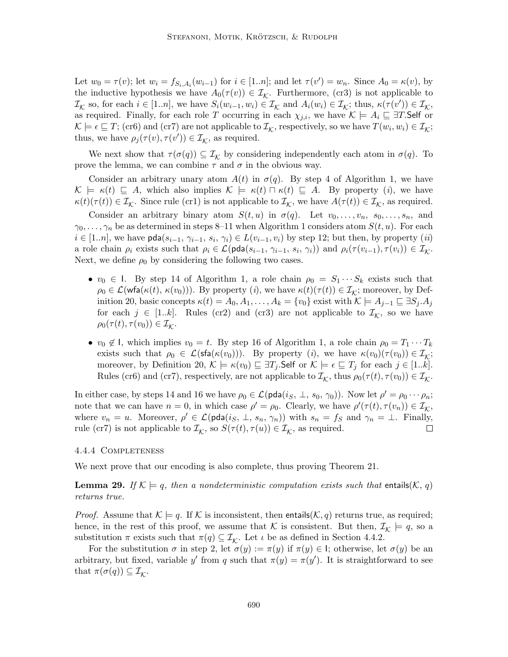Let  $w_0 = \tau(v)$ ; let  $w_i = f_{S_i, A_i}(w_{i-1})$  for  $i \in [1..n]$ ; and let  $\tau(v') = w_n$ . Since  $A_0 = \kappa(v)$ , by the inductive hypothesis we have  $A_0(\tau(v)) \in \mathcal{I}_k$ . Furthermore, (cr3) is not applicable to  $\mathcal{I}_{\mathcal{K}}$  so, for each  $i \in [1..n]$ , we have  $S_i(w_{i-1}, w_i) \in \mathcal{I}_{\mathcal{K}}$  and  $A_i(w_i) \in \mathcal{I}_{\mathcal{K}}$ ; thus,  $\kappa(\tau(v')) \in \mathcal{I}_{\mathcal{K}}$ , as required. Finally, for each role T occurring in each  $\chi_{j,i}$ , we have  $\mathcal{K} \models A_i \sqsubseteq \exists T$ . Self or  $\mathcal{K} \models \epsilon \sqsubseteq T$ ; (cr6) and (cr7) are not applicable to  $\mathcal{I}_{\mathcal{K}}$ , respectively, so we have  $T(w_i, w_i) \in \mathcal{I}_{\mathcal{K}}$ ; thus, we have  $\rho_j(\tau(v), \tau(v')) \in \mathcal{I}_{\mathcal{K}}$ , as required.

We next show that  $\tau(\sigma(q)) \subseteq \mathcal{I}_{\mathcal{K}}$  by considering independently each atom in  $\sigma(q)$ . To prove the lemma, we can combine  $\tau$  and  $\sigma$  in the obvious way.

Consider an arbitrary unary atom  $A(t)$  in  $\sigma(q)$ . By step 4 of Algorithm 1, we have  $\mathcal{K} \models \kappa(t) \sqsubseteq A$ , which also implies  $\mathcal{K} \models \kappa(t) \sqcap \kappa(t) \sqsubseteq A$ . By property (i), we have  $\kappa(t)(\tau(t)) \in \mathcal{I}_{\mathcal{K}}$ . Since rule (cr1) is not applicable to  $\mathcal{I}_{\mathcal{K}}$ , we have  $A(\tau(t)) \in \mathcal{I}_{\mathcal{K}}$ , as required.

Consider an arbitrary binary atom  $S(t, u)$  in  $\sigma(q)$ . Let  $v_0, \ldots, v_n$ ,  $s_0, \ldots, s_n$ , and  $\gamma_0, \ldots, \gamma_n$  be as determined in steps 8–11 when Algorithm 1 considers atom  $S(t, u)$ . For each  $i \in [1..n]$ , we have pda $(s_{i-1}, \gamma_{i-1}, s_i, \gamma_i) \in L(v_{i-1}, v_i)$  by step 12; but then, by property  $(ii)$ a role chain  $\rho_i$  exists such that  $\rho_i \in \mathcal{L}(\text{pda}(s_{i-1}, \gamma_{i-1}, s_i, \gamma_i))$  and  $\rho_i(\tau(v_{i-1}), \tau(v_i)) \in \mathcal{I}_{\mathcal{K}}$ . Next, we define  $\rho_0$  by considering the following two cases.

- $v_0 \in I$ . By step 14 of Algorithm 1, a role chain  $\rho_0 = S_1 \cdots S_k$  exists such that  $\rho_0 \in \mathcal{L}(\mathsf{wfa}(\kappa(t), \kappa(v_0)))$ . By property  $(i)$ , we have  $\kappa(t)(\tau(t)) \in \mathcal{I}_\mathcal{K}$ ; moreover, by Definition 20, basic concepts  $\kappa(t) = A_0, A_1, \ldots, A_k = \{v_0\}$  exist with  $\mathcal{K} \models A_{j-1} \sqsubseteq \exists S_j \ldotp A_j$ for each  $j \in [1..k]$ . Rules (cr2) and (cr3) are not applicable to  $\mathcal{I}_{\mathcal{K}}$ , so we have  $\rho_0(\tau(t), \tau(v_0)) \in \mathcal{I}_\mathcal{K}.$
- $v_0 \notin I$ , which implies  $v_0 = t$ . By step 16 of Algorithm 1, a role chain  $\rho_0 = T_1 \cdots T_k$ exists such that  $\rho_0 \in \mathcal{L}(\mathsf{sfa}(\kappa(v_0)))$ . By property (*i*), we have  $\kappa(v_0)(\tau(v_0)) \in \mathcal{I}_k$ ; moreover, by Definition 20,  $\mathcal{K} \models \kappa(v_0) \sqsubseteq \exists T_i$ . Self or  $\mathcal{K} \models \epsilon \sqsubseteq T_i$  for each  $j \in [1..k]$ . Rules (cr6) and (cr7), respectively, are not applicable to  $\mathcal{I}_{\mathcal{K}}$ , thus  $\rho_0(\tau(t), \tau(v_0)) \in \mathcal{I}_{\mathcal{K}}$ .

In either case, by steps 14 and 16 we have  $\rho_0 \in \mathcal{L}(\text{pda}(i_S, \perp, s_0, \gamma_0))$ . Now let  $\rho' = \rho_0 \cdots \rho_n$ ; note that we can have  $n = 0$ , in which case  $\rho' = \rho_0$ . Clearly, we have  $\rho'(\tau(t), \tau(v_n)) \in \mathcal{I}_{\mathcal{K}}$ , where  $v_n = u$ . Moreover,  $\rho' \in \mathcal{L}(\text{pda}(i_S, \perp, s_n, \gamma_n))$  with  $s_n = f_S$  and  $\gamma_n = \perp$ . Finally, rule (cr7) is not applicable to  $\mathcal{I}_{\mathcal{K}}$ , so  $S(\tau(t), \tau(u)) \in \mathcal{I}_{\mathcal{K}}$ , as required.  $\Box$ 

#### 4.4.4 Completeness

We next prove that our encoding is also complete, thus proving Theorem 21.

**Lemma 29.** If  $K \models q$ , then a nondeterministic computation exists such that entails(K, q) returns true.

*Proof.* Assume that  $\mathcal{K} \models q$ . If  $\mathcal{K}$  is inconsistent, then entails( $\mathcal{K}, q$ ) returns true, as required; hence, in the rest of this proof, we assume that K is consistent. But then,  $\mathcal{I}_{\mathcal{K}} \models q$ , so a substitution  $\pi$  exists such that  $\pi(q) \subseteq \mathcal{I}_{\mathcal{K}}$ . Let  $\iota$  be as defined in Section 4.4.2.

For the substitution  $\sigma$  in step 2, let  $\sigma(y) := \pi(y)$  if  $\pi(y) \in I$ ; otherwise, let  $\sigma(y)$  be an arbitrary, but fixed, variable y' from q such that  $\pi(y) = \pi(y')$ . It is straightforward to see that  $\pi(\sigma(q)) \subseteq \mathcal{I}_{\mathcal{K}}$ .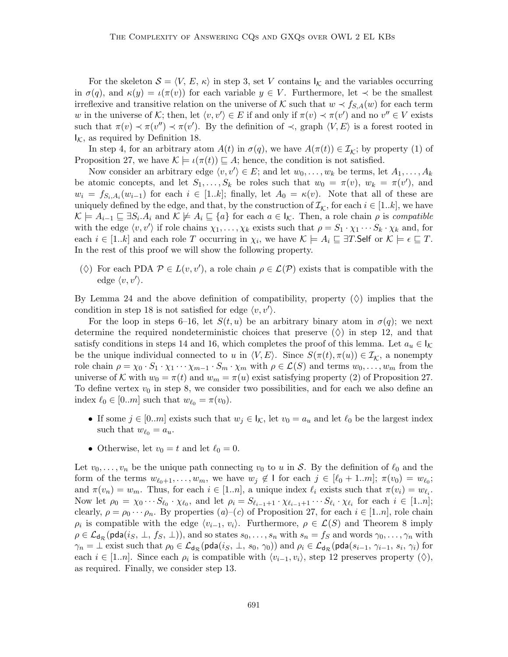For the skeleton  $S = \langle V, E, \kappa \rangle$  in step 3, set V contains  $\vert_{\mathcal{K}}$  and the variables occurring in  $\sigma(q)$ , and  $\kappa(y) = \iota(\pi(v))$  for each variable  $y \in V$ . Furthermore, let  $\prec$  be the smallest irreflexive and transitive relation on the universe of K such that  $w \prec f_{S,A}(w)$  for each term w in the universe of K; then, let  $\langle v, v' \rangle \in E$  if and only if  $\pi(v) \prec \pi(v')$  and no  $v'' \in V$  exists such that  $\pi(v) \prec \pi(v'') \prec \pi(v')$ . By the definition of  $\prec$ , graph  $\langle V, E \rangle$  is a forest rooted in  $I_K$ , as required by Definition 18.

In step 4, for an arbitrary atom  $A(t)$  in  $\sigma(q)$ , we have  $A(\pi(t)) \in \mathcal{I}_{\mathcal{K}}$ ; by property (1) of Proposition 27, we have  $\mathcal{K} \models \iota(\pi(t)) \sqsubseteq A$ ; hence, the condition is not satisfied.

Now consider an arbitrary edge  $\langle v, v' \rangle \in E$ ; and let  $w_0, \ldots, w_k$  be terms, let  $A_1, \ldots, A_k$ be atomic concepts, and let  $S_1, \ldots, S_k$  be roles such that  $w_0 = \pi(v)$ ,  $w_k = \pi(v')$ , and  $w_i = f_{S_i,A_i}(w_{i-1})$  for each  $i \in [1..k]$ ; finally, let  $A_0 = \kappa(v)$ . Note that all of these are uniquely defined by the edge, and that, by the construction of  $\mathcal{I}_{\mathcal{K}}$ , for each  $i \in [1..k]$ , we have  $\mathcal{K} \models A_{i-1} \sqsubseteq \exists S_i \ldotp A_i \text{ and } \mathcal{K} \not\models A_i \sqsubseteq \{a\} \text{ for each } a \in \mathsf{I}_{\mathcal{K}}. \text{ Then, a role chain } \rho \text{ is compatible}$ with the edge  $\langle v, v' \rangle$  if role chains  $\chi_1, \ldots, \chi_k$  exists such that  $\rho = S_1 \cdot \chi_1 \cdots S_k \cdot \chi_k$  and, for each  $i \in [1..k]$  and each role T occurring in  $\chi_i$ , we have  $\mathcal{K} \models A_i \sqsubseteq \exists T$ . Self or  $\mathcal{K} \models \epsilon \sqsubseteq T$ . In the rest of this proof we will show the following property.

( $\Diamond$ ) For each PDA  $\mathcal{P} \in L(v, v')$ , a role chain  $\rho \in \mathcal{L}(\mathcal{P})$  exists that is compatible with the edge  $\langle v, v' \rangle$ .

By Lemma 24 and the above definition of compatibility, property  $(\Diamond)$  implies that the condition in step 18 is not satisfied for edge  $\langle v, v' \rangle$ .

For the loop in steps 6–16, let  $S(t, u)$  be an arbitrary binary atom in  $\sigma(q)$ ; we next determine the required nondeterministic choices that preserve  $(\Diamond)$  in step 12, and that satisfy conditions in steps 14 and 16, which completes the proof of this lemma. Let  $a_u \in \mathcal{K}$ be the unique individual connected to u in  $\langle V, E \rangle$ . Since  $S(\pi(t), \pi(u)) \in I_K$ , a nonempty role chain  $\rho = \chi_0 \cdot S_1 \cdot \chi_1 \cdots \chi_{m-1} \cdot S_m \cdot \chi_m$  with  $\rho \in \mathcal{L}(S)$  and terms  $w_0, \ldots, w_m$  from the universe of K with  $w_0 = \pi(t)$  and  $w_m = \pi(u)$  exist satisfying property (2) of Proposition 27. To define vertex  $v_0$  in step 8, we consider two possibilities, and for each we also define an index  $\ell_0 \in [0..m]$  such that  $w_{\ell_0} = \pi(v_0)$ .

- If some  $j \in [0..m]$  exists such that  $w_j \in I_{\mathcal{K}}$ , let  $v_0 = a_u$  and let  $\ell_0$  be the largest index such that  $w_{\ell_0} = a_u$ .
- Otherwise, let  $v_0 = t$  and let  $\ell_0 = 0$ .

Let  $v_0, \ldots, v_n$  be the unique path connecting  $v_0$  to u in S. By the definition of  $\ell_0$  and the form of the terms  $w_{\ell_0+1}, \ldots, w_m$ , we have  $w_j \notin I$  for each  $j \in [\ell_0 + 1..m]; \pi(v_0) = w_{\ell_0};$ and  $\pi(v_n) = w_m$ . Thus, for each  $i \in [1..n]$ , a unique index  $\ell_i$  exists such that  $\pi(v_i) = w_{\ell_i}$ . Now let  $\rho_0 = \chi_0 \cdots S_{\ell_0} \cdot \chi_{\ell_0}$ , and let  $\rho_i = S_{\ell_{i-1}+1} \cdot \chi_{\ell_{i-1}+1} \cdots S_{\ell_i} \cdot \chi_{\ell_i}$  for each  $i \in [1..n]$ ; clearly,  $\rho = \rho_0 \cdots \rho_n$ . By properties  $(a)$ – $(c)$  of Proposition 27, for each  $i \in [1..n]$ , role chain  $\rho_i$  is compatible with the edge  $\langle v_{i-1}, v_i \rangle$ . Furthermore,  $\rho \in \mathcal{L}(S)$  and Theorem 8 imply  $\rho \in \mathcal{L}_{d_{\mathcal{R}}}(pda(i_S, \perp, f_S, \perp))$ , and so states  $s_0, \ldots, s_n$  with  $s_n = f_S$  and words  $\gamma_0, \ldots, \gamma_n$  with  $\gamma_n=\bot$  exist such that  $\rho_0\in\mathcal{L} _{\mathsf{d}_{\mathcal{R}}}(\mathsf{pda}(i_S,\bot,\,s_0,\,\gamma_0))$  and  $\rho_i\in\mathcal{L} _{\mathsf{d}_{\mathcal{R}}}(\mathsf{pda}(s_{i-1},\,\gamma_{i-1},\,s_i,\,\gamma_i)$  for each  $i \in [1..n]$ . Since each  $\rho_i$  is compatible with  $\langle v_{i-1}, v_i \rangle$ , step 12 preserves property  $(\Diamond),$ as required. Finally, we consider step 13.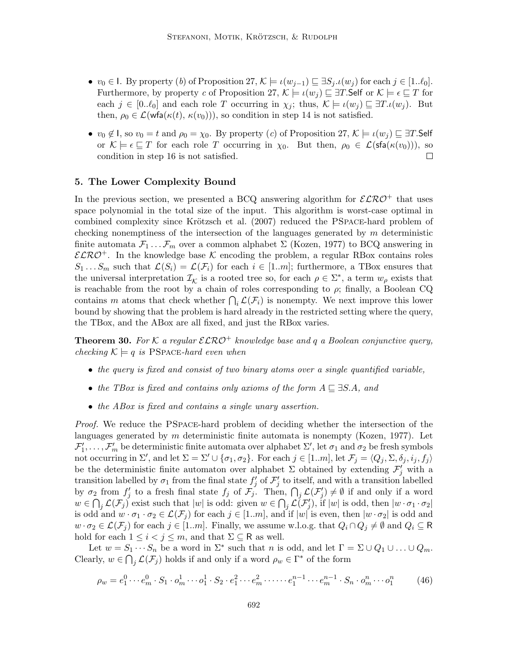- $v_0 \in I$ . By property (b) of Proposition 27,  $\mathcal{K} \models \iota(w_{j-1}) \sqsubseteq \exists S_j \ldotp \iota(w_j)$  for each  $j \in [1..\ell_0]$ . Furthermore, by property c of Proposition 27,  $\mathcal{K} \models \iota(w_i) \sqsubseteq \exists T$ . Self or  $\mathcal{K} \models \epsilon \sqsubseteq T$  for each  $j \in [0..\ell_0]$  and each role T occurring in  $\chi_j$ ; thus,  $\mathcal{K} \models \iota(w_j) \sqsubseteq \exists T.\iota(w_j)$ . But then,  $\rho_0 \in \mathcal{L}(\text{wfa}(\kappa(t), \kappa(v_0))),$  so condition in step 14 is not satisfied.
- $v_0 \notin I$ , so  $v_0 = t$  and  $\rho_0 = \chi_0$ . By property (c) of Proposition 27,  $\mathcal{K} \models \iota(w_i) \sqsubseteq \exists T$ . Self or  $\mathcal{K} \models \epsilon \sqsubseteq T$  for each role T occurring in  $\chi_0$ . But then,  $\rho_0 \in \mathcal{L}(\mathsf{sfa}(\kappa(v_0))),$  so  $\Box$ condition in step 16 is not satisfied.

## 5. The Lower Complexity Bound

In the previous section, we presented a BCQ answering algorithm for  $\mathcal{ELRO}^+$  that uses space polynomial in the total size of the input. This algorithm is worst-case optimal in combined complexity since Krötzsch et al. (2007) reduced the PSPACE-hard problem of checking nonemptiness of the intersection of the languages generated by  $m$  deterministic finite automata  $\mathcal{F}_1 \dots \mathcal{F}_m$  over a common alphabet  $\Sigma$  (Kozen, 1977) to BCQ answering in  $\mathcal{ELRO}^+$ . In the knowledge base K encoding the problem, a regular RBox contains roles  $S_1 \ldots S_m$  such that  $\mathcal{L}(S_i) = \mathcal{L}(\mathcal{F}_i)$  for each  $i \in [1..m]$ ; furthermore, a TBox ensures that the universal interpretation  $\mathcal{I}_{\mathcal{K}}$  is a rooted tree so, for each  $\rho \in \Sigma^*$ , a term  $w_{\rho}$  exists that is reachable from the root by a chain of roles corresponding to  $\rho$ ; finally, a Boolean CQ contains m atoms that check whether  $\bigcap_i \mathcal{L}(\mathcal{F}_i)$  is nonempty. We next improve this lower bound by showing that the problem is hard already in the restricted setting where the query, the TBox, and the ABox are all fixed, and just the RBox varies.

**Theorem 30.** For K a regular  $\mathcal{ELRO}^+$  knowledge base and q a Boolean conjunctive query, checking  $\mathcal{K} \models q$  is PSPACE-hard even when

- the query is fixed and consist of two binary atoms over a single quantified variable,
- the TBox is fixed and contains only axioms of the form  $A \sqsubseteq \exists S.A$ , and
- the ABox is fixed and contains a single unary assertion.

Proof. We reduce the PSpace-hard problem of deciding whether the intersection of the languages generated by  $m$  deterministic finite automata is nonempty (Kozen, 1977). Let  $\mathcal{F}'_1,\ldots,\mathcal{F}'_m$  be deterministic finite automata over alphabet  $\Sigma'$ , let  $\sigma_1$  and  $\sigma_2$  be fresh symbols not occurring in  $\Sigma'$ , and let  $\Sigma = \Sigma' \cup {\sigma_1, \sigma_2}$ . For each  $j \in [1..m]$ , let  $\mathcal{F}_j = \langle Q_j, \Sigma, \delta_j, i_j, f_j \rangle$ be the deterministic finite automaton over alphabet  $\Sigma$  obtained by extending  $\mathcal{F}'_j$  with a transition labelled by  $\sigma_1$  from the final state  $f'_j$  of  $\mathcal{F}'_j$  to itself, and with a transition labelled by  $\sigma_2$  from  $f'_j$  to a fresh final state  $f_j$  of  $\mathcal{F}_j$ . Then,  $\bigcap_j \mathcal{L}(\mathcal{F}'_j) \neq \emptyset$  if and only if a word  $w \in \bigcap_j \mathcal{L}(\mathcal{F}_j)$  exist such that  $|w|$  is odd: given  $w \in \bigcap_j \mathcal{L}(\mathcal{F}'_j)$ , if  $|w|$  is odd, then  $|w \cdot \sigma_1 \cdot \sigma_2|$ is odd and  $w \cdot \sigma_1 \cdot \sigma_2 \in \mathcal{L}(\mathcal{F}_j)$  for each  $j \in [1..m]$ , and if  $|w|$  is even, then  $|w \cdot \sigma_2|$  is odd and  $w \cdot \sigma_2 \in \mathcal{L}(\mathcal{F}_i)$  for each  $j \in [1..m]$ . Finally, we assume w.l.o.g. that  $Q_i \cap Q_j \neq \emptyset$  and  $Q_i \subseteq \mathsf{R}$ hold for each  $1 \leq i < j \leq m$ , and that  $\Sigma \subseteq \mathsf{R}$  as well.

Let  $w = S_1 \cdots S_n$  be a word in  $\Sigma^*$  such that n is odd, and let  $\Gamma = \Sigma \cup Q_1 \cup \ldots \cup Q_m$ . Clearly,  $w \in \bigcap_j \mathcal{L}(\mathcal{F}_j)$  holds if and only if a word  $\rho_w \in \Gamma^*$  of the form

$$
\rho_w = e_1^0 \cdots e_m^0 \cdot S_1 \cdot o_m^1 \cdots o_1^1 \cdot S_2 \cdot e_1^2 \cdots e_m^2 \cdots \cdots e_1^{n-1} \cdots e_m^{n-1} \cdot S_n \cdot o_m^n \cdots o_1^n \tag{46}
$$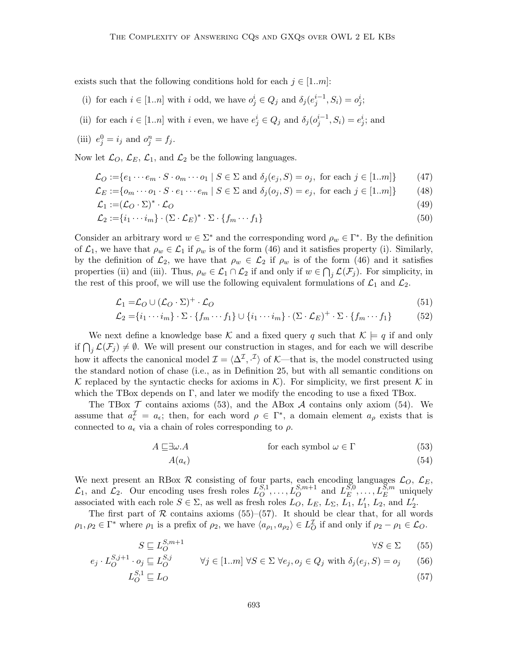exists such that the following conditions hold for each  $j \in [1..m]$ :

- (i) for each  $i \in [1..n]$  with i odd, we have  $o_j^i \in Q_j$  and  $\delta_j(e_j^{i-1}, S_i) = o_j^i$ ;
- (ii) for each  $i \in [1..n]$  with i even, we have  $e_j^i \in Q_j$  and  $\delta_j(o_j^{i-1}, S_i) = e_j^i$ ; and

(iii) 
$$
e_j^0 = i_j
$$
 and  $o_j^n = f_j$ .

Now let  $\mathcal{L}_O$ ,  $\mathcal{L}_E$ ,  $\mathcal{L}_1$ , and  $\mathcal{L}_2$  be the following languages.

$$
\mathcal{L}_O := \{ e_1 \cdots e_m \cdot S \cdot o_m \cdots o_1 \mid S \in \Sigma \text{ and } \delta_j(e_j, S) = o_j, \text{ for each } j \in [1..m] \} \tag{47}
$$

$$
\mathcal{L}_E := \{ o_m \cdots o_1 \cdot S \cdot e_1 \cdots e_m \mid S \in \Sigma \text{ and } \delta_j(o_j, S) = e_j, \text{ for each } j \in [1..m] \} \tag{48}
$$

$$
\mathcal{L}_1 := (\mathcal{L}_O \cdot \Sigma)^* \cdot \mathcal{L}_O \tag{49}
$$

$$
\mathcal{L}_2 := \{i_1 \cdots i_m\} \cdot (\Sigma \cdot \mathcal{L}_E)^* \cdot \Sigma \cdot \{f_m \cdots f_1\} \tag{50}
$$

Consider an arbitrary word  $w \in \Sigma^*$  and the corresponding word  $\rho_w \in \Gamma^*$ . By the definition of  $\mathcal{L}_1$ , we have that  $\rho_w \in \mathcal{L}_1$  if  $\rho_w$  is of the form (46) and it satisfies property (i). Similarly, by the definition of  $\mathcal{L}_2$ , we have that  $\rho_w \in \mathcal{L}_2$  if  $\rho_w$  is of the form (46) and it satisfies properties (ii) and (iii). Thus,  $\rho_w \in \mathcal{L}_1 \cap \mathcal{L}_2$  if and only if  $w \in \bigcap_j \mathcal{L}(\mathcal{F}_j)$ . For simplicity, in the rest of this proof, we will use the following equivalent formulations of  $\mathcal{L}_1$  and  $\mathcal{L}_2$ .

$$
\mathcal{L}_1 = \mathcal{L}_O \cup (\mathcal{L}_O \cdot \Sigma)^+ \cdot \mathcal{L}_O \tag{51}
$$

$$
\mathcal{L}_2 = \{i_1 \cdots i_m\} \cdot \Sigma \cdot \{f_m \cdots f_1\} \cup \{i_1 \cdots i_m\} \cdot (\Sigma \cdot \mathcal{L}_E)^+ \cdot \Sigma \cdot \{f_m \cdots f_1\} \tag{52}
$$

We next define a knowledge base K and a fixed query q such that  $\mathcal{K} \models q$  if and only if  $\bigcap_j \mathcal{L}(\mathcal{F}_j) \neq \emptyset$ . We will present our construction in stages, and for each we will describe how it affects the canonical model  $\mathcal{I} = \langle \Delta^{\mathcal{I}}, \cdot^{\mathcal{I}} \rangle$  of K—that is, the model constructed using the standard notion of chase (i.e., as in Definition 25, but with all semantic conditions on K replaced by the syntactic checks for axioms in  $\mathcal{K}$ ). For simplicity, we first present K in which the TBox depends on  $\Gamma$ , and later we modify the encoding to use a fixed TBox.

The TBox  $\mathcal T$  contains axioms (53), and the ABox  $\mathcal A$  contains only axiom (54). We assume that  $a_{\epsilon}^{\mathcal{I}} = a_{\epsilon}$ ; then, for each word  $\rho \in \Gamma^*$ , a domain element  $a_{\rho}$  exists that is connected to  $a_{\epsilon}$  via a chain of roles corresponding to  $\rho$ .

$$
A \sqsubseteq \exists \omega.A \qquad \text{for each symbol } \omega \in \Gamma \tag{53}
$$

$$
A(a_{\epsilon})\tag{54}
$$

We next present an RBox  $R$  consisting of four parts, each encoding languages  $\mathcal{L}_O$ ,  $\mathcal{L}_E$ ,  $\mathcal{L}_1$ , and  $\mathcal{L}_2$ . Our encoding uses fresh roles  $L_0^{S,1}$  $L_0^{S,1}, \ldots, L_0^{S,m+1}$  and  $L_E^{S,0}$  $E^{[S,0]}$ , ...,  $L_E^{[S,m]}$  uniquely associated with each role  $S \in \Sigma$ , as well as fresh roles  $\tilde{L}_O$ ,  $L_E$ ,  $\tilde{L}_\Sigma$ ,  $\tilde{L}_1$ ,  $L'_1$ ,  $\tilde{L}_2$ , and  $L'_2$ .

The first part of  $R$  contains axioms (55)–(57). It should be clear that, for all words  $\rho_1, \rho_2 \in \Gamma^*$  where  $\rho_1$  is a prefix of  $\rho_2$ , we have  $\langle a_{\rho_1}, a_{\rho_2} \rangle \in L^{\mathcal{I}}_O$  if and only if  $\rho_2 - \rho_1 \in \mathcal{L}_O$ .

$$
S \sqsubseteq L_O^{S,m+1} \qquad \qquad \forall S \in \Sigma \qquad (55)
$$

$$
e_j \cdot L_O^{S,j+1} \cdot o_j \sqsubseteq L_O^{S,j} \qquad \forall j \in [1..m] \,\forall S \in \Sigma \,\forall e_j, o_j \in Q_j \text{ with } \delta_j(e_j, S) = o_j \qquad (56)
$$

$$
L_O^{S,1} \sqsubseteq L_O \tag{57}
$$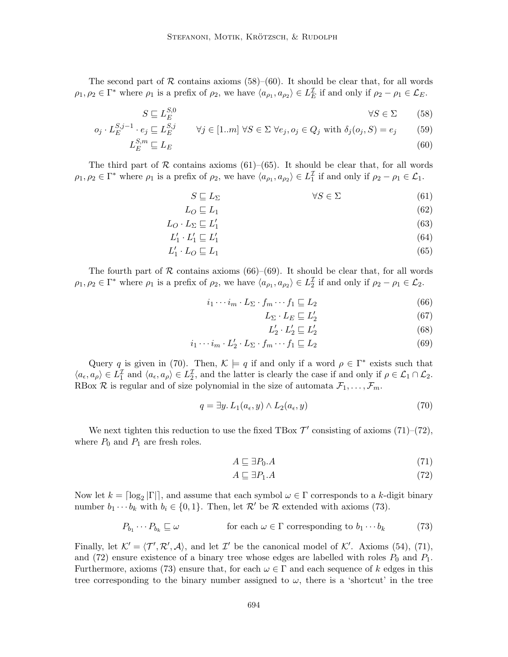The second part of  $R$  contains axioms (58)–(60). It should be clear that, for all words  $\rho_1, \rho_2 \in \Gamma^*$  where  $\rho_1$  is a prefix of  $\rho_2$ , we have  $\langle a_{\rho_1}, a_{\rho_2} \rangle \in L_E^{\mathcal{I}}$  if and only if  $\rho_2 - \rho_1 \in \mathcal{L}_E$ .

$$
S \sqsubseteq L_E^{S,0} \qquad \qquad \forall S \in \Sigma \qquad (58)
$$

$$
o_j \cdot L_E^{S,j-1} \cdot e_j \sqsubseteq L_E^{S,j} \qquad \forall j \in [1..m] \,\,\forall S \in \Sigma \,\,\forall e_j, o_j \in Q_j \,\,\text{with} \,\,\delta_j(o_j, S) = e_j \tag{59}
$$

$$
L_E^{S,m} \sqsubseteq L_E \tag{60}
$$

The third part of  $\mathcal R$  contains axioms (61)–(65). It should be clear that, for all words  $\rho_1, \rho_2 \in \Gamma^*$  where  $\rho_1$  is a prefix of  $\rho_2$ , we have  $\langle a_{\rho_1}, a_{\rho_2} \rangle \in L_1^{\mathcal{I}}$  if and only if  $\rho_2 - \rho_1 \in \mathcal{L}_1$ .

$$
S \sqsubseteq L_{\Sigma} \qquad \qquad \forall S \in \Sigma \tag{61}
$$

$$
L_O \sqsubseteq L_1 \tag{62}
$$

$$
L_O \cdot L_\Sigma \sqsubseteq L'_1 \tag{63}
$$

$$
L'_1 \cdot L'_1 \sqsubseteq L'_1 \tag{64}
$$

$$
L'_1 \cdot L_O \sqsubseteq L_1 \tag{65}
$$

The fourth part of R contains axioms (66)–(69). It should be clear that, for all words  $\rho_1, \rho_2 \in \Gamma^*$  where  $\rho_1$  is a prefix of  $\rho_2$ , we have  $\langle a_{\rho_1}, a_{\rho_2} \rangle \in L_2^{\mathcal{I}}$  if and only if  $\rho_2 - \rho_1 \in \mathcal{L}_2$ .

$$
i_1 \cdots i_m \cdot L_{\Sigma} \cdot f_m \cdots f_1 \sqsubseteq L_2 \tag{66}
$$

$$
L_{\Sigma} \cdot L_E \sqsubseteq L_2' \tag{67}
$$

$$
L_2' \cdot L_2' \sqsubseteq L_2' \tag{68}
$$

$$
i_1 \cdots i_m \cdot L'_2 \cdot L_\Sigma \cdot f_m \cdots f_1 \sqsubseteq L_2 \tag{69}
$$

Query q is given in (70). Then,  $\mathcal{K} \models q$  if and only if a word  $\rho \in \Gamma^*$  exists such that  $\langle a_{\epsilon}, a_{\rho} \rangle \in L_1^{\mathcal{I}}$  and  $\langle a_{\epsilon}, a_{\rho} \rangle \in L_2^{\mathcal{I}}$ , and the latter is clearly the case if and only if  $\rho \in \mathcal{L}_1 \cap \mathcal{L}_2$ . RBox  $\mathcal R$  is regular and of size polynomial in the size of automata  $\mathcal F_1, \ldots, \mathcal F_m$ .

$$
q = \exists y. L_1(a_\epsilon, y) \land L_2(a_\epsilon, y) \tag{70}
$$

We next tighten this reduction to use the fixed TBox  $\mathcal{T}'$  consisting of axioms (71)–(72), where  $P_0$  and  $P_1$  are fresh roles.

$$
A \sqsubseteq \exists P_0.A \tag{71}
$$

$$
A \sqsubseteq \exists P_1.A \tag{72}
$$

Now let  $k = \lceil \log_2 |\Gamma| \rceil$ , and assume that each symbol  $\omega \in \Gamma$  corresponds to a k-digit binary number  $b_1 \cdots b_k$  with  $b_i \in \{0,1\}$ . Then, let  $\mathcal{R}'$  be  $\mathcal{R}$  extended with axioms (73).

$$
P_{b_1} \cdots P_{b_k} \sqsubseteq \omega \qquad \text{for each } \omega \in \Gamma \text{ corresponding to } b_1 \cdots b_k \tag{73}
$$

Finally, let  $\mathcal{K}' = \langle \mathcal{T}', \mathcal{R}', \mathcal{A} \rangle$ , and let  $\mathcal{I}'$  be the canonical model of  $\mathcal{K}'$ . Axioms (54), (71), and (72) ensure existence of a binary tree whose edges are labelled with roles  $P_0$  and  $P_1$ . Furthermore, axioms (73) ensure that, for each  $\omega \in \Gamma$  and each sequence of k edges in this tree corresponding to the binary number assigned to  $\omega$ , there is a 'shortcut' in the tree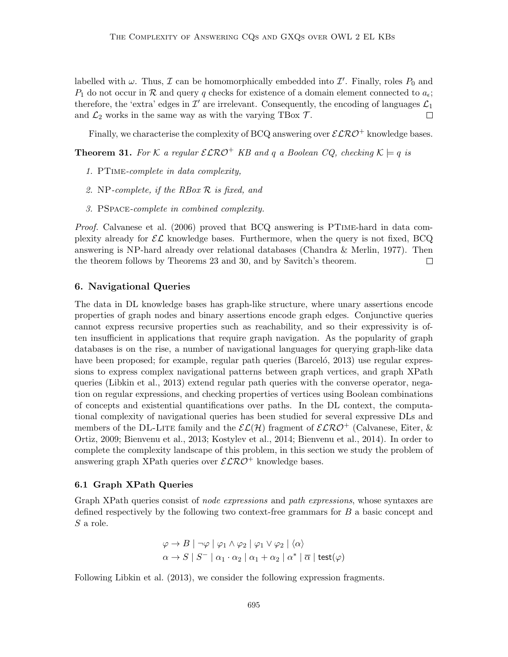labelled with  $\omega$ . Thus,  $\mathcal I$  can be homomorphically embedded into  $\mathcal I'$ . Finally, roles  $P_0$  and  $P_1$  do not occur in R and query q checks for existence of a domain element connected to  $a_{\epsilon}$ ; therefore, the 'extra' edges in  $\mathcal{I}'$  are irrelevant. Consequently, the encoding of languages  $\mathcal{L}_1$ and  $\mathcal{L}_2$  works in the same way as with the varying TBox  $\mathcal{T}$ . П

Finally, we characterise the complexity of BCQ answering over  $\mathcal{ELRO}^+$  knowledge bases.

**Theorem 31.** For K a regular  $\mathcal{ELRO}^+$  KB and q a Boolean CQ, checking  $K \models q$  is

- 1. PTime-complete in data complexity,
- 2. NP-complete, if the RBox R is fixed, and
- 3. PSpace-complete in combined complexity.

Proof. Calvanese et al. (2006) proved that BCQ answering is PTIME-hard in data complexity already for  $\mathcal{EL}$  knowledge bases. Furthermore, when the query is not fixed, BCQ answering is NP-hard already over relational databases (Chandra & Merlin, 1977). Then the theorem follows by Theorems 23 and 30, and by Savitch's theorem.  $\Box$ 

# 6. Navigational Queries

The data in DL knowledge bases has graph-like structure, where unary assertions encode properties of graph nodes and binary assertions encode graph edges. Conjunctive queries cannot express recursive properties such as reachability, and so their expressivity is often insufficient in applications that require graph navigation. As the popularity of graph databases is on the rise, a number of navigational languages for querying graph-like data have been proposed; for example, regular path queries (Barceló, 2013) use regular expressions to express complex navigational patterns between graph vertices, and graph XPath queries (Libkin et al., 2013) extend regular path queries with the converse operator, negation on regular expressions, and checking properties of vertices using Boolean combinations of concepts and existential quantifications over paths. In the DL context, the computational complexity of navigational queries has been studied for several expressive DLs and members of the DL-LITE family and the  $\mathcal{ELH}$  fragment of  $\mathcal{ELRO}^+$  (Calvanese, Eiter, & Ortiz, 2009; Bienvenu et al., 2013; Kostylev et al., 2014; Bienvenu et al., 2014). In order to complete the complexity landscape of this problem, in this section we study the problem of answering graph XPath queries over  $\mathcal{ELRO}^+$  knowledge bases.

### 6.1 Graph XPath Queries

Graph XPath queries consist of *node expressions* and *path expressions*, whose syntaxes are defined respectively by the following two context-free grammars for B a basic concept and S a role.

$$
\varphi \to B \mid \neg \varphi \mid \varphi_1 \land \varphi_2 \mid \varphi_1 \lor \varphi_2 \mid \langle \alpha \rangle
$$
  

$$
\alpha \to S \mid S^- \mid \alpha_1 \cdot \alpha_2 \mid \alpha_1 + \alpha_2 \mid \alpha^* \mid \overline{\alpha} \mid \text{test}(\varphi)
$$

Following Libkin et al. (2013), we consider the following expression fragments.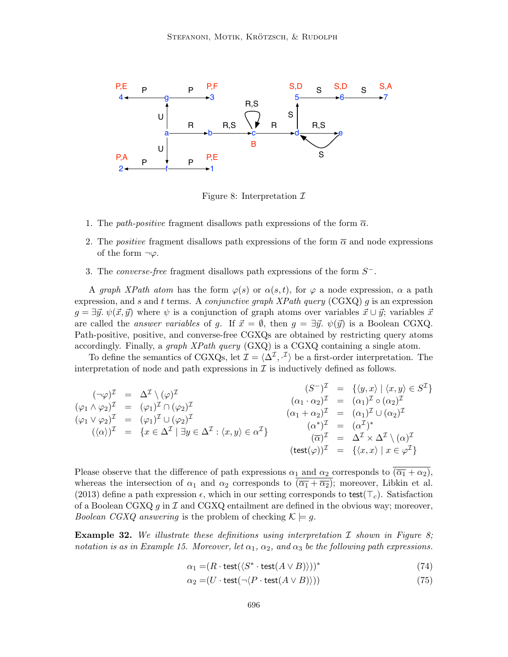

Figure 8: Interpretation  $\mathcal I$ 

- 1. The *path-positive* fragment disallows path expressions of the form  $\overline{\alpha}$ .
- 2. The *positive* fragment disallows path expressions of the form  $\bar{\alpha}$  and node expressions of the form  $\neg \varphi$ .
- 3. The *converse-free* fragment disallows path expressions of the form  $S^-$ .

A graph XPath atom has the form  $\varphi(s)$  or  $\alpha(s,t)$ , for  $\varphi$  a node expression,  $\alpha$  a path expression, and s and t terms. A *conjunctive graph XPath query* (CGXQ) g is an expression  $g = \exists \vec{y}. \ \psi(\vec{x}, \vec{y})$  where  $\psi$  is a conjunction of graph atoms over variables  $\vec{x} \cup \vec{y}$ ; variables  $\vec{x}$ are called the *answer variables* of g. If  $\vec{x} = \emptyset$ , then  $g = \exists \vec{y}$ .  $\psi(\vec{y})$  is a Boolean CGXQ. Path-positive, positive, and converse-free CGXQs are obtained by restricting query atoms accordingly. Finally, a *graph XPath query*  $(GXQ)$  is a CGXQ containing a single atom.

To define the semantics of CGXQs, let  $\mathcal{I} = \langle \Delta^{\mathcal{I}}, \cdot^{\mathcal{I}} \rangle$  be a first-order interpretation. The interpretation of node and path expressions in  $\mathcal I$  is inductively defined as follows.

$$
(\neg \varphi)^{\mathcal{I}} = \Delta^{\mathcal{I}} \setminus (\varphi)^{\mathcal{I}}
$$
  
\n
$$
(\varphi_1 \wedge \varphi_2)^{\mathcal{I}} = (\varphi_1)^{\mathcal{I}} \cap (\varphi_2)^{\mathcal{I}}
$$
  
\n
$$
(\varphi_1 \vee \varphi_2)^{\mathcal{I}} = (\varphi_1)^{\mathcal{I}} \cup (\varphi_2)^{\mathcal{I}}
$$
  
\n
$$
(\varphi_1 \vee \varphi_2)^{\mathcal{I}} = (\varphi_1)^{\mathcal{I}} \cup (\varphi_2)^{\mathcal{I}}
$$
  
\n
$$
(\varphi_1 \vee \varphi_2)^{\mathcal{I}} = (\varphi_1)^{\mathcal{I}} \cup (\varphi_2)^{\mathcal{I}}
$$
  
\n
$$
(\varphi_1 \vee \varphi_2)^{\mathcal{I}} = (\varphi_1)^{\mathcal{I}} \cup (\varphi_2)^{\mathcal{I}}
$$
  
\n
$$
(\varphi_1 \vee \varphi_2)^{\mathcal{I}} = (\varphi_1)^{\mathcal{I}} \cup (\varphi_2)^{\mathcal{I}}
$$
  
\n
$$
(\varphi_1 \vee \varphi_2)^{\mathcal{I}} = (\varphi_1)^{\mathcal{I}} \cup (\varphi_2)^{\mathcal{I}}
$$
  
\n
$$
(\varphi_1 \vee \varphi_2)^{\mathcal{I}} = (\varphi_1)^{\mathcal{I}} \cup (\varphi_2)^{\mathcal{I}}
$$
  
\n
$$
(\varphi_1 \vee \varphi_2)^{\mathcal{I}} = (\varphi_1)^{\mathcal{I}} \vee (\varphi_2)^{\mathcal{I}}
$$
  
\n
$$
(\varphi_1 \vee \varphi_2)^{\mathcal{I}} = (\varphi_1)^{\mathcal{I}} \vee (\varphi_2)^{\mathcal{I}}
$$
  
\n
$$
(\varphi_1 \vee \varphi_2)^{\mathcal{I}} = (\varphi_1)^{\mathcal{I}} \vee (\varphi_2)^{\mathcal{I}}
$$
  
\n
$$
(\varphi_1 \vee \varphi_2)^{\mathcal{I}} = (\varphi_1)^{\mathcal{I}} \vee (\varphi_2)^{\mathcal{I}}
$$
  
\n
$$
(\varphi_1 \vee \varphi_2
$$

Please observe that the difference of path expressions  $\alpha_1$  and  $\alpha_2$  corresponds to  $(\overline{\alpha_1} + \alpha_2)$ , whereas the intersection of  $\alpha_1$  and  $\alpha_2$  corresponds to  $(\overline{\alpha_1} + \overline{\alpha_2})$ ; moreover, Libkin et al. (2013) define a path expression  $\epsilon$ , which in our setting corresponds to test( $\tau_c$ ). Satisfaction of a Boolean CGXQ  $g$  in  $\mathcal I$  and CGXQ entailment are defined in the obvious way; moreover, *Boolean CGXQ answering* is the problem of checking  $\mathcal{K} \models g$ .

**Example 32.** We illustrate these definitions using interpretation  $\mathcal I$  shown in Figure 8; notation is as in Example 15. Moreover, let  $\alpha_1, \alpha_2,$  and  $\alpha_3$  be the following path expressions.

$$
\alpha_1 = (R \cdot \text{test}(\langle S^* \cdot \text{test}(A \vee B) \rangle))^* \tag{74}
$$

$$
\alpha_2 = (U \cdot \text{test}(\neg \langle P \cdot \text{test}(A \lor B) \rangle)) \tag{75}
$$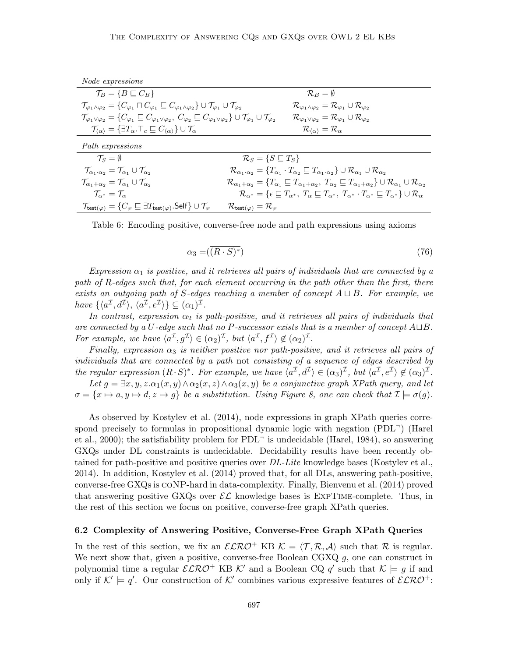| Node expressions                                                                                                                                                                                           |                                                                                                                                                                                                |
|------------------------------------------------------------------------------------------------------------------------------------------------------------------------------------------------------------|------------------------------------------------------------------------------------------------------------------------------------------------------------------------------------------------|
| $\mathcal{T}_B = \{B \sqsubseteq C_B\}$                                                                                                                                                                    | $\mathcal{R}_B = \emptyset$                                                                                                                                                                    |
| $\mathcal{T}_{\varphi_1 \wedge \varphi_2} = \{C_{\varphi_1} \sqcap C_{\varphi_1} \sqsubseteq C_{\varphi_1 \wedge \varphi_2}\} \cup \mathcal{T}_{\varphi_1} \cup \mathcal{T}_{\varphi_2}$                   | $\mathcal{R}_{\varphi_1 \wedge \varphi_2} = \mathcal{R}_{\varphi_1} \cup \mathcal{R}_{\varphi_2}$                                                                                              |
| $\mathcal{T}_{\varphi_1\vee\varphi_2}=\{C_{\varphi_1}\sqsubseteq C_{\varphi_1\vee\varphi_2},\ C_{\varphi_2}\sqsubseteq C_{\varphi_1\vee\varphi_2}\}\cup\mathcal{T}_{\varphi_1}\cup\mathcal{T}_{\varphi_2}$ | $\mathcal{R}_{\varphi_1 \vee \varphi_2} = \mathcal{R}_{\varphi_1} \cup \mathcal{R}_{\varphi_2}$                                                                                                |
| $\mathcal{T}_{\langle\alpha\rangle} = \{\exists T_\alpha.\top_c \sqsubseteq C_{\langle\alpha\rangle}\}\cup\mathcal{T}_\alpha$                                                                              | $\mathcal{R}_{\langle\alpha\rangle}=\mathcal{R}_{\alpha}$                                                                                                                                      |
| Path expressions                                                                                                                                                                                           |                                                                                                                                                                                                |
| $\mathcal{T}_{\rm S}=\emptyset$                                                                                                                                                                            | $\mathcal{R}_S = \{ S \sqsubseteq T_S \}$                                                                                                                                                      |
| $\mathcal{T}_{\alpha_1 \cdot \alpha_2} = \mathcal{T}_{\alpha_1} \cup \mathcal{T}_{\alpha_2}$                                                                                                               | $\mathcal{R}_{\alpha_1 \cdot \alpha_2} = \{ T_{\alpha_1} \cdot T_{\alpha_2} \sqsubseteq T_{\alpha_1 \cdot \alpha_2} \} \cup \mathcal{R}_{\alpha_1} \cup \mathcal{R}_{\alpha_2}$                |
| $\mathcal{T}_{\alpha_1+\alpha_2}=\mathcal{T}_{\alpha_1}\cup \mathcal{T}_{\alpha_2}$                                                                                                                        | $\mathcal{R}_{\alpha_1+\alpha_2} = \{T_{\alpha_1} \sqsubseteq T_{\alpha_1+\alpha_2}, T_{\alpha_2} \sqsubseteq T_{\alpha_1+\alpha_2}\} \cup \mathcal{R}_{\alpha_1} \cup \mathcal{R}_{\alpha_2}$ |
| $\mathcal{T}_{\alpha^*} = \mathcal{T}_{\alpha}$                                                                                                                                                            | $\mathcal{R}_{\alpha^*} = \{ \epsilon \sqsubseteq T_{\alpha^*}, T_{\alpha} \sqsubseteq T_{\alpha^*}, T_{\alpha^*} \cdot T_{\alpha^*} \sqsubseteq T_{\alpha^*} \} \cup \mathcal{R}_{\alpha}$    |
| $\mathcal{T}_{\mathsf{test}(\varphi)} = \{C_{\varphi} \sqsubseteq \exists T_{\mathsf{test}(\varphi)}.\mathsf{Self}\} \cup \mathcal{T}_{\varphi}$                                                           | $\mathcal{R}_{\mathsf{test}(\varphi)} = \mathcal{R}_{\varphi}$                                                                                                                                 |

Table 6: Encoding positive, converse-free node and path expressions using axioms

$$
\alpha_3 = (\overline{(R \cdot S)^*}) \tag{76}
$$

Expression  $\alpha_1$  is positive, and it retrieves all pairs of individuals that are connected by a path of R-edges such that, for each element occurring in the path other than the first, there exists an outgoing path of S-edges reaching a member of concept  $A \sqcup B$ . For example, we have  $\{\langle a^{\mathcal{I}}, d^{\mathcal{I}} \rangle, \langle a^{\mathcal{I}}, e^{\mathcal{I}} \rangle\} \subseteq (\alpha_1)^{\mathcal{I}}$ .

In contrast, expression  $\alpha_2$  is path-positive, and it retrieves all pairs of individuals that are connected by a U-edge such that no P-successor exists that is a member of concept  $A \sqcup B$ . For example, we have  $\langle a^{\mathcal{I}}, g^{\mathcal{I}} \rangle \in (\alpha_2)^{\mathcal{I}}$ , but  $\langle a^{\mathcal{I}}, f^{\mathcal{I}} \rangle \notin (\alpha_2)^{\mathcal{I}}$ .

Finally, expression  $\alpha_3$  is neither positive nor path-positive, and it retrieves all pairs of individuals that are connected by a path not consisting of a sequence of edges described by the regular expression  $(R \cdot S)^*$ . For example, we have  $\langle a^{\mathcal{I}}, d^{\mathcal{I}} \rangle \in (\alpha_3)^{\mathcal{I}}$ , but  $\langle a^{\mathcal{I}}, e^{\mathcal{I}} \rangle \notin (\alpha_3)^{\mathcal{I}}$ .

Let  $g = \exists x, y, z. \alpha_1(x, y) \wedge \alpha_2(x, z) \wedge \alpha_3(x, y)$  be a conjunctive graph XPath query, and let  $\sigma = \{x \mapsto a, y \mapsto d, z \mapsto g\}$  be a substitution. Using Figure 8, one can check that  $\mathcal{I} \models \sigma(g)$ .

As observed by Kostylev et al. (2014), node expressions in graph XPath queries correspond precisely to formulas in propositional dynamic logic with negation  $(PDL^{-})$  (Harel et al., 2000); the satisfiability problem for  $PDL$ <sup>-</sup> is undecidable (Harel, 1984), so answering GXQs under DL constraints is undecidable. Decidability results have been recently obtained for path-positive and positive queries over *DL-Lite* knowledge bases (Kostylev et al., 2014). In addition, Kostylev et al. (2014) proved that, for all DLs, answering path-positive, converse-free GXQs is coNP-hard in data-complexity. Finally, Bienvenu et al. (2014) proved that answering positive GXQs over  $\mathcal{EL}$  knowledge bases is EXPTIME-complete. Thus, in the rest of this section we focus on positive, converse-free graph XPath queries.

#### 6.2 Complexity of Answering Positive, Converse-Free Graph XPath Queries

In the rest of this section, we fix an  $\mathcal{ELRO}^+$  KB  $\mathcal{K} = \langle \mathcal{T}, \mathcal{R}, \mathcal{A} \rangle$  such that  $\mathcal{R}$  is regular. We next show that, given a positive, converse-free Boolean CGXQ  $g$ , one can construct in polynomial time a regular  $\mathcal{ELRO}^+$  KB K' and a Boolean CQ q' such that  $\mathcal{K} \models g$  if and only if  $K' \models q'$ . Our construction of K' combines various expressive features of  $\mathcal{ELRO}^+$ :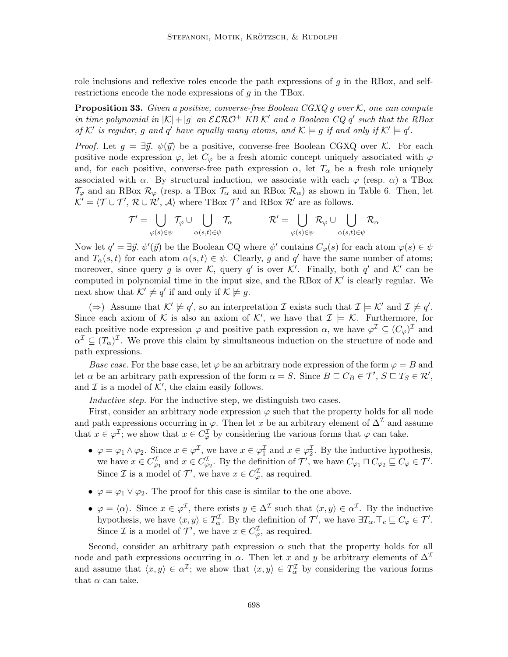role inclusions and reflexive roles encode the path expressions of  $g$  in the RBox, and selfrestrictions encode the node expressions of  $g$  in the TBox.

**Proposition 33.** Given a positive, converse-free Boolean CGXQ g over  $K$ , one can compute in time polynomial in  $|K|+|g|$  an  $\mathcal{ELRO}^+$  KB K' and a Boolean CQ q' such that the RBox of K' is regular, g and q' have equally many atoms, and  $\mathcal{K} \models g$  if and only if  $\mathcal{K}' \models q'$ .

*Proof.* Let  $g = \exists \vec{y}$ .  $\psi(\vec{y})$  be a positive, converse-free Boolean CGXQ over K. For each positive node expression  $\varphi$ , let  $C_{\varphi}$  be a fresh atomic concept uniquely associated with  $\varphi$ and, for each positive, converse-free path expression  $\alpha$ , let  $T_{\alpha}$  be a fresh role uniquely associated with  $\alpha$ . By structural induction, we associate with each  $\varphi$  (resp.  $\alpha$ ) a TBox  $\mathcal{T}_{\varphi}$  and an RBox  $\mathcal{R}_{\varphi}$  (resp. a TBox  $\mathcal{T}_{\alpha}$  and an RBox  $\mathcal{R}_{\alpha}$ ) as shown in Table 6. Then, let  $K' = \langle T \cup T', R \cup R', A \rangle$  where TBox  $T'$  and RBox  $R'$  are as follows.

$$
\mathcal{T}' = \bigcup_{\varphi(s)\in\psi} \mathcal{T}_\varphi \cup \bigcup_{\alpha(s,t)\in\psi} \mathcal{T}_\alpha \hspace{1cm} \mathcal{R}' = \bigcup_{\varphi(s)\in\psi} \mathcal{R}_\varphi \cup \bigcup_{\alpha(s,t)\in\psi} \mathcal{R}_\alpha
$$

Now let  $q' = \exists \vec{y}.\ \psi'(\vec{y})$  be the Boolean CQ where  $\psi'$  contains  $C_{\varphi}(s)$  for each atom  $\varphi(s) \in \psi$ and  $T_{\alpha}(s,t)$  for each atom  $\alpha(s,t) \in \psi$ . Clearly, g and q' have the same number of atoms; moreover, since query g is over K, query q' is over K'. Finally, both q' and K' can be computed in polynomial time in the input size, and the RBox of  $K'$  is clearly regular. We next show that  $\mathcal{K}' \not\models q'$  if and only if  $\mathcal{K} \not\models g$ .

 $(\Rightarrow)$  Assume that  $\mathcal{K}' \not\models q'$ , so an interpretation  $\mathcal I$  exists such that  $\mathcal I \models \mathcal{K}'$  and  $\mathcal I \not\models q'$ . Since each axiom of K is also an axiom of K', we have that  $\mathcal{I} \models \mathcal{K}$ . Furthermore, for each positive node expression  $\varphi$  and positive path expression  $\alpha$ , we have  $\varphi^{\mathcal{I}} \subseteq (C_{\varphi})^{\mathcal{I}}$  and  $\alpha^{\mathcal{I}} \subseteq (T_{\alpha})^{\mathcal{I}}$ . We prove this claim by simultaneous induction on the structure of node and path expressions.

Base case. For the base case, let  $\varphi$  be an arbitrary node expression of the form  $\varphi = B$  and let  $\alpha$  be an arbitrary path expression of the form  $\alpha = S$ . Since  $B \sqsubseteq C_B \in \mathcal{T}'$ ,  $S \sqsubseteq T_S \in \mathcal{R}'$ , and  $\mathcal I$  is a model of  $\mathcal K'$ , the claim easily follows.

Inductive step. For the inductive step, we distinguish two cases.

First, consider an arbitrary node expression  $\varphi$  such that the property holds for all node and path expressions occurring in  $\varphi$ . Then let x be an arbitrary element of  $\Delta^{\mathcal{I}}$  and assume that  $x \in \varphi^{\mathcal{I}}$ ; we show that  $x \in C^{\mathcal{I}}_{\varphi}$  by considering the various forms that  $\varphi$  can take.

- $\varphi = \varphi_1 \wedge \varphi_2$ . Since  $x \in \varphi^{\mathcal{I}}$ , we have  $x \in \varphi^{\mathcal{I}}_1$  and  $x \in \varphi^{\mathcal{I}}_2$ . By the inductive hypothesis, we have  $x \in C^{\mathcal{I}}_{\varphi_1}$  and  $x \in C^{\mathcal{I}}_{\varphi_2}$ . By the definition of  $\mathcal{T}'$ , we have  $C_{\varphi_1} \sqcap C_{\varphi_2} \sqsubseteq C_{\varphi} \in \mathcal{T}'$ . Since *I* is a model of  $\mathcal{T}'$ , we have  $x \in C^{\mathcal{I}}_{\varphi}$ , as required.
- $\varphi = \varphi_1 \vee \varphi_2$ . The proof for this case is similar to the one above.
- $\varphi = \langle \alpha \rangle$ . Since  $x \in \varphi^{\mathcal{I}}$ , there exists  $y \in \Delta^{\mathcal{I}}$  such that  $\langle x, y \rangle \in \alpha^{\mathcal{I}}$ . By the inductive hypothesis, we have  $\langle x, y \rangle \in T_{\alpha}^{\mathcal{I}}$ . By the definition of  $\mathcal{T}'$ , we have  $\exists T_{\alpha}.\top_c \sqsubseteq C_{\varphi} \in \mathcal{T}'$ . Since  $\mathcal I$  is a model of  $\mathcal T'$ , we have  $x \in C^{\mathcal I}_{\varphi}$ , as required.

Second, consider an arbitrary path expression  $\alpha$  such that the property holds for all node and path expressions occurring in  $\alpha$ . Then let x and y be arbitrary elements of  $\Delta^{\mathcal{I}}$ and assume that  $\langle x, y \rangle \in \alpha^{\mathcal{I}}$ ; we show that  $\langle x, y \rangle \in T_{\alpha}^{\mathcal{I}}$  by considering the various forms that  $\alpha$  can take.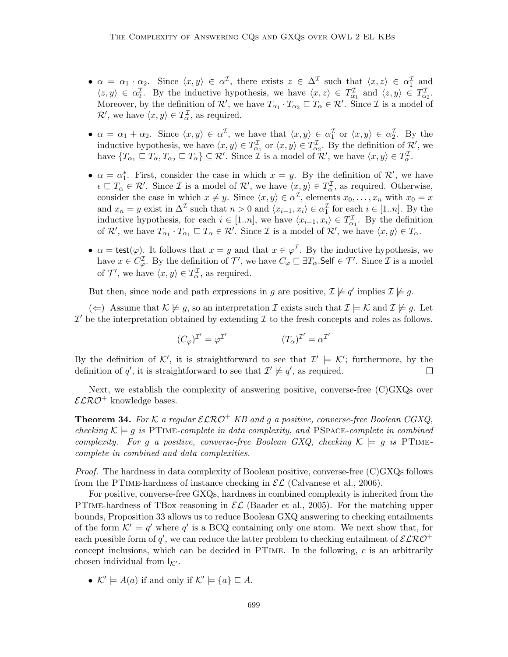- $\alpha = \alpha_1 \cdot \alpha_2$ . Since  $\langle x, y \rangle \in \alpha^{\mathcal{I}}$ , there exists  $z \in \Delta^{\mathcal{I}}$  such that  $\langle x, z \rangle \in \alpha_1^{\mathcal{I}}$  and  $\langle z, y \rangle \in \alpha_2^{\mathcal{I}}$ . By the inductive hypothesis, we have  $\langle x, z \rangle \in T_{\alpha_1}^{\mathcal{I}}$  and  $\langle z, y \rangle \in T_{\alpha_2}^{\mathcal{I}}$ . Moreover, by the definition of  $\mathcal{R}'$ , we have  $T_{\alpha_1} \cdot T_{\alpha_2} \sqsubseteq T_\alpha \in \mathcal{R}'$ . Since  $\mathcal I$  is a model of  $\mathcal{R}'$ , we have  $\langle x, y \rangle \in T_{\alpha}^{\mathcal{I}}$ , as required.
- $\alpha = \alpha_1 + \alpha_2$ . Since  $\langle x, y \rangle \in \alpha^{\mathcal{I}}$ , we have that  $\langle x, y \rangle \in \alpha^{\mathcal{I}}_1$  or  $\langle x, y \rangle \in \alpha^{\mathcal{I}}_2$ . By the inductive hypothesis, we have  $\langle x, y \rangle \in T_{\alpha_1}^{\mathcal{I}}$  or  $\langle x, y \rangle \in T_{\alpha_2}^{\mathcal{I}}$ . By the definition of  $\mathcal{R}'$ , we have  $\{T_{\alpha_1} \sqsubseteq T_{\alpha}, T_{\alpha_2} \sqsubseteq T_{\alpha}\} \subseteq \mathcal{R}'$ . Since  $\mathcal{I}$  is a model of  $\mathcal{R}',$  we have  $\langle x, y \rangle \in T_{\alpha}^{\mathcal{I}}$ .
- $\alpha = \alpha_1^*$ . First, consider the case in which  $x = y$ . By the definition of  $\mathcal{R}'$ , we have  $\epsilon \subseteq T_\alpha \in \mathcal{R}'$ . Since *I* is a model of  $\mathcal{R}',$  we have  $\langle x, y \rangle \in T_\alpha^{\mathcal{I}},$  as required. Otherwise, consider the case in which  $x \neq y$ . Since  $\langle x, y \rangle \in \alpha^{\mathcal{I}}$ , elements  $x_0, \ldots, x_n$  with  $x_0 = x$ and  $x_n = y$  exist in  $\Delta^{\mathcal{I}}$  such that  $n > 0$  and  $\langle x_{i-1}, x_i \rangle \in \alpha_1^{\mathcal{I}}$  for each  $i \in [1..n]$ . By the inductive hypothesis, for each  $i \in [1..n]$ , we have  $\langle x_{i-1}, x_i \rangle \in T_{\alpha_1}^{\mathcal{I}}$ . By the definition of  $\mathcal{R}'$ , we have  $T_{\alpha_1} \cdot T_{\alpha_1} \sqsubseteq T_\alpha \in \mathcal{R}'$ . Since  $\mathcal I$  is a model of  $\mathcal{R}'$ , we have  $\langle x, y \rangle \in T_\alpha$ .
- $\alpha = \text{test}(\varphi)$ . It follows that  $x = y$  and that  $x \in \varphi^{\mathcal{I}}$ . By the inductive hypothesis, we have  $x \in C^{\mathcal{I}}_{\varphi}$ . By the definition of  $\mathcal{T}'$ , we have  $C_{\varphi} \sqsubseteq \exists T_{\alpha}$ . Self  $\in \mathcal{T}'$ . Since  $\mathcal{I}$  is a model of  $\mathcal{T}'$ , we have  $\langle x, y \rangle \in T_{\alpha}^{\mathcal{I}}$ , as required.

But then, since node and path expressions in g are positive,  $\mathcal{I} \not\models q'$  implies  $\mathcal{I} \not\models g$ .

(←) Assume that  $\mathcal{K} \not\models g$ , so an interpretation  $\mathcal{I}$  exists such that  $\mathcal{I} \models \mathcal{K}$  and  $\mathcal{I} \not\models g$ . Let  $\mathcal{I}'$  be the interpretation obtained by extending  $\mathcal I$  to the fresh concepts and roles as follows.

$$
(C_{\varphi})^{\mathcal{I}'} = \varphi^{\mathcal{I}'} \qquad (T_{\alpha})^{\mathcal{I}'} = \alpha^{\mathcal{I}'}
$$

By the definition of K', it is straightforward to see that  $\mathcal{I}' \models \mathcal{K}'$ ; furthermore, by the definition of q', it is straightforward to see that  $\mathcal{I}' \not\models q'$ , as required.  $\Box$ 

Next, we establish the complexity of answering positive, converse-free (C)GXQs over  $\mathcal{ELRO}^+$  knowledge bases.

**Theorem 34.** For K a regular  $\mathcal{ELRO}^+$  KB and g a positive, converse-free Boolean CGXQ, checking  $\mathcal{K} \models g$  is PTIME-complete in data complexity, and PSPACE-complete in combined complexity. For g a positive, converse-free Boolean GXQ, checking  $K \models g$  is PTIMEcomplete in combined and data complexities.

*Proof.* The hardness in data complexity of Boolean positive, converse-free  $(C)$ GXQs follows from the PTIME-hardness of instance checking in  $\mathcal{EL}$  (Calvanese et al., 2006).

For positive, converse-free GXQs, hardness in combined complexity is inherited from the PTIME-hardness of TBox reasoning in  $\mathcal{EL}$  (Baader et al., 2005). For the matching upper bounds, Proposition 33 allows us to reduce Boolean GXQ answering to checking entailments of the form  $K' \models q'$  where q' is a BCQ containing only one atom. We next show that, for each possible form of  $q'$ , we can reduce the latter problem to checking entailment of  $\mathcal{ELRO}^+$ concept inclusions, which can be decided in PTime. In the following, c is an arbitrarily chosen individual from  $I_{K'}$ .

•  $\mathcal{K}' \models A(a)$  if and only if  $\mathcal{K}' \models \{a\} \sqsubseteq A$ .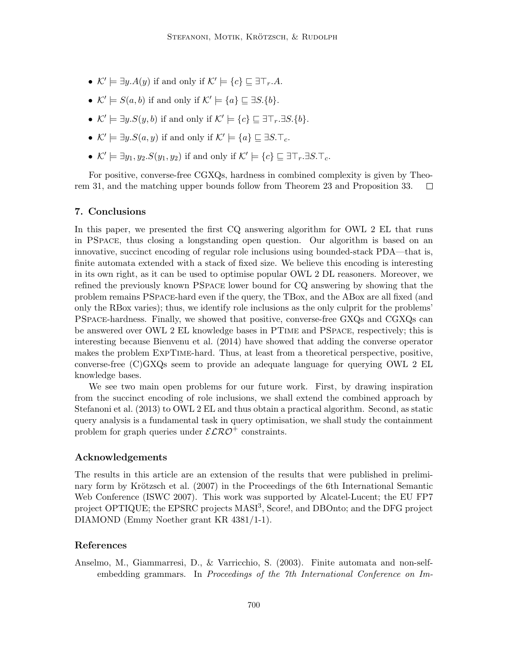- $\mathcal{K}' \models \exists y. A(y)$  if and only if  $\mathcal{K}' \models \{c\} \sqsubseteq \exists \top_r.A$ .
- $\mathcal{K}' \models S(a, b)$  if and only if  $\mathcal{K}' \models \{a\} \sqsubseteq \exists S. \{b\}.$
- $\mathcal{K}' \models \exists y . S(y, b)$  if and only if  $\mathcal{K}' \models \{c\} \sqsubseteq \exists \top_r . \exists S. \{b\}.$
- $\mathcal{K}' \models \exists y . S(a, y)$  if and only if  $\mathcal{K}' \models \{a\} \sqsubseteq \exists S. \top_c$ .
- $\mathcal{K}' \models \exists y_1, y_2.S(y_1, y_2)$  if and only if  $\mathcal{K}' \models \{c\} \sqsubseteq \exists \top_r. \exists S. \top_c$ .

For positive, converse-free CGXQs, hardness in combined complexity is given by Theorem 31, and the matching upper bounds follow from Theorem 23 and Proposition 33.  $\Box$ 

#### 7. Conclusions

In this paper, we presented the first CQ answering algorithm for OWL 2 EL that runs in PSpace, thus closing a longstanding open question. Our algorithm is based on an innovative, succinct encoding of regular role inclusions using bounded-stack PDA—that is, finite automata extended with a stack of fixed size. We believe this encoding is interesting in its own right, as it can be used to optimise popular OWL 2 DL reasoners. Moreover, we refined the previously known PSpace lower bound for CQ answering by showing that the problem remains PSpace-hard even if the query, the TBox, and the ABox are all fixed (and only the RBox varies); thus, we identify role inclusions as the only culprit for the problems' PSpace-hardness. Finally, we showed that positive, converse-free GXQs and CGXQs can be answered over OWL 2 EL knowledge bases in PTime and PSpace, respectively; this is interesting because Bienvenu et al. (2014) have showed that adding the converse operator makes the problem ExpTime-hard. Thus, at least from a theoretical perspective, positive, converse-free (C)GXQs seem to provide an adequate language for querying OWL 2 EL knowledge bases.

We see two main open problems for our future work. First, by drawing inspiration from the succinct encoding of role inclusions, we shall extend the combined approach by Stefanoni et al. (2013) to OWL 2 EL and thus obtain a practical algorithm. Second, as static query analysis is a fundamental task in query optimisation, we shall study the containment problem for graph queries under  $\mathcal{ELRO}^+$  constraints.

#### Acknowledgements

The results in this article are an extension of the results that were published in preliminary form by Krötzsch et al. (2007) in the Proceedings of the 6th International Semantic Web Conference (ISWC 2007). This work was supported by Alcatel-Lucent; the EU FP7 project OPTIQUE; the EPSRC projects MASI<sup>3</sup>, Score!, and DBOnto; and the DFG project DIAMOND (Emmy Noether grant KR 4381/1-1).

### References

Anselmo, M., Giammarresi, D., & Varricchio, S. (2003). Finite automata and non-selfembedding grammars. In Proceedings of the 7th International Conference on Im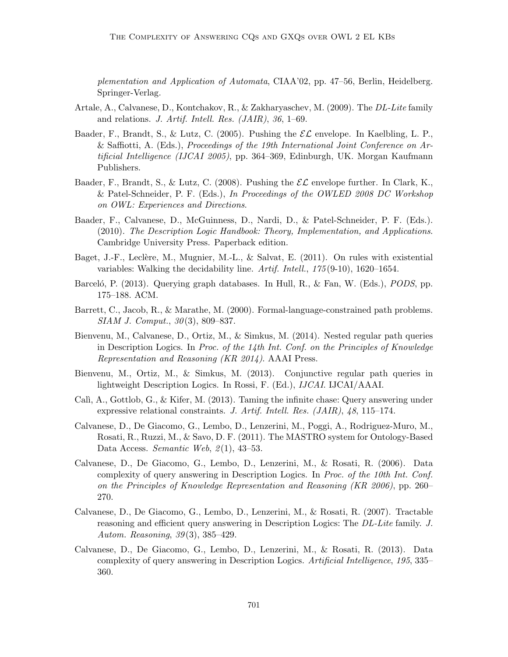plementation and Application of Automata, CIAA'02, pp. 47–56, Berlin, Heidelberg. Springer-Verlag.

- Artale, A., Calvanese, D., Kontchakov, R., & Zakharyaschev, M. (2009). The DL-Lite family and relations. J. Artif. Intell. Res. (JAIR), 36, 1–69.
- Baader, F., Brandt, S., & Lutz, C. (2005). Pushing the  $\mathcal{EL}$  envelope. In Kaelbling, L. P., & Saffiotti, A. (Eds.), Proceedings of the 19th International Joint Conference on Artificial Intelligence (IJCAI 2005), pp. 364–369, Edinburgh, UK. Morgan Kaufmann Publishers.
- Baader, F., Brandt, S., & Lutz, C. (2008). Pushing the  $\mathcal{EL}$  envelope further. In Clark, K., & Patel-Schneider, P. F. (Eds.), In Proceedings of the OWLED 2008 DC Workshop on OWL: Experiences and Directions.
- Baader, F., Calvanese, D., McGuinness, D., Nardi, D., & Patel-Schneider, P. F. (Eds.). (2010). The Description Logic Handbook: Theory, Implementation, and Applications. Cambridge University Press. Paperback edition.
- Baget, J.-F., Leclère, M., Mugnier, M.-L., & Salvat, E.  $(2011)$ . On rules with existential variables: Walking the decidability line. Artif. Intell., 175 (9-10), 1620–1654.
- Barceló, P. (2013). Querying graph databases. In Hull, R., & Fan, W. (Eds.), *PODS*, pp. 175–188. ACM.
- Barrett, C., Jacob, R., & Marathe, M. (2000). Formal-language-constrained path problems. SIAM J. Comput., 30 (3), 809–837.
- Bienvenu, M., Calvanese, D., Ortiz, M., & Simkus, M. (2014). Nested regular path queries in Description Logics. In Proc. of the 14th Int. Conf. on the Principles of Knowledge Representation and Reasoning (KR 2014). AAAI Press.
- Bienvenu, M., Ortiz, M., & Simkus, M. (2013). Conjunctive regular path queries in lightweight Description Logics. In Rossi, F. (Ed.), IJCAI. IJCAI/AAAI.
- Calì, A., Gottlob, G., & Kifer, M. (2013). Taming the infinite chase: Query answering under expressive relational constraints. J. Artif. Intell. Res. (JAIR), 48, 115–174.
- Calvanese, D., De Giacomo, G., Lembo, D., Lenzerini, M., Poggi, A., Rodriguez-Muro, M., Rosati, R., Ruzzi, M., & Savo, D. F. (2011). The MASTRO system for Ontology-Based Data Access. Semantic Web,  $2(1)$ , 43-53.
- Calvanese, D., De Giacomo, G., Lembo, D., Lenzerini, M., & Rosati, R. (2006). Data complexity of query answering in Description Logics. In Proc. of the 10th Int. Conf. on the Principles of Knowledge Representation and Reasoning (KR 2006), pp. 260– 270.
- Calvanese, D., De Giacomo, G., Lembo, D., Lenzerini, M., & Rosati, R. (2007). Tractable reasoning and efficient query answering in Description Logics: The DL-Lite family. J. Autom. Reasoning, 39(3), 385–429.
- Calvanese, D., De Giacomo, G., Lembo, D., Lenzerini, M., & Rosati, R. (2013). Data complexity of query answering in Description Logics. Artificial Intelligence, 195, 335– 360.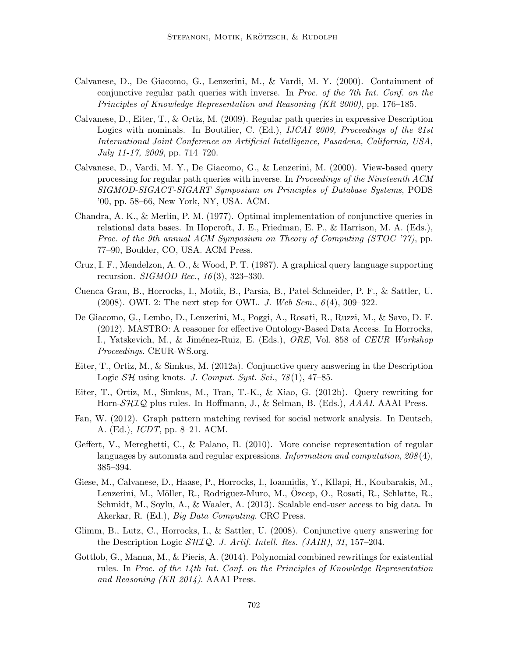- Calvanese, D., De Giacomo, G., Lenzerini, M., & Vardi, M. Y. (2000). Containment of conjunctive regular path queries with inverse. In Proc. of the 7th Int. Conf. on the Principles of Knowledge Representation and Reasoning (KR 2000), pp. 176–185.
- Calvanese, D., Eiter, T., & Ortiz, M. (2009). Regular path queries in expressive Description Logics with nominals. In Boutilier, C. (Ed.), IJCAI 2009, Proceedings of the 21st International Joint Conference on Artificial Intelligence, Pasadena, California, USA, July 11-17, 2009, pp. 714–720.
- Calvanese, D., Vardi, M. Y., De Giacomo, G., & Lenzerini, M. (2000). View-based query processing for regular path queries with inverse. In Proceedings of the Nineteenth ACM SIGMOD-SIGACT-SIGART Symposium on Principles of Database Systems, PODS '00, pp. 58–66, New York, NY, USA. ACM.
- Chandra, A. K., & Merlin, P. M. (1977). Optimal implementation of conjunctive queries in relational data bases. In Hopcroft, J. E., Friedman, E. P., & Harrison, M. A. (Eds.), Proc. of the 9th annual ACM Symposium on Theory of Computing (STOC '77), pp. 77–90, Boulder, CO, USA. ACM Press.
- Cruz, I. F., Mendelzon, A. O., & Wood, P. T. (1987). A graphical query language supporting recursion. *SIGMOD Rec.*,  $16(3)$ , 323-330.
- Cuenca Grau, B., Horrocks, I., Motik, B., Parsia, B., Patel-Schneider, P. F., & Sattler, U.  $(2008)$ . OWL 2: The next step for OWL. *J. Web Sem.*,  $6(4)$ , 309–322.
- De Giacomo, G., Lembo, D., Lenzerini, M., Poggi, A., Rosati, R., Ruzzi, M., & Savo, D. F. (2012). MASTRO: A reasoner for effective Ontology-Based Data Access. In Horrocks, I., Yatskevich, M., & Jiménez-Ruiz, E. (Eds.), *ORE*, Vol. 858 of *CEUR Workshop* Proceedings. CEUR-WS.org.
- Eiter, T., Ortiz, M., & Simkus, M. (2012a). Conjunctive query answering in the Description Logic  $\mathcal{SH}$  using knots. J. Comput. Syst. Sci., 78(1), 47–85.
- Eiter, T., Ortiz, M., Simkus, M., Tran, T.-K., & Xiao, G. (2012b). Query rewriting for Horn-SHIQ plus rules. In Hoffmann, J., & Selman, B. (Eds.), AAAI. AAAI Press.
- Fan, W. (2012). Graph pattern matching revised for social network analysis. In Deutsch, A. (Ed.), ICDT, pp. 8–21. ACM.
- Geffert, V., Mereghetti, C., & Palano, B. (2010). More concise representation of regular languages by automata and regular expressions. Information and computation, 208 (4), 385–394.
- Giese, M., Calvanese, D., Haase, P., Horrocks, I., Ioannidis, Y., Kllapi, H., Koubarakis, M., Lenzerini, M., Möller, R., Rodriguez-Muro, M., Ozcep, O., Rosati, R., Schlatte, R., Schmidt, M., Soylu, A., & Waaler, A. (2013). Scalable end-user access to big data. In Akerkar, R. (Ed.), Big Data Computing. CRC Press.
- Glimm, B., Lutz, C., Horrocks, I., & Sattler, U. (2008). Conjunctive query answering for the Description Logic  $\mathcal{SHIQ}$ . J. Artif. Intell. Res. (JAIR), 31, 157–204.
- Gottlob, G., Manna, M., & Pieris, A. (2014). Polynomial combined rewritings for existential rules. In Proc. of the 14th Int. Conf. on the Principles of Knowledge Representation and Reasoning (KR 2014). AAAI Press.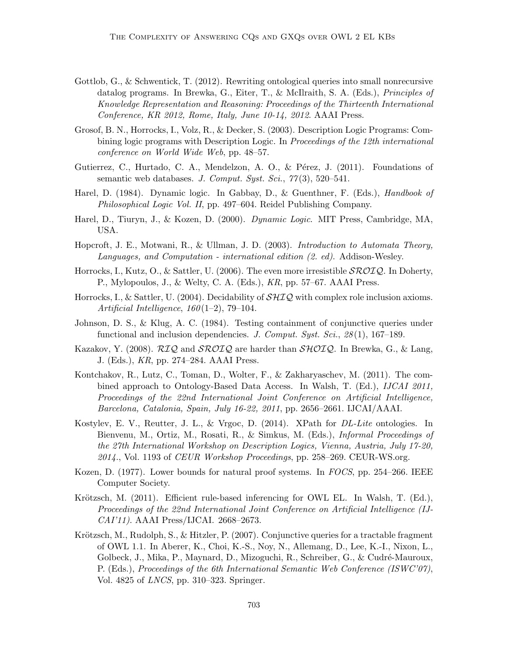- Gottlob, G., & Schwentick, T. (2012). Rewriting ontological queries into small nonrecursive datalog programs. In Brewka, G., Eiter, T., & McIlraith, S. A. (Eds.), Principles of Knowledge Representation and Reasoning: Proceedings of the Thirteenth International Conference, KR 2012, Rome, Italy, June 10-14, 2012. AAAI Press.
- Grosof, B. N., Horrocks, I., Volz, R., & Decker, S. (2003). Description Logic Programs: Combining logic programs with Description Logic. In Proceedings of the 12th international conference on World Wide Web, pp. 48–57.
- Gutierrez, C., Hurtado, C. A., Mendelzon, A. O., & Pérez, J. (2011). Foundations of semantic web databases. J. Comput. Syst. Sci.,  $77(3)$ , 520–541.
- Harel, D. (1984). Dynamic logic. In Gabbay, D., & Guenthner, F. (Eds.), Handbook of Philosophical Logic Vol. II, pp. 497–604. Reidel Publishing Company.
- Harel, D., Tiuryn, J., & Kozen, D. (2000). Dynamic Logic. MIT Press, Cambridge, MA, USA.
- Hopcroft, J. E., Motwani, R., & Ullman, J. D. (2003). Introduction to Automata Theory, Languages, and Computation - international edition (2. ed). Addison-Wesley.
- Horrocks, I., Kutz, O., & Sattler, U. (2006). The even more irresistible  $\mathcal{SROIQ}$ . In Doherty, P., Mylopoulos, J., & Welty, C. A. (Eds.), KR, pp. 57–67. AAAI Press.
- Horrocks, I., & Sattler, U. (2004). Decidability of  $\mathcal{SHIQ}$  with complex role inclusion axioms. Artificial Intelligence,  $160(1-2)$ , 79-104.
- Johnson, D. S., & Klug, A. C. (1984). Testing containment of conjunctive queries under functional and inclusion dependencies. J. Comput. Syst. Sci.,  $28(1)$ , 167–189.
- Kazakov, Y. (2008). RIQ and SROIQ are harder than SHOIQ. In Brewka, G., & Lang, J. (Eds.), KR, pp. 274–284. AAAI Press.
- Kontchakov, R., Lutz, C., Toman, D., Wolter, F., & Zakharyaschev, M. (2011). The combined approach to Ontology-Based Data Access. In Walsh, T. (Ed.), IJCAI 2011, Proceedings of the 22nd International Joint Conference on Artificial Intelligence, Barcelona, Catalonia, Spain, July 16-22, 2011, pp. 2656–2661. IJCAI/AAAI.
- Kostylev, E. V., Reutter, J. L., & Vrgoc, D. (2014). XPath for DL-Lite ontologies. In Bienvenu, M., Ortiz, M., Rosati, R., & Simkus, M. (Eds.), Informal Proceedings of the 27th International Workshop on Description Logics, Vienna, Austria, July 17-20,  $2014$ ., Vol. 1193 of *CEUR Workshop Proceedings*, pp. 258–269. CEUR-WS.org.
- Kozen, D. (1977). Lower bounds for natural proof systems. In FOCS, pp. 254–266. IEEE Computer Society.
- Krötzsch, M. (2011). Efficient rule-based inferencing for OWL EL. In Walsh, T. (Ed.), Proceedings of the 22nd International Joint Conference on Artificial Intelligence (IJ-CAI'11). AAAI Press/IJCAI. 2668–2673.
- Krötzsch, M., Rudolph, S., & Hitzler, P. (2007). Conjunctive queries for a tractable fragment of OWL 1.1. In Aberer, K., Choi, K.-S., Noy, N., Allemang, D., Lee, K.-I., Nixon, L., Golbeck, J., Mika, P., Maynard, D., Mizoguchi, R., Schreiber, G., & Cudré-Mauroux, P. (Eds.), Proceedings of the 6th International Semantic Web Conference (ISWC'07), Vol. 4825 of LNCS, pp. 310–323. Springer.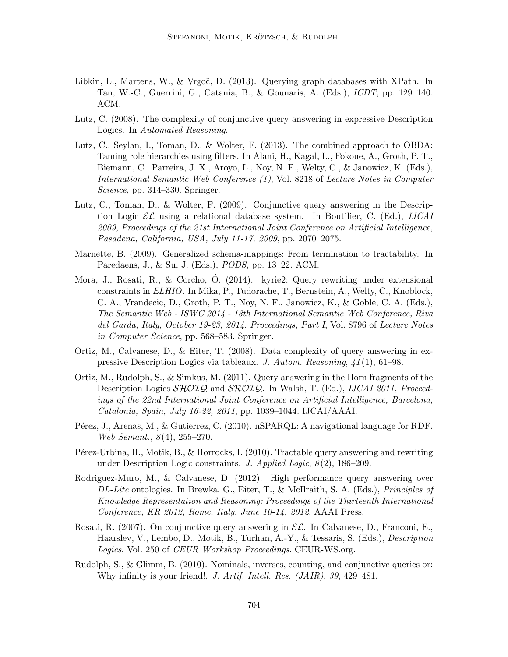- Libkin, L., Martens, W., & Vrgoč, D. (2013). Querying graph databases with XPath. In Tan, W.-C., Guerrini, G., Catania, B., & Gounaris, A. (Eds.), ICDT, pp. 129–140. ACM.
- Lutz, C. (2008). The complexity of conjunctive query answering in expressive Description Logics. In Automated Reasoning.
- Lutz, C., Seylan, I., Toman, D., & Wolter, F. (2013). The combined approach to OBDA: Taming role hierarchies using filters. In Alani, H., Kagal, L., Fokoue, A., Groth, P. T., Biemann, C., Parreira, J. X., Aroyo, L., Noy, N. F., Welty, C., & Janowicz, K. (Eds.), International Semantic Web Conference (1), Vol. 8218 of Lecture Notes in Computer Science, pp. 314–330. Springer.
- Lutz, C., Toman, D., & Wolter, F. (2009). Conjunctive query answering in the Description Logic  $\mathcal{EL}$  using a relational database system. In Boutilier, C. (Ed.), *IJCAI* 2009, Proceedings of the 21st International Joint Conference on Artificial Intelligence, Pasadena, California, USA, July 11-17, 2009, pp. 2070–2075.
- Marnette, B. (2009). Generalized schema-mappings: From termination to tractability. In Paredaens, J., & Su, J. (Eds.), PODS, pp. 13–22. ACM.
- Mora, J., Rosati, R., & Corcho, O. (2014). kyrie2: Query rewriting under extensional constraints in ELHIO. In Mika, P., Tudorache, T., Bernstein, A., Welty, C., Knoblock, C. A., Vrandecic, D., Groth, P. T., Noy, N. F., Janowicz, K., & Goble, C. A. (Eds.), The Semantic Web - ISWC 2014 - 13th International Semantic Web Conference, Riva del Garda, Italy, October 19-23, 2014. Proceedings, Part I, Vol. 8796 of Lecture Notes in Computer Science, pp. 568–583. Springer.
- Ortiz, M., Calvanese, D., & Eiter, T. (2008). Data complexity of query answering in expressive Description Logics via tableaux. J. Autom. Reasoning, 41 (1), 61–98.
- Ortiz, M., Rudolph, S., & Simkus, M. (2011). Query answering in the Horn fragments of the Description Logics  $\mathcal{SHOLQ}$  and  $\mathcal{SROLQ}$ . In Walsh, T. (Ed.), *IJCAI 2011*, *Proceed*ings of the 22nd International Joint Conference on Artificial Intelligence, Barcelona, Catalonia, Spain, July 16-22, 2011, pp. 1039–1044. IJCAI/AAAI.
- Pérez, J., Arenas, M., & Gutierrez, C. (2010). nSPARQL: A navigational language for RDF. Web Semant., 8(4), 255-270.
- Pérez-Urbina, H., Motik, B., & Horrocks, I. (2010). Tractable query answering and rewriting under Description Logic constraints. J. Applied Logic,  $8(2)$ , 186–209.
- Rodriguez-Muro, M., & Calvanese, D. (2012). High performance query answering over DL-Lite ontologies. In Brewka, G., Eiter, T., & McIlraith, S. A. (Eds.), Principles of Knowledge Representation and Reasoning: Proceedings of the Thirteenth International Conference, KR 2012, Rome, Italy, June 10-14, 2012. AAAI Press.
- Rosati, R. (2007). On conjunctive query answering in  $\mathcal{EL}$ . In Calvanese, D., Franconi, E., Haarslev, V., Lembo, D., Motik, B., Turhan, A.-Y., & Tessaris, S. (Eds.), Description Logics, Vol. 250 of CEUR Workshop Proceedings. CEUR-WS.org.
- Rudolph, S., & Glimm, B. (2010). Nominals, inverses, counting, and conjunctive queries or: Why infinity is your friend!. J. Artif. Intell. Res. (JAIR), 39, 429–481.